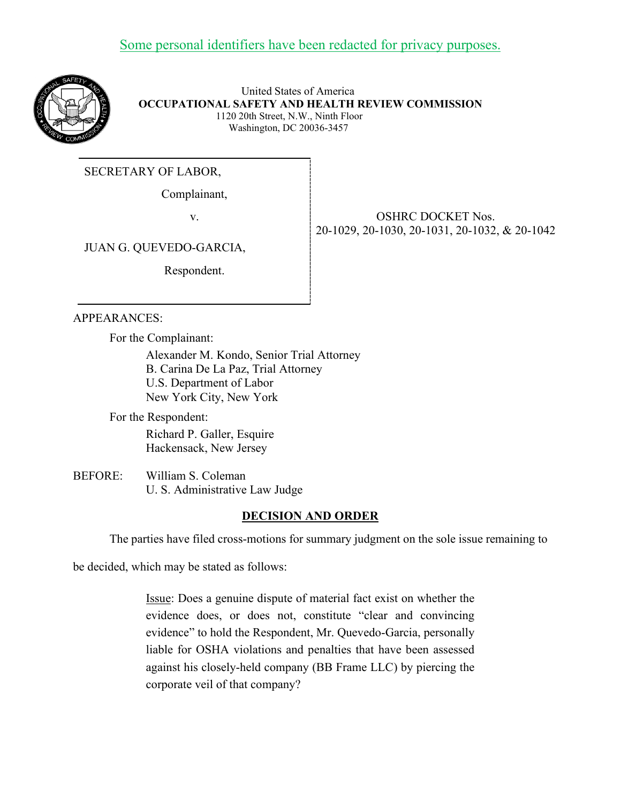

 United States of America  **OCCUPATIONAL SAFETY AND HEALTH REVIEW COMMISSION** 1120 20th Street, N.W., Ninth Floor Washington, DC 20036-3457

SECRETARY OF LABOR,

Complainant,

v. SHRC DOCKET Nos. 20-1029, 20-1030, 20-1031, 20-1032, & 20-1042

JUAN G. QUEVEDO-GARCIA,

Respondent.

## APPEARANCES:

For the Complainant:

Alexander M. Kondo, Senior Trial Attorney B. Carina De La Paz, Trial Attorney U.S. Department of Labor New York City, New York

For the Respondent: Richard P. Galler, Esquire Hackensack, New Jersey

BEFORE: William S. Coleman U. S. Administrative Law Judge

## **DECISION AND ORDER**

The parties have filed cross-motions for summary judgment on the sole issue remaining to

be decided, which may be stated as follows:

Issue: Does a genuine dispute of material fact exist on whether the evidence does, or does not, constitute "clear and convincing evidence" to hold the Respondent, Mr. Quevedo-Garcia, personally liable for OSHA violations and penalties that have been assessed against his closely-held company (BB Frame LLC) by piercing the corporate veil of that company?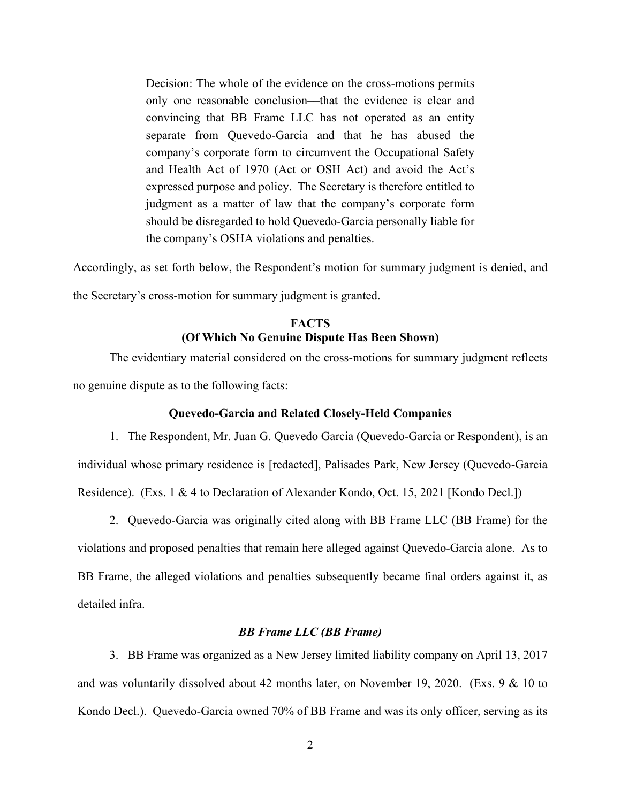Decision: The whole of the evidence on the cross-motions permits only one reasonable conclusion––that the evidence is clear and convincing that BB Frame LLC has not operated as an entity separate from Quevedo-Garcia and that he has abused the company's corporate form to circumvent the Occupational Safety and Health Act of 1970 (Act or OSH Act) and avoid the Act's expressed purpose and policy. The Secretary is therefore entitled to judgment as a matter of law that the company's corporate form should be disregarded to hold Quevedo-Garcia personally liable for the company's OSHA violations and penalties.

Accordingly, as set forth below, the Respondent's motion for summary judgment is denied, and the Secretary's cross-motion for summary judgment is granted.

# **FACTS (Of Which No Genuine Dispute Has Been Shown)**

The evidentiary material considered on the cross-motions for summary judgment reflects no genuine dispute as to the following facts:

### **Quevedo-Garcia and Related Closely-Held Companies**

1. The Respondent, Mr. Juan G. Quevedo Garcia (Quevedo-Garcia or Respondent), is an individual whose primary residence is [redacted], Palisades Park, New Jersey (Quevedo-Garcia Residence). (Exs. 1 & 4 to Declaration of Alexander Kondo, Oct. 15, 2021 [Kondo Decl.])

2. Quevedo-Garcia was originally cited along with BB Frame LLC (BB Frame) for the violations and proposed penalties that remain here alleged against Quevedo-Garcia alone. As to BB Frame, the alleged violations and penalties subsequently became final orders against it, as detailed infra.

### *BB Frame LLC (BB Frame)*

3. BB Frame was organized as a New Jersey limited liability company on April 13, 2017 and was voluntarily dissolved about 42 months later, on November 19, 2020. (Exs. 9 & 10 to Kondo Decl.). Quevedo-Garcia owned 70% of BB Frame and was its only officer, serving as its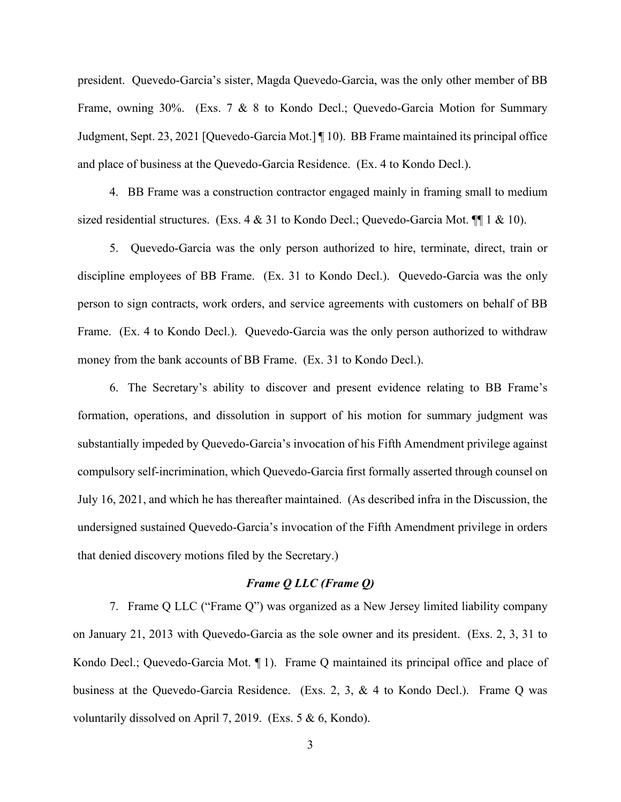president. Quevedo-Garcia's sister, Magda Quevedo-Garcia, was the only other member of BB Frame, owning 30%. (Exs. 7 & 8 to Kondo Decl.; Quevedo-Garcia Motion for Summary Judgment, Sept. 23, 2021 [Quevedo-Garcia Mot.] ¶ 10). BB Frame maintained its principal office and place of business at the Quevedo-Garcia Residence. (Ex. 4 to Kondo Decl.).

4. BB Frame was a construction contractor engaged mainly in framing small to medium sized residential structures. (Exs.  $4 \& 31$  to Kondo Decl.; Quevedo-Garcia Mot.  $\P$  1 & 10).

5. Quevedo-Garcia was the only person authorized to hire, terminate, direct, train or discipline employees of BB Frame. (Ex. 31 to Kondo Decl.). Quevedo-Garcia was the only person to sign contracts, work orders, and service agreements with customers on behalf of BB Frame. (Ex. 4 to Kondo Decl.). Quevedo-Garcia was the only person authorized to withdraw money from the bank accounts of BB Frame. (Ex. 31 to Kondo Decl.).

6. The Secretary's ability to discover and present evidence relating to BB Frame's formation, operations, and dissolution in support of his motion for summary judgment was substantially impeded by Quevedo-Garcia's invocation of his Fifth Amendment privilege against compulsory self-incrimination, which Quevedo-Garcia first formally asserted through counsel on July 16, 2021, and which he has thereafter maintained. (As described infra in the Discussion, the undersigned sustained Quevedo-Garcia's invocation of the Fifth Amendment privilege in orders that denied discovery motions filed by the Secretary.)

#### *Frame Q LLC (Frame Q)*

7. Frame Q LLC ("Frame Q") was organized as a New Jersey limited liability company on January 21, 2013 with Quevedo-Garcia as the sole owner and its president. (Exs. 2, 3, 31 to Kondo Decl.; Quevedo-Garcia Mot. ¶ 1). Frame Q maintained its principal office and place of business at the Quevedo-Garcia Residence. (Exs. 2, 3, & 4 to Kondo Decl.). Frame Q was voluntarily dissolved on April 7, 2019. (Exs. 5 & 6, Kondo).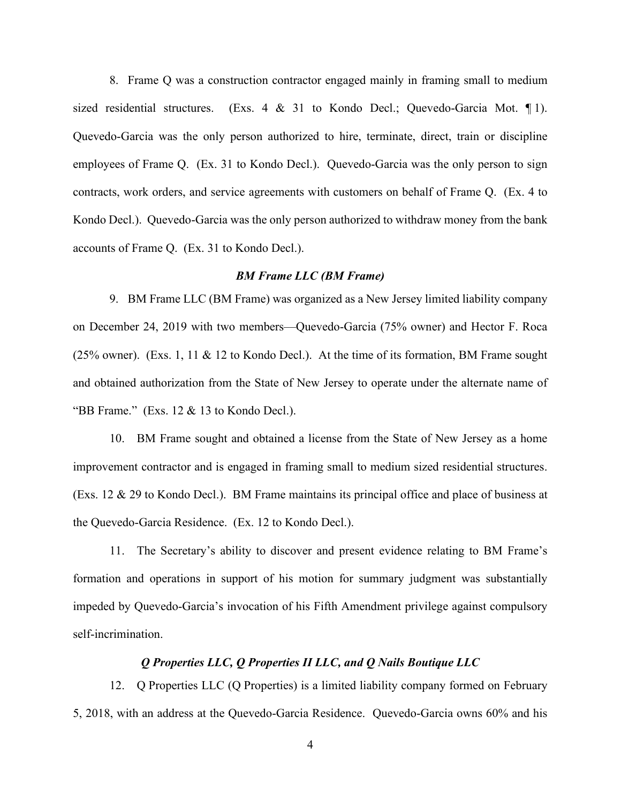8. Frame Q was a construction contractor engaged mainly in framing small to medium sized residential structures. (Exs. 4 & 31 to Kondo Decl.; Quevedo-Garcia Mot. ¶ 1). Quevedo-Garcia was the only person authorized to hire, terminate, direct, train or discipline employees of Frame Q. (Ex. 31 to Kondo Decl.). Quevedo-Garcia was the only person to sign contracts, work orders, and service agreements with customers on behalf of Frame Q. (Ex. 4 to Kondo Decl.). Quevedo-Garcia was the only person authorized to withdraw money from the bank accounts of Frame Q. (Ex. 31 to Kondo Decl.).

### *BM Frame LLC (BM Frame)*

9. BM Frame LLC (BM Frame) was organized as a New Jersey limited liability company on December 24, 2019 with two members––Quevedo-Garcia (75% owner) and Hector F. Roca (25% owner). (Exs. 1, 11 & 12 to Kondo Decl.). At the time of its formation, BM Frame sought and obtained authorization from the State of New Jersey to operate under the alternate name of "BB Frame." (Exs.  $12 \& 13$  to Kondo Decl.).

10. BM Frame sought and obtained a license from the State of New Jersey as a home improvement contractor and is engaged in framing small to medium sized residential structures. (Exs. 12 & 29 to Kondo Decl.). BM Frame maintains its principal office and place of business at the Quevedo-Garcia Residence. (Ex. 12 to Kondo Decl.).

11. The Secretary's ability to discover and present evidence relating to BM Frame's formation and operations in support of his motion for summary judgment was substantially impeded by Quevedo-Garcia's invocation of his Fifth Amendment privilege against compulsory self-incrimination.

#### *Q Properties LLC, Q Properties II LLC, and Q Nails Boutique LLC*

12. Q Properties LLC (Q Properties) is a limited liability company formed on February 5, 2018, with an address at the Quevedo-Garcia Residence. Quevedo-Garcia owns 60% and his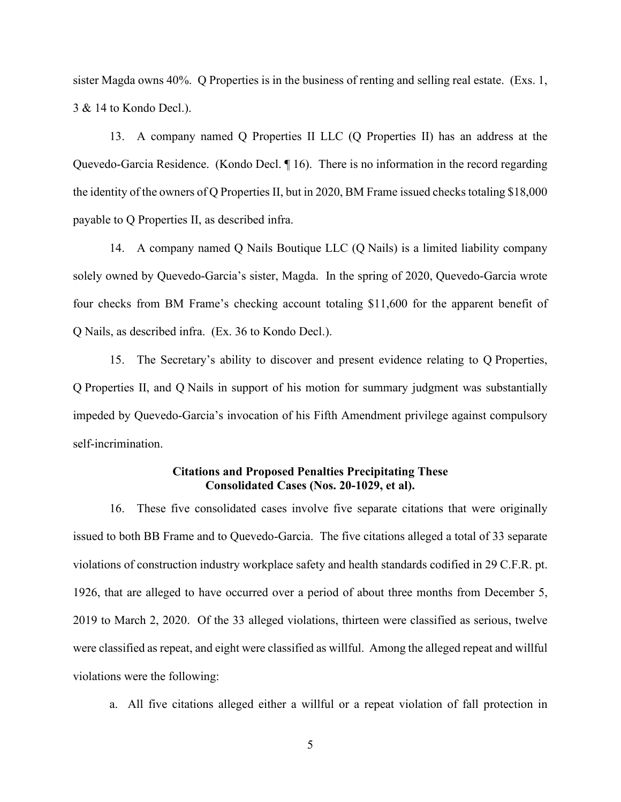sister Magda owns 40%. Q Properties is in the business of renting and selling real estate. (Exs. 1, 3 & 14 to Kondo Decl.).

13. A company named Q Properties II LLC (Q Properties II) has an address at the Quevedo-Garcia Residence. (Kondo Decl. ¶ 16). There is no information in the record regarding the identity of the owners of Q Properties II, but in 2020, BM Frame issued checks totaling \$18,000 payable to Q Properties II, as described infra.

14. A company named Q Nails Boutique LLC (Q Nails) is a limited liability company solely owned by Quevedo-Garcia's sister, Magda. In the spring of 2020, Quevedo-Garcia wrote four checks from BM Frame's checking account totaling \$11,600 for the apparent benefit of Q Nails, as described infra. (Ex. 36 to Kondo Decl.).

15. The Secretary's ability to discover and present evidence relating to Q Properties, Q Properties II, and Q Nails in support of his motion for summary judgment was substantially impeded by Quevedo-Garcia's invocation of his Fifth Amendment privilege against compulsory self-incrimination.

### **Citations and Proposed Penalties Precipitating These Consolidated Cases (Nos. 20-1029, et al).**

16. These five consolidated cases involve five separate citations that were originally issued to both BB Frame and to Quevedo-Garcia. The five citations alleged a total of 33 separate violations of construction industry workplace safety and health standards codified in 29 C.F.R. pt. 1926, that are alleged to have occurred over a period of about three months from December 5, 2019 to March 2, 2020. Of the 33 alleged violations, thirteen were classified as serious, twelve were classified as repeat, and eight were classified as willful. Among the alleged repeat and willful violations were the following:

a. All five citations alleged either a willful or a repeat violation of fall protection in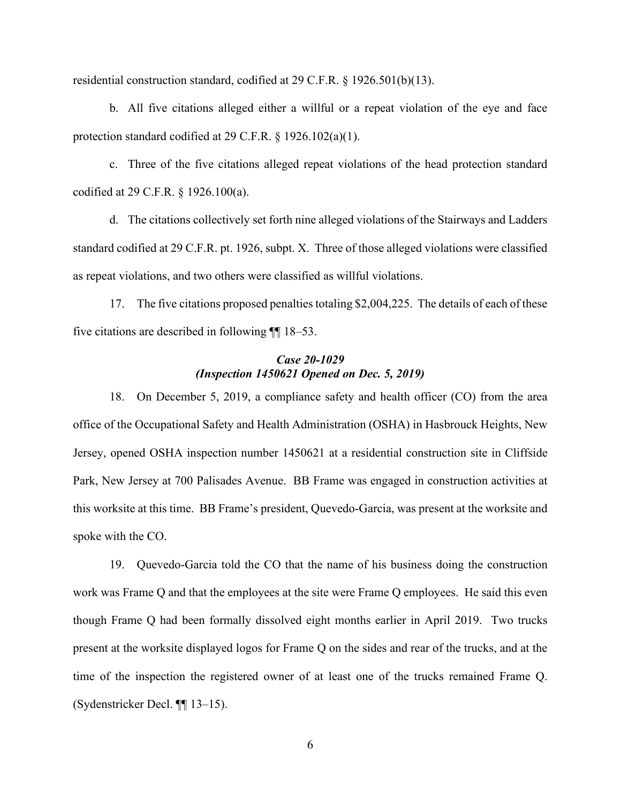residential construction standard, codified at 29 C.F.R. § 1926.501(b)(13).

b. All five citations alleged either a willful or a repeat violation of the eye and face protection standard codified at 29 C.F.R. § 1926.102(a)(1).

c. Three of the five citations alleged repeat violations of the head protection standard codified at 29 C.F.R. § 1926.100(a).

d. The citations collectively set forth nine alleged violations of the Stairways and Ladders standard codified at 29 C.F.R. pt. 1926, subpt. X. Three of those alleged violations were classified as repeat violations, and two others were classified as willful violations.

17. The five citations proposed penalties totaling \$2,004,225. The details of each of these five citations are described in following ¶¶ 18–53.

### *Case 20-1029 (Inspection 1450621 Opened on Dec. 5, 2019)*

18. On December 5, 2019, a compliance safety and health officer (CO) from the area office of the Occupational Safety and Health Administration (OSHA) in Hasbrouck Heights, New Jersey, opened OSHA inspection number 1450621 at a residential construction site in Cliffside Park, New Jersey at 700 Palisades Avenue. BB Frame was engaged in construction activities at this worksite at this time. BB Frame's president, Quevedo-Garcia, was present at the worksite and spoke with the CO.

19. Quevedo-Garcia told the CO that the name of his business doing the construction work was Frame Q and that the employees at the site were Frame Q employees. He said this even though Frame Q had been formally dissolved eight months earlier in April 2019. Two trucks present at the worksite displayed logos for Frame Q on the sides and rear of the trucks, and at the time of the inspection the registered owner of at least one of the trucks remained Frame Q. (Sydenstricker Decl. ¶¶ 13–15).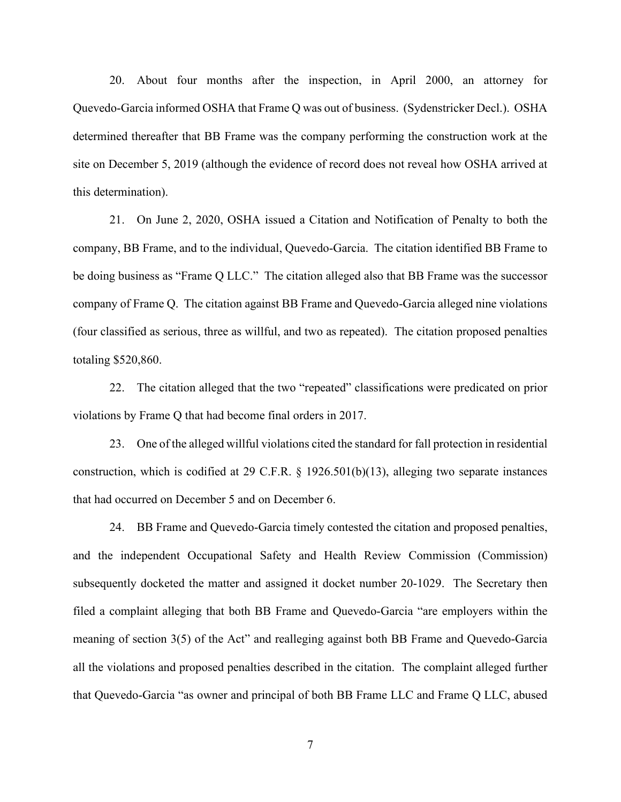20. About four months after the inspection, in April 2000, an attorney for Quevedo-Garcia informed OSHA that Frame Q was out of business. (Sydenstricker Decl.). OSHA determined thereafter that BB Frame was the company performing the construction work at the site on December 5, 2019 (although the evidence of record does not reveal how OSHA arrived at this determination).

21. On June 2, 2020, OSHA issued a Citation and Notification of Penalty to both the company, BB Frame, and to the individual, Quevedo-Garcia. The citation identified BB Frame to be doing business as "Frame Q LLC." The citation alleged also that BB Frame was the successor company of Frame Q. The citation against BB Frame and Quevedo-Garcia alleged nine violations (four classified as serious, three as willful, and two as repeated). The citation proposed penalties totaling \$520,860.

22. The citation alleged that the two "repeated" classifications were predicated on prior violations by Frame Q that had become final orders in 2017.

23. One of the alleged willful violations cited the standard for fall protection in residential construction, which is codified at 29 C.F.R. § 1926.501(b)(13), alleging two separate instances that had occurred on December 5 and on December 6.

24. BB Frame and Quevedo-Garcia timely contested the citation and proposed penalties, and the independent Occupational Safety and Health Review Commission (Commission) subsequently docketed the matter and assigned it docket number 20-1029. The Secretary then filed a complaint alleging that both BB Frame and Quevedo-Garcia "are employers within the meaning of section 3(5) of the Act" and realleging against both BB Frame and Quevedo-Garcia all the violations and proposed penalties described in the citation. The complaint alleged further that Quevedo-Garcia "as owner and principal of both BB Frame LLC and Frame Q LLC, abused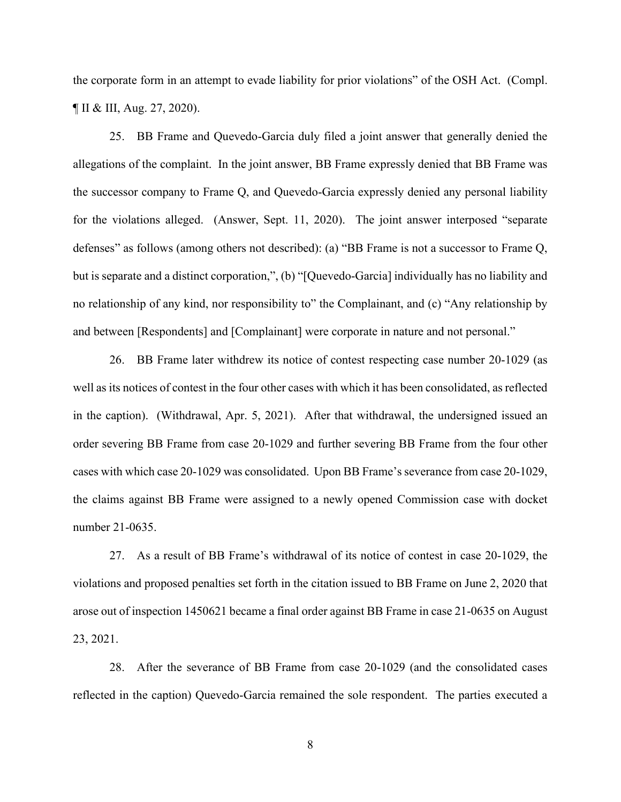the corporate form in an attempt to evade liability for prior violations" of the OSH Act. (Compl. ¶ II & III, Aug. 27, 2020).

25. BB Frame and Quevedo-Garcia duly filed a joint answer that generally denied the allegations of the complaint. In the joint answer, BB Frame expressly denied that BB Frame was the successor company to Frame Q, and Quevedo-Garcia expressly denied any personal liability for the violations alleged. (Answer, Sept. 11, 2020). The joint answer interposed "separate defenses" as follows (among others not described): (a) "BB Frame is not a successor to Frame Q, but is separate and a distinct corporation,", (b) "[Quevedo-Garcia] individually has no liability and no relationship of any kind, nor responsibility to" the Complainant, and (c) "Any relationship by and between [Respondents] and [Complainant] were corporate in nature and not personal."

26. BB Frame later withdrew its notice of contest respecting case number 20-1029 (as well as its notices of contest in the four other cases with which it has been consolidated, as reflected in the caption). (Withdrawal, Apr. 5, 2021). After that withdrawal, the undersigned issued an order severing BB Frame from case 20-1029 and further severing BB Frame from the four other cases with which case 20-1029 was consolidated. Upon BB Frame's severance from case 20-1029, the claims against BB Frame were assigned to a newly opened Commission case with docket number 21-0635.

27. As a result of BB Frame's withdrawal of its notice of contest in case 20-1029, the violations and proposed penalties set forth in the citation issued to BB Frame on June 2, 2020 that arose out of inspection 1450621 became a final order against BB Frame in case 21-0635 on August 23, 2021.

28. After the severance of BB Frame from case 20-1029 (and the consolidated cases reflected in the caption) Quevedo-Garcia remained the sole respondent. The parties executed a

8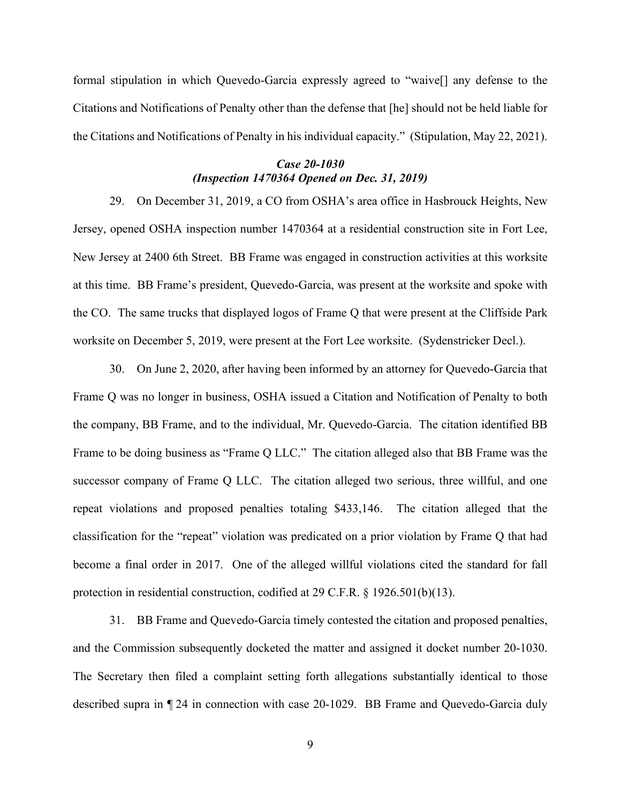formal stipulation in which Quevedo-Garcia expressly agreed to "waive[] any defense to the Citations and Notifications of Penalty other than the defense that [he] should not be held liable for the Citations and Notifications of Penalty in his individual capacity." (Stipulation, May 22, 2021).

## *Case 20-1030 (Inspection 1470364 Opened on Dec. 31, 2019)*

29. On December 31, 2019, a CO from OSHA's area office in Hasbrouck Heights, New Jersey, opened OSHA inspection number 1470364 at a residential construction site in Fort Lee, New Jersey at 2400 6th Street. BB Frame was engaged in construction activities at this worksite at this time. BB Frame's president, Quevedo-Garcia, was present at the worksite and spoke with the CO. The same trucks that displayed logos of Frame Q that were present at the Cliffside Park worksite on December 5, 2019, were present at the Fort Lee worksite. (Sydenstricker Decl.).

30. On June 2, 2020, after having been informed by an attorney for Quevedo-Garcia that Frame Q was no longer in business, OSHA issued a Citation and Notification of Penalty to both the company, BB Frame, and to the individual, Mr. Quevedo-Garcia. The citation identified BB Frame to be doing business as "Frame Q LLC." The citation alleged also that BB Frame was the successor company of Frame Q LLC. The citation alleged two serious, three willful, and one repeat violations and proposed penalties totaling \$433,146. The citation alleged that the classification for the "repeat" violation was predicated on a prior violation by Frame Q that had become a final order in 2017. One of the alleged willful violations cited the standard for fall protection in residential construction, codified at 29 C.F.R. § 1926.501(b)(13).

31. BB Frame and Quevedo-Garcia timely contested the citation and proposed penalties, and the Commission subsequently docketed the matter and assigned it docket number 20-1030. The Secretary then filed a complaint setting forth allegations substantially identical to those described supra in ¶ 24 in connection with case 20-1029. BB Frame and Quevedo-Garcia duly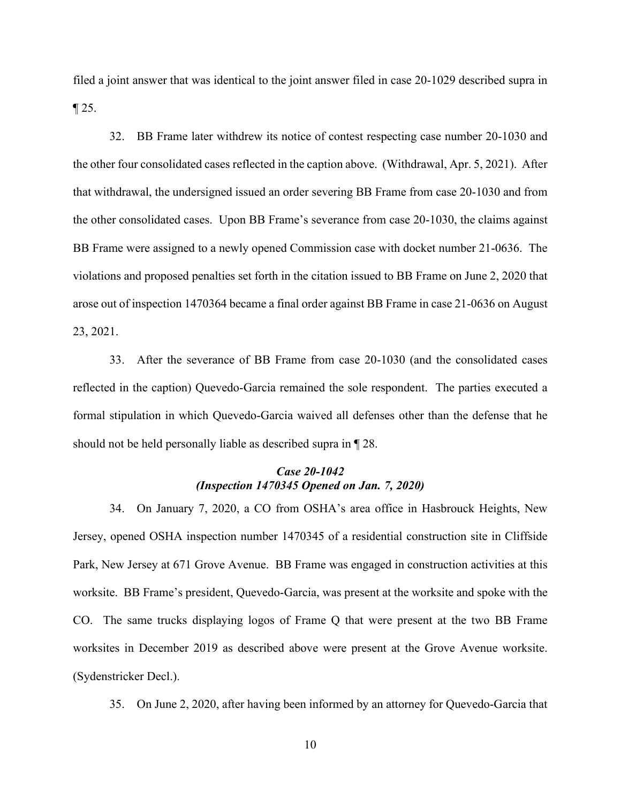filed a joint answer that was identical to the joint answer filed in case 20-1029 described supra in  $\P$  25.

32. BB Frame later withdrew its notice of contest respecting case number 20-1030 and the other four consolidated cases reflected in the caption above. (Withdrawal, Apr. 5, 2021). After that withdrawal, the undersigned issued an order severing BB Frame from case 20-1030 and from the other consolidated cases. Upon BB Frame's severance from case 20-1030, the claims against BB Frame were assigned to a newly opened Commission case with docket number 21-0636. The violations and proposed penalties set forth in the citation issued to BB Frame on June 2, 2020 that arose out of inspection 1470364 became a final order against BB Frame in case 21-0636 on August 23, 2021.

33. After the severance of BB Frame from case 20-1030 (and the consolidated cases reflected in the caption) Quevedo-Garcia remained the sole respondent. The parties executed a formal stipulation in which Quevedo-Garcia waived all defenses other than the defense that he should not be held personally liable as described supra in ¶ 28.

### *Case 20-1042 (Inspection 1470345 Opened on Jan. 7, 2020)*

34. On January 7, 2020, a CO from OSHA's area office in Hasbrouck Heights, New Jersey, opened OSHA inspection number 1470345 of a residential construction site in Cliffside Park, New Jersey at 671 Grove Avenue. BB Frame was engaged in construction activities at this worksite. BB Frame's president, Quevedo-Garcia, was present at the worksite and spoke with the CO. The same trucks displaying logos of Frame Q that were present at the two BB Frame worksites in December 2019 as described above were present at the Grove Avenue worksite. (Sydenstricker Decl.).

35. On June 2, 2020, after having been informed by an attorney for Quevedo-Garcia that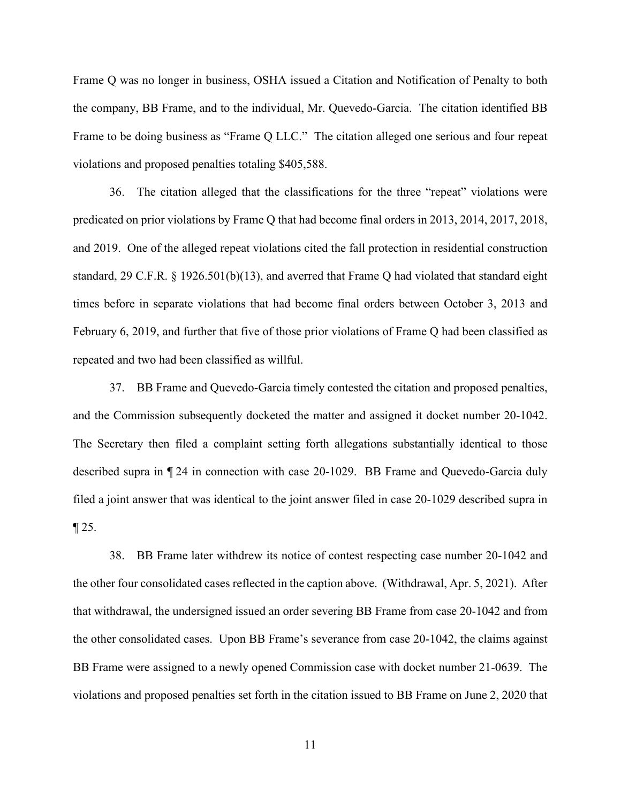Frame Q was no longer in business, OSHA issued a Citation and Notification of Penalty to both the company, BB Frame, and to the individual, Mr. Quevedo-Garcia. The citation identified BB Frame to be doing business as "Frame Q LLC." The citation alleged one serious and four repeat violations and proposed penalties totaling \$405,588.

36. The citation alleged that the classifications for the three "repeat" violations were predicated on prior violations by Frame Q that had become final orders in 2013, 2014, 2017, 2018, and 2019. One of the alleged repeat violations cited the fall protection in residential construction standard, 29 C.F.R. § 1926.501(b)(13), and averred that Frame Q had violated that standard eight times before in separate violations that had become final orders between October 3, 2013 and February 6, 2019, and further that five of those prior violations of Frame Q had been classified as repeated and two had been classified as willful.

37. BB Frame and Quevedo-Garcia timely contested the citation and proposed penalties, and the Commission subsequently docketed the matter and assigned it docket number 20-1042. The Secretary then filed a complaint setting forth allegations substantially identical to those described supra in ¶ 24 in connection with case 20-1029. BB Frame and Quevedo-Garcia duly filed a joint answer that was identical to the joint answer filed in case 20-1029 described supra in  $\P$  25.

38. BB Frame later withdrew its notice of contest respecting case number 20-1042 and the other four consolidated cases reflected in the caption above. (Withdrawal, Apr. 5, 2021). After that withdrawal, the undersigned issued an order severing BB Frame from case 20-1042 and from the other consolidated cases. Upon BB Frame's severance from case 20-1042, the claims against BB Frame were assigned to a newly opened Commission case with docket number 21-0639. The violations and proposed penalties set forth in the citation issued to BB Frame on June 2, 2020 that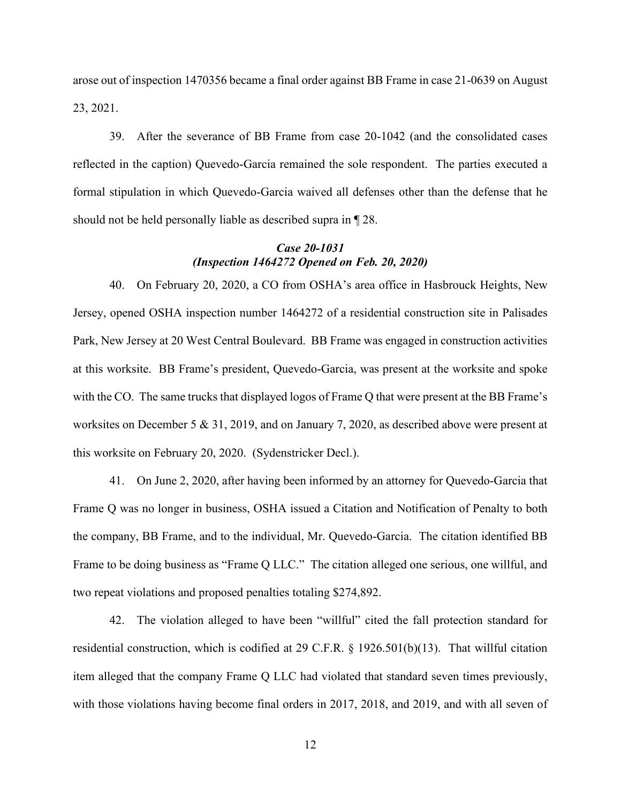arose out of inspection 1470356 became a final order against BB Frame in case 21-0639 on August 23, 2021.

39. After the severance of BB Frame from case 20-1042 (and the consolidated cases reflected in the caption) Quevedo-Garcia remained the sole respondent. The parties executed a formal stipulation in which Quevedo-Garcia waived all defenses other than the defense that he should not be held personally liable as described supra in ¶ 28.

## *Case 20-1031 (Inspection 1464272 Opened on Feb. 20, 2020)*

40. On February 20, 2020, a CO from OSHA's area office in Hasbrouck Heights, New Jersey, opened OSHA inspection number 1464272 of a residential construction site in Palisades Park, New Jersey at 20 West Central Boulevard. BB Frame was engaged in construction activities at this worksite. BB Frame's president, Quevedo-Garcia, was present at the worksite and spoke with the CO. The same trucks that displayed logos of Frame Q that were present at the BB Frame's worksites on December 5 & 31, 2019, and on January 7, 2020, as described above were present at this worksite on February 20, 2020. (Sydenstricker Decl.).

41. On June 2, 2020, after having been informed by an attorney for Quevedo-Garcia that Frame Q was no longer in business, OSHA issued a Citation and Notification of Penalty to both the company, BB Frame, and to the individual, Mr. Quevedo-Garcia. The citation identified BB Frame to be doing business as "Frame Q LLC." The citation alleged one serious, one willful, and two repeat violations and proposed penalties totaling \$274,892.

42. The violation alleged to have been "willful" cited the fall protection standard for residential construction, which is codified at 29 C.F.R. § 1926.501(b)(13). That willful citation item alleged that the company Frame Q LLC had violated that standard seven times previously, with those violations having become final orders in 2017, 2018, and 2019, and with all seven of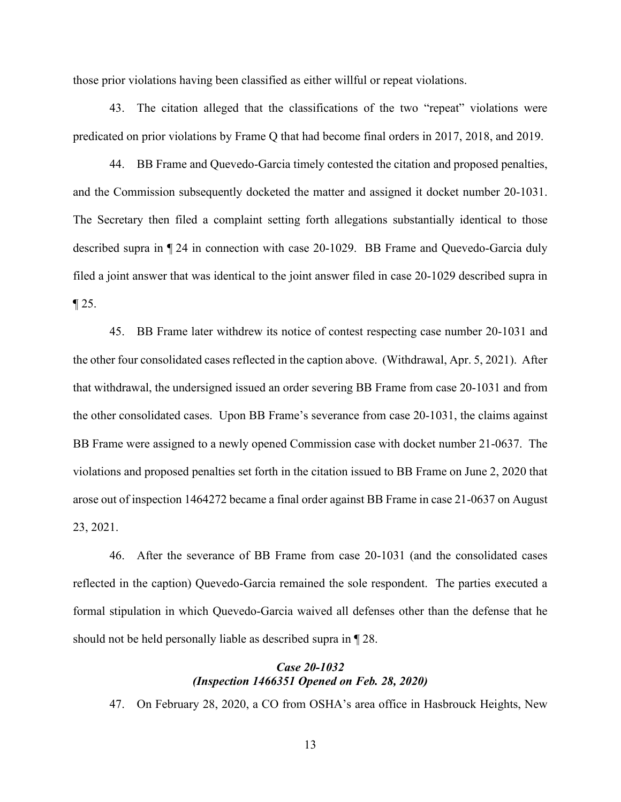those prior violations having been classified as either willful or repeat violations.

43. The citation alleged that the classifications of the two "repeat" violations were predicated on prior violations by Frame Q that had become final orders in 2017, 2018, and 2019.

44. BB Frame and Quevedo-Garcia timely contested the citation and proposed penalties, and the Commission subsequently docketed the matter and assigned it docket number 20-1031. The Secretary then filed a complaint setting forth allegations substantially identical to those described supra in ¶ 24 in connection with case 20-1029. BB Frame and Quevedo-Garcia duly filed a joint answer that was identical to the joint answer filed in case 20-1029 described supra in  $\P$  25.

45. BB Frame later withdrew its notice of contest respecting case number 20-1031 and the other four consolidated cases reflected in the caption above. (Withdrawal, Apr. 5, 2021). After that withdrawal, the undersigned issued an order severing BB Frame from case 20-1031 and from the other consolidated cases. Upon BB Frame's severance from case 20-1031, the claims against BB Frame were assigned to a newly opened Commission case with docket number 21-0637. The violations and proposed penalties set forth in the citation issued to BB Frame on June 2, 2020 that arose out of inspection 1464272 became a final order against BB Frame in case 21-0637 on August 23, 2021.

46. After the severance of BB Frame from case 20-1031 (and the consolidated cases reflected in the caption) Quevedo-Garcia remained the sole respondent. The parties executed a formal stipulation in which Quevedo-Garcia waived all defenses other than the defense that he should not be held personally liable as described supra in ¶ 28.

## *Case 20-1032 (Inspection 1466351 Opened on Feb. 28, 2020)*

47. On February 28, 2020, a CO from OSHA's area office in Hasbrouck Heights, New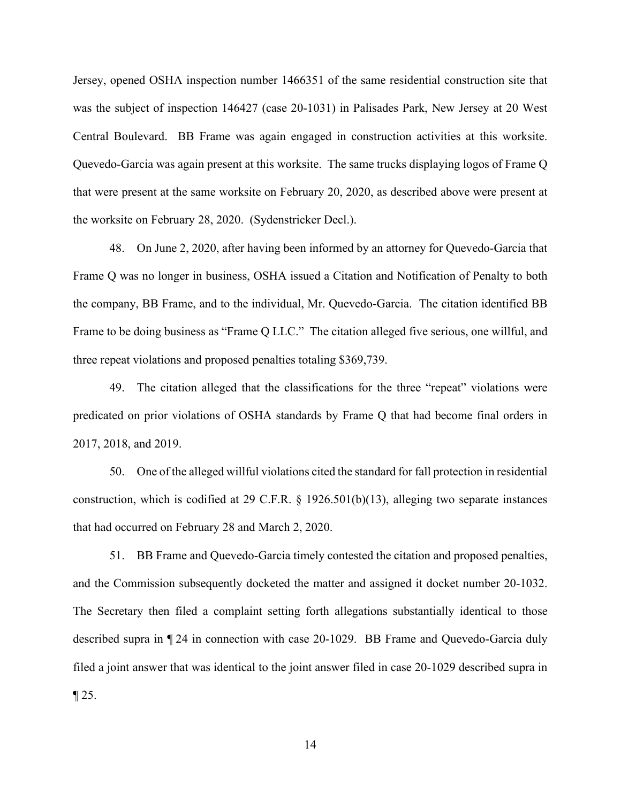Jersey, opened OSHA inspection number 1466351 of the same residential construction site that was the subject of inspection 146427 (case 20-1031) in Palisades Park, New Jersey at 20 West Central Boulevard. BB Frame was again engaged in construction activities at this worksite. Quevedo-Garcia was again present at this worksite. The same trucks displaying logos of Frame Q that were present at the same worksite on February 20, 2020, as described above were present at the worksite on February 28, 2020. (Sydenstricker Decl.).

48. On June 2, 2020, after having been informed by an attorney for Quevedo-Garcia that Frame Q was no longer in business, OSHA issued a Citation and Notification of Penalty to both the company, BB Frame, and to the individual, Mr. Quevedo-Garcia. The citation identified BB Frame to be doing business as "Frame Q LLC." The citation alleged five serious, one willful, and three repeat violations and proposed penalties totaling \$369,739.

49. The citation alleged that the classifications for the three "repeat" violations were predicated on prior violations of OSHA standards by Frame Q that had become final orders in 2017, 2018, and 2019.

50. One of the alleged willful violations cited the standard for fall protection in residential construction, which is codified at 29 C.F.R. § 1926.501(b)(13), alleging two separate instances that had occurred on February 28 and March 2, 2020.

51. BB Frame and Quevedo-Garcia timely contested the citation and proposed penalties, and the Commission subsequently docketed the matter and assigned it docket number 20-1032. The Secretary then filed a complaint setting forth allegations substantially identical to those described supra in ¶ 24 in connection with case 20-1029. BB Frame and Quevedo-Garcia duly filed a joint answer that was identical to the joint answer filed in case 20-1029 described supra in  $\P$  25.

14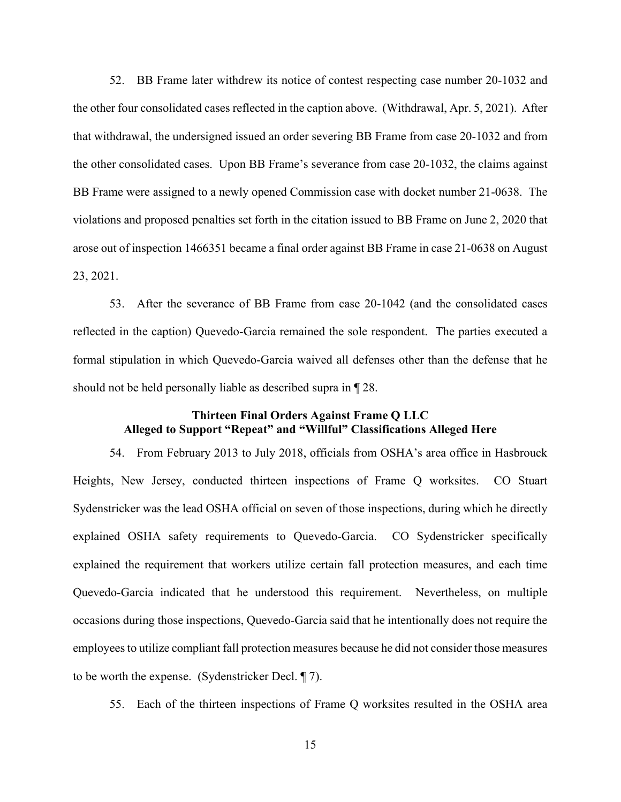52. BB Frame later withdrew its notice of contest respecting case number 20-1032 and the other four consolidated cases reflected in the caption above. (Withdrawal, Apr. 5, 2021). After that withdrawal, the undersigned issued an order severing BB Frame from case 20-1032 and from the other consolidated cases. Upon BB Frame's severance from case 20-1032, the claims against BB Frame were assigned to a newly opened Commission case with docket number 21-0638. The violations and proposed penalties set forth in the citation issued to BB Frame on June 2, 2020 that arose out of inspection 1466351 became a final order against BB Frame in case 21-0638 on August 23, 2021.

53. After the severance of BB Frame from case 20-1042 (and the consolidated cases reflected in the caption) Quevedo-Garcia remained the sole respondent. The parties executed a formal stipulation in which Quevedo-Garcia waived all defenses other than the defense that he should not be held personally liable as described supra in ¶ 28.

## **Thirteen Final Orders Against Frame Q LLC Alleged to Support "Repeat" and "Willful" Classifications Alleged Here**

54. From February 2013 to July 2018, officials from OSHA's area office in Hasbrouck Heights, New Jersey, conducted thirteen inspections of Frame Q worksites. CO Stuart Sydenstricker was the lead OSHA official on seven of those inspections, during which he directly explained OSHA safety requirements to Quevedo-Garcia. CO Sydenstricker specifically explained the requirement that workers utilize certain fall protection measures, and each time Quevedo-Garcia indicated that he understood this requirement. Nevertheless, on multiple occasions during those inspections, Quevedo-Garcia said that he intentionally does not require the employees to utilize compliant fall protection measures because he did not consider those measures to be worth the expense. (Sydenstricker Decl. ¶ 7).

55. Each of the thirteen inspections of Frame Q worksites resulted in the OSHA area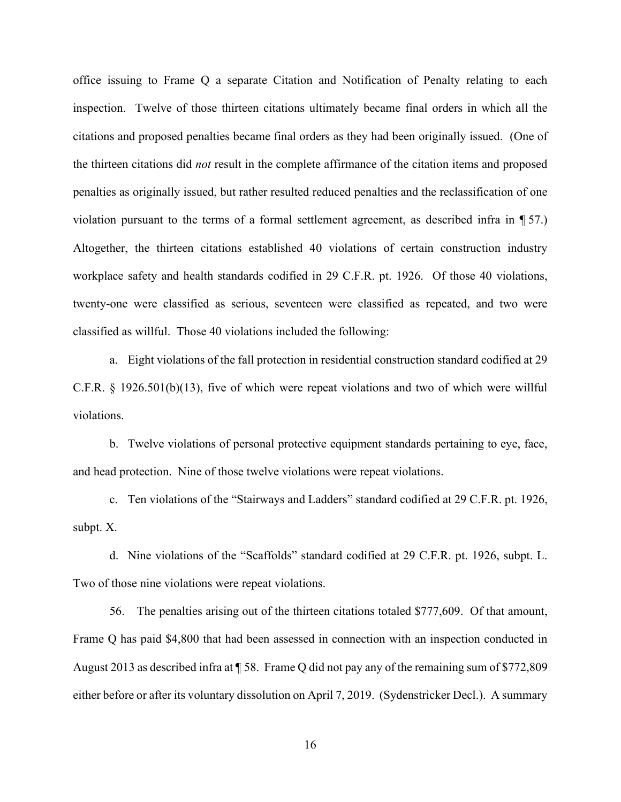office issuing to Frame Q a separate Citation and Notification of Penalty relating to each inspection. Twelve of those thirteen citations ultimately became final orders in which all the citations and proposed penalties became final orders as they had been originally issued. (One of the thirteen citations did *not* result in the complete affirmance of the citation items and proposed penalties as originally issued, but rather resulted reduced penalties and the reclassification of one violation pursuant to the terms of a formal settlement agreement, as described infra in ¶ 57.) Altogether, the thirteen citations established 40 violations of certain construction industry workplace safety and health standards codified in 29 C.F.R. pt. 1926. Of those 40 violations, twenty-one were classified as serious, seventeen were classified as repeated, and two were classified as willful. Those 40 violations included the following:

a. Eight violations of the fall protection in residential construction standard codified at 29 C.F.R. § 1926.501(b)(13), five of which were repeat violations and two of which were willful violations.

b. Twelve violations of personal protective equipment standards pertaining to eye, face, and head protection. Nine of those twelve violations were repeat violations.

c. Ten violations of the "Stairways and Ladders" standard codified at 29 C.F.R. pt. 1926, subpt. X.

d. Nine violations of the "Scaffolds" standard codified at 29 C.F.R. pt. 1926, subpt. L. Two of those nine violations were repeat violations.

56. The penalties arising out of the thirteen citations totaled \$777,609. Of that amount, Frame Q has paid \$4,800 that had been assessed in connection with an inspection conducted in August 2013 as described infra at ¶ 58. Frame Q did not pay any of the remaining sum of \$772,809 either before or after its voluntary dissolution on April 7, 2019. (Sydenstricker Decl.). A summary

16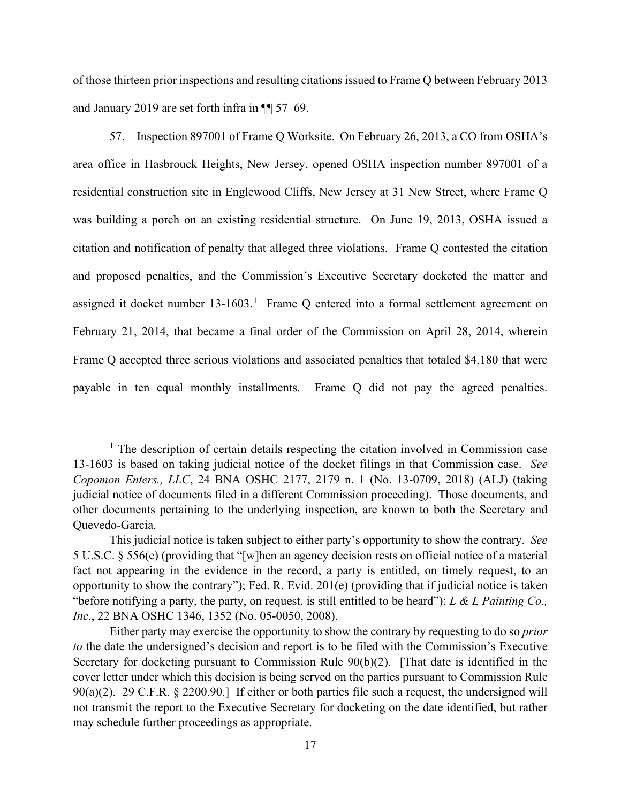of those thirteen prior inspections and resulting citations issued to Frame Q between February 2013 and January 2019 are set forth infra in ¶¶ 57–69.

57. Inspection 897001 of Frame Q Worksite. On February 26, 2013, a CO from OSHA's area office in Hasbrouck Heights, New Jersey, opened OSHA inspection number 897001 of a residential construction site in Englewood Cliffs, New Jersey at 31 New Street, where Frame Q was building a porch on an existing residential structure. On June 19, 2013, OSHA issued a citation and notification of penalty that alleged three violations. Frame Q contested the citation and proposed penalties, and the Commission's Executive Secretary docketed the matter and assigned it docket number  $13\n-1603$ .<sup>1</sup> Frame Q entered into a formal settlement agreement on February 21, 2014, that became a final order of the Commission on April 28, 2014, wherein Frame Q accepted three serious violations and associated penalties that totaled \$4,180 that were payable in ten equal monthly installments. Frame Q did not pay the agreed penalties.

<sup>&</sup>lt;sup>1</sup> The description of certain details respecting the citation involved in Commission case 13-1603 is based on taking judicial notice of the docket filings in that Commission case. *See Copomon Enters., LLC*, 24 BNA OSHC 2177, 2179 n. 1 (No. 13-0709, 2018) (ALJ) (taking judicial notice of documents filed in a different Commission proceeding). Those documents, and other documents pertaining to the underlying inspection, are known to both the Secretary and Quevedo-Garcia.

This judicial notice is taken subject to either party's opportunity to show the contrary. *See* 5 U.S.C. § 556(e) (providing that "[w]hen an agency decision rests on official notice of a material fact not appearing in the evidence in the record, a party is entitled, on timely request, to an opportunity to show the contrary"); Fed. R. Evid. 201(e) (providing that if judicial notice is taken "before notifying a party, the party, on request, is still entitled to be heard"); *L & L Painting Co., Inc.*, 22 BNA OSHC 1346, 1352 (No. 05-0050, 2008).

Either party may exercise the opportunity to show the contrary by requesting to do so *prior to* the date the undersigned's decision and report is to be filed with the Commission's Executive Secretary for docketing pursuant to Commission Rule 90(b)(2). [That date is identified in the cover letter under which this decision is being served on the parties pursuant to Commission Rule 90(a)(2). 29 C.F.R. § 2200.90.] If either or both parties file such a request, the undersigned will not transmit the report to the Executive Secretary for docketing on the date identified, but rather may schedule further proceedings as appropriate.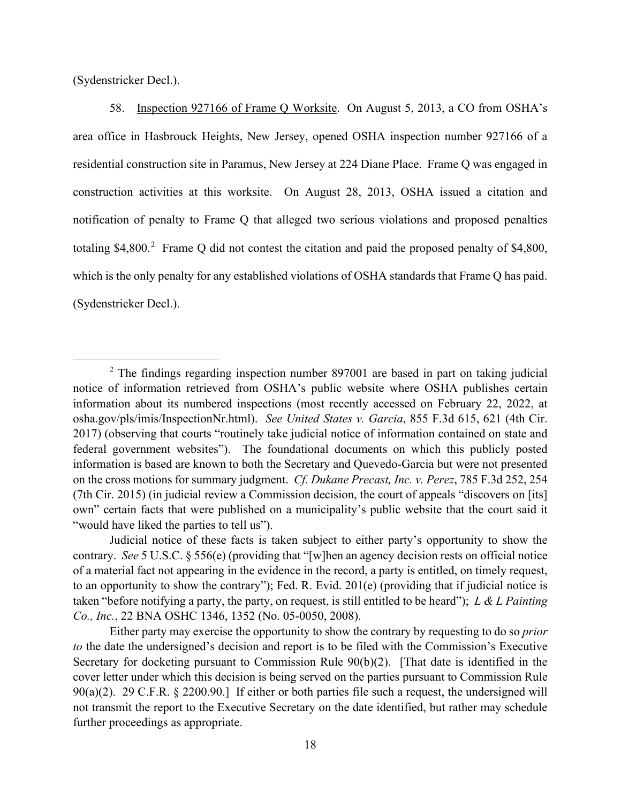(Sydenstricker Decl.).

58. Inspection 927166 of Frame Q Worksite. On August 5, 2013, a CO from OSHA's area office in Hasbrouck Heights, New Jersey, opened OSHA inspection number 927166 of a residential construction site in Paramus, New Jersey at 224 Diane Place. Frame Q was engaged in construction activities at this worksite. On August 28, 2013, OSHA issued a citation and notification of penalty to Frame Q that alleged two serious violations and proposed penalties totaling \$4,800.<sup>2</sup> Frame Q did not contest the citation and paid the proposed penalty of \$4,800, which is the only penalty for any established violations of OSHA standards that Frame Q has paid. (Sydenstricker Decl.).

<sup>&</sup>lt;sup>2</sup> The findings regarding inspection number 897001 are based in part on taking judicial notice of information retrieved from OSHA's public website where OSHA publishes certain information about its numbered inspections (most recently accessed on February 22, 2022, at osha.gov/pls/imis/InspectionNr.html). *See United States v. Garcia*, 855 F.3d 615, 621 (4th Cir. 2017) (observing that courts "routinely take judicial notice of information contained on state and federal government websites"). The foundational documents on which this publicly posted information is based are known to both the Secretary and Quevedo-Garcia but were not presented on the cross motions for summary judgment. *Cf. Dukane Precast, Inc. v. Perez*, 785 F.3d 252, 254 (7th Cir. 2015) (in judicial review a Commission decision, the court of appeals "discovers on [its] own" certain facts that were published on a municipality's public website that the court said it "would have liked the parties to tell us").

Judicial notice of these facts is taken subject to either party's opportunity to show the contrary. *See* 5 U.S.C. § 556(e) (providing that "[w]hen an agency decision rests on official notice of a material fact not appearing in the evidence in the record, a party is entitled, on timely request, to an opportunity to show the contrary"); Fed. R. Evid. 201(e) (providing that if judicial notice is taken "before notifying a party, the party, on request, is still entitled to be heard"); *L & L Painting Co., Inc.*, 22 BNA OSHC 1346, 1352 (No. 05-0050, 2008).

Either party may exercise the opportunity to show the contrary by requesting to do so *prior to* the date the undersigned's decision and report is to be filed with the Commission's Executive Secretary for docketing pursuant to Commission Rule 90(b)(2). [That date is identified in the cover letter under which this decision is being served on the parties pursuant to Commission Rule 90(a)(2). 29 C.F.R. § 2200.90.] If either or both parties file such a request, the undersigned will not transmit the report to the Executive Secretary on the date identified, but rather may schedule further proceedings as appropriate.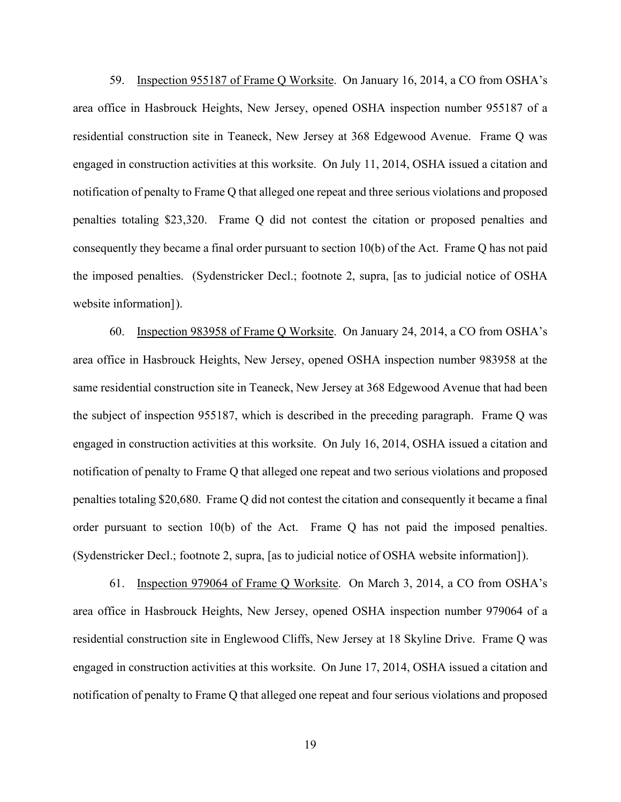59. Inspection 955187 of Frame Q Worksite. On January 16, 2014, a CO from OSHA's area office in Hasbrouck Heights, New Jersey, opened OSHA inspection number 955187 of a residential construction site in Teaneck, New Jersey at 368 Edgewood Avenue. Frame Q was engaged in construction activities at this worksite. On July 11, 2014, OSHA issued a citation and notification of penalty to Frame Q that alleged one repeat and three serious violations and proposed penalties totaling \$23,320. Frame Q did not contest the citation or proposed penalties and consequently they became a final order pursuant to section 10(b) of the Act. Frame Q has not paid the imposed penalties. (Sydenstricker Decl.; footnote 2, supra, [as to judicial notice of OSHA website information]).

60. Inspection 983958 of Frame Q Worksite. On January 24, 2014, a CO from OSHA's area office in Hasbrouck Heights, New Jersey, opened OSHA inspection number 983958 at the same residential construction site in Teaneck, New Jersey at 368 Edgewood Avenue that had been the subject of inspection 955187, which is described in the preceding paragraph. Frame Q was engaged in construction activities at this worksite. On July 16, 2014, OSHA issued a citation and notification of penalty to Frame Q that alleged one repeat and two serious violations and proposed penalties totaling \$20,680. Frame Q did not contest the citation and consequently it became a final order pursuant to section 10(b) of the Act. Frame Q has not paid the imposed penalties. (Sydenstricker Decl.; footnote 2, supra, [as to judicial notice of OSHA website information]).

61. Inspection 979064 of Frame Q Worksite. On March 3, 2014, a CO from OSHA's area office in Hasbrouck Heights, New Jersey, opened OSHA inspection number 979064 of a residential construction site in Englewood Cliffs, New Jersey at 18 Skyline Drive. Frame Q was engaged in construction activities at this worksite. On June 17, 2014, OSHA issued a citation and notification of penalty to Frame Q that alleged one repeat and four serious violations and proposed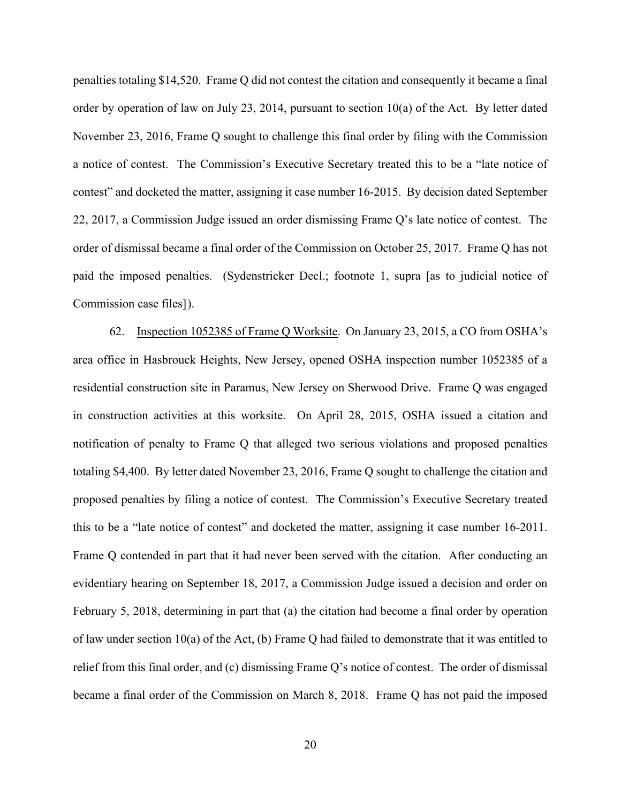penalties totaling \$14,520. Frame Q did not contest the citation and consequently it became a final order by operation of law on July 23, 2014, pursuant to section 10(a) of the Act. By letter dated November 23, 2016, Frame Q sought to challenge this final order by filing with the Commission a notice of contest. The Commission's Executive Secretary treated this to be a "late notice of contest" and docketed the matter, assigning it case number 16-2015. By decision dated September 22, 2017, a Commission Judge issued an order dismissing Frame Q's late notice of contest. The order of dismissal became a final order of the Commission on October 25, 2017. Frame Q has not paid the imposed penalties. (Sydenstricker Decl.; footnote 1, supra [as to judicial notice of Commission case files]).

62. Inspection 1052385 of Frame Q Worksite. On January 23, 2015, a CO from OSHA's area office in Hasbrouck Heights, New Jersey, opened OSHA inspection number 1052385 of a residential construction site in Paramus, New Jersey on Sherwood Drive. Frame Q was engaged in construction activities at this worksite. On April 28, 2015, OSHA issued a citation and notification of penalty to Frame Q that alleged two serious violations and proposed penalties totaling \$4,400. By letter dated November 23, 2016, Frame Q sought to challenge the citation and proposed penalties by filing a notice of contest. The Commission's Executive Secretary treated this to be a "late notice of contest" and docketed the matter, assigning it case number 16-2011. Frame Q contended in part that it had never been served with the citation. After conducting an evidentiary hearing on September 18, 2017, a Commission Judge issued a decision and order on February 5, 2018, determining in part that (a) the citation had become a final order by operation of law under section 10(a) of the Act, (b) Frame Q had failed to demonstrate that it was entitled to relief from this final order, and (c) dismissing Frame Q's notice of contest. The order of dismissal became a final order of the Commission on March 8, 2018. Frame Q has not paid the imposed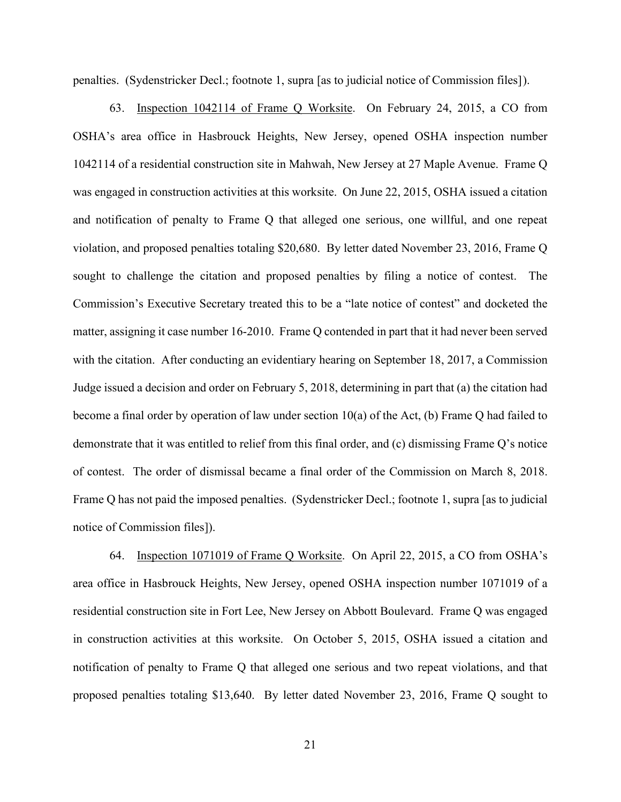penalties. (Sydenstricker Decl.; footnote 1, supra [as to judicial notice of Commission files]).

63. Inspection 1042114 of Frame Q Worksite. On February 24, 2015, a CO from OSHA's area office in Hasbrouck Heights, New Jersey, opened OSHA inspection number 1042114 of a residential construction site in Mahwah, New Jersey at 27 Maple Avenue. Frame Q was engaged in construction activities at this worksite. On June 22, 2015, OSHA issued a citation and notification of penalty to Frame Q that alleged one serious, one willful, and one repeat violation, and proposed penalties totaling \$20,680. By letter dated November 23, 2016, Frame Q sought to challenge the citation and proposed penalties by filing a notice of contest. The Commission's Executive Secretary treated this to be a "late notice of contest" and docketed the matter, assigning it case number 16-2010. Frame Q contended in part that it had never been served with the citation. After conducting an evidentiary hearing on September 18, 2017, a Commission Judge issued a decision and order on February 5, 2018, determining in part that (a) the citation had become a final order by operation of law under section 10(a) of the Act, (b) Frame Q had failed to demonstrate that it was entitled to relief from this final order, and (c) dismissing Frame Q's notice of contest. The order of dismissal became a final order of the Commission on March 8, 2018. Frame Q has not paid the imposed penalties. (Sydenstricker Decl.; footnote 1, supra [as to judicial notice of Commission files]).

64. Inspection 1071019 of Frame Q Worksite. On April 22, 2015, a CO from OSHA's area office in Hasbrouck Heights, New Jersey, opened OSHA inspection number 1071019 of a residential construction site in Fort Lee, New Jersey on Abbott Boulevard. Frame Q was engaged in construction activities at this worksite. On October 5, 2015, OSHA issued a citation and notification of penalty to Frame Q that alleged one serious and two repeat violations, and that proposed penalties totaling \$13,640. By letter dated November 23, 2016, Frame Q sought to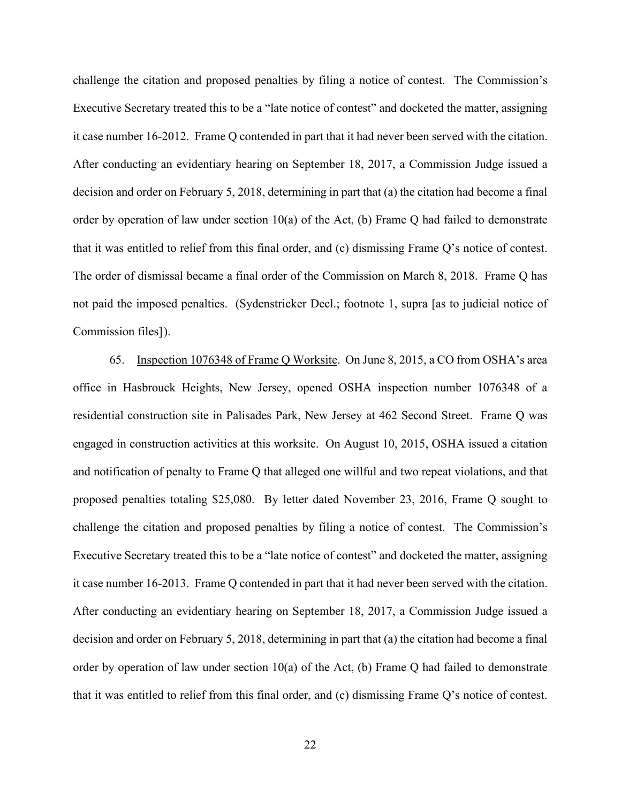challenge the citation and proposed penalties by filing a notice of contest. The Commission's Executive Secretary treated this to be a "late notice of contest" and docketed the matter, assigning it case number 16-2012. Frame Q contended in part that it had never been served with the citation. After conducting an evidentiary hearing on September 18, 2017, a Commission Judge issued a decision and order on February 5, 2018, determining in part that (a) the citation had become a final order by operation of law under section 10(a) of the Act, (b) Frame Q had failed to demonstrate that it was entitled to relief from this final order, and (c) dismissing Frame Q's notice of contest. The order of dismissal became a final order of the Commission on March 8, 2018. Frame Q has not paid the imposed penalties. (Sydenstricker Decl.; footnote 1, supra [as to judicial notice of Commission files]).

65. Inspection 1076348 of Frame Q Worksite. On June 8, 2015, a CO from OSHA's area office in Hasbrouck Heights, New Jersey, opened OSHA inspection number 1076348 of a residential construction site in Palisades Park, New Jersey at 462 Second Street. Frame Q was engaged in construction activities at this worksite. On August 10, 2015, OSHA issued a citation and notification of penalty to Frame Q that alleged one willful and two repeat violations, and that proposed penalties totaling \$25,080. By letter dated November 23, 2016, Frame Q sought to challenge the citation and proposed penalties by filing a notice of contest. The Commission's Executive Secretary treated this to be a "late notice of contest" and docketed the matter, assigning it case number 16-2013. Frame Q contended in part that it had never been served with the citation. After conducting an evidentiary hearing on September 18, 2017, a Commission Judge issued a decision and order on February 5, 2018, determining in part that (a) the citation had become a final order by operation of law under section 10(a) of the Act, (b) Frame Q had failed to demonstrate that it was entitled to relief from this final order, and (c) dismissing Frame Q's notice of contest.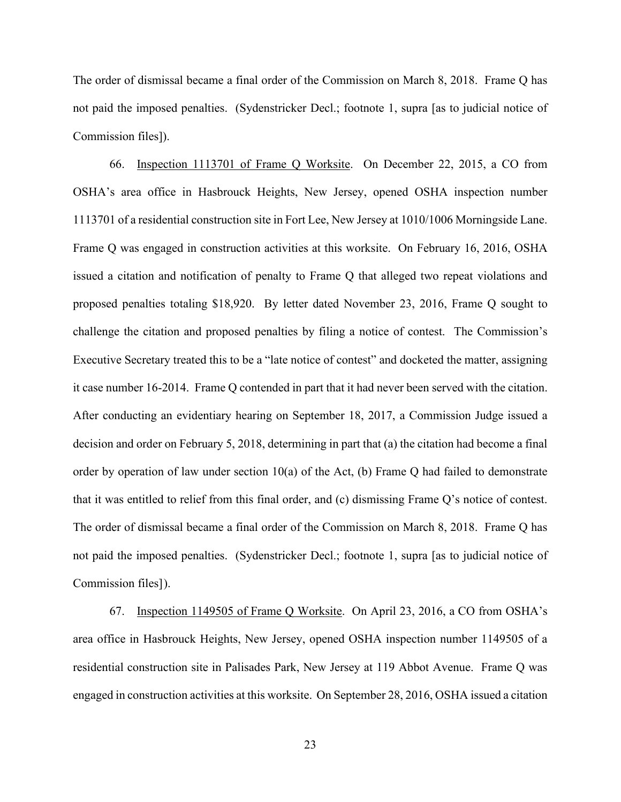The order of dismissal became a final order of the Commission on March 8, 2018. Frame Q has not paid the imposed penalties. (Sydenstricker Decl.; footnote 1, supra [as to judicial notice of Commission files]).

66. Inspection 1113701 of Frame Q Worksite. On December 22, 2015, a CO from OSHA's area office in Hasbrouck Heights, New Jersey, opened OSHA inspection number 1113701 of a residential construction site in Fort Lee, New Jersey at 1010/1006 Morningside Lane. Frame Q was engaged in construction activities at this worksite. On February 16, 2016, OSHA issued a citation and notification of penalty to Frame Q that alleged two repeat violations and proposed penalties totaling \$18,920. By letter dated November 23, 2016, Frame Q sought to challenge the citation and proposed penalties by filing a notice of contest. The Commission's Executive Secretary treated this to be a "late notice of contest" and docketed the matter, assigning it case number 16-2014. Frame Q contended in part that it had never been served with the citation. After conducting an evidentiary hearing on September 18, 2017, a Commission Judge issued a decision and order on February 5, 2018, determining in part that (a) the citation had become a final order by operation of law under section 10(a) of the Act, (b) Frame Q had failed to demonstrate that it was entitled to relief from this final order, and (c) dismissing Frame Q's notice of contest. The order of dismissal became a final order of the Commission on March 8, 2018. Frame Q has not paid the imposed penalties. (Sydenstricker Decl.; footnote 1, supra [as to judicial notice of Commission files]).

67. Inspection 1149505 of Frame Q Worksite. On April 23, 2016, a CO from OSHA's area office in Hasbrouck Heights, New Jersey, opened OSHA inspection number 1149505 of a residential construction site in Palisades Park, New Jersey at 119 Abbot Avenue. Frame Q was engaged in construction activities at this worksite. On September 28, 2016, OSHA issued a citation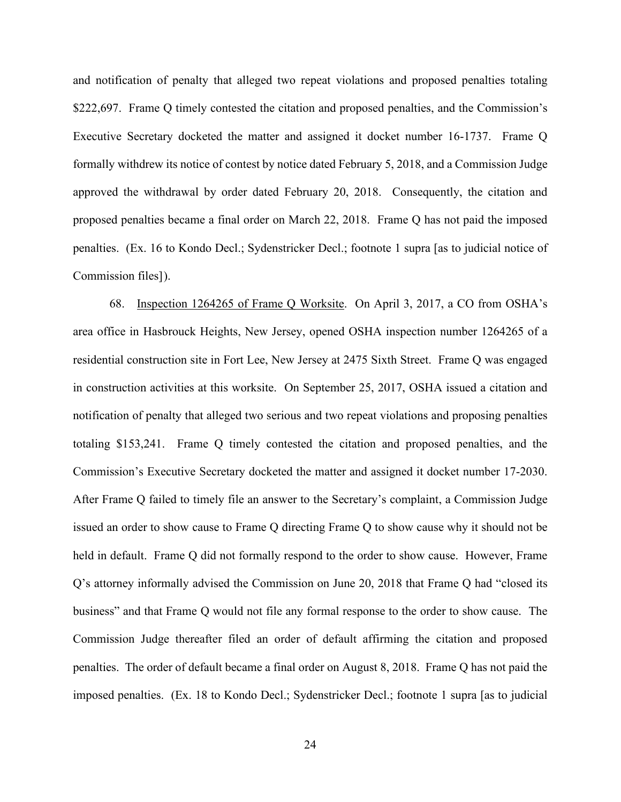and notification of penalty that alleged two repeat violations and proposed penalties totaling \$222,697. Frame Q timely contested the citation and proposed penalties, and the Commission's Executive Secretary docketed the matter and assigned it docket number 16-1737. Frame Q formally withdrew its notice of contest by notice dated February 5, 2018, and a Commission Judge approved the withdrawal by order dated February 20, 2018. Consequently, the citation and proposed penalties became a final order on March 22, 2018. Frame Q has not paid the imposed penalties. (Ex. 16 to Kondo Decl.; Sydenstricker Decl.; footnote 1 supra [as to judicial notice of Commission files]).

68. Inspection 1264265 of Frame Q Worksite. On April 3, 2017, a CO from OSHA's area office in Hasbrouck Heights, New Jersey, opened OSHA inspection number 1264265 of a residential construction site in Fort Lee, New Jersey at 2475 Sixth Street. Frame Q was engaged in construction activities at this worksite. On September 25, 2017, OSHA issued a citation and notification of penalty that alleged two serious and two repeat violations and proposing penalties totaling \$153,241. Frame Q timely contested the citation and proposed penalties, and the Commission's Executive Secretary docketed the matter and assigned it docket number 17-2030. After Frame Q failed to timely file an answer to the Secretary's complaint, a Commission Judge issued an order to show cause to Frame Q directing Frame Q to show cause why it should not be held in default. Frame Q did not formally respond to the order to show cause. However, Frame Q's attorney informally advised the Commission on June 20, 2018 that Frame Q had "closed its business" and that Frame Q would not file any formal response to the order to show cause. The Commission Judge thereafter filed an order of default affirming the citation and proposed penalties. The order of default became a final order on August 8, 2018. Frame Q has not paid the imposed penalties. (Ex. 18 to Kondo Decl.; Sydenstricker Decl.; footnote 1 supra [as to judicial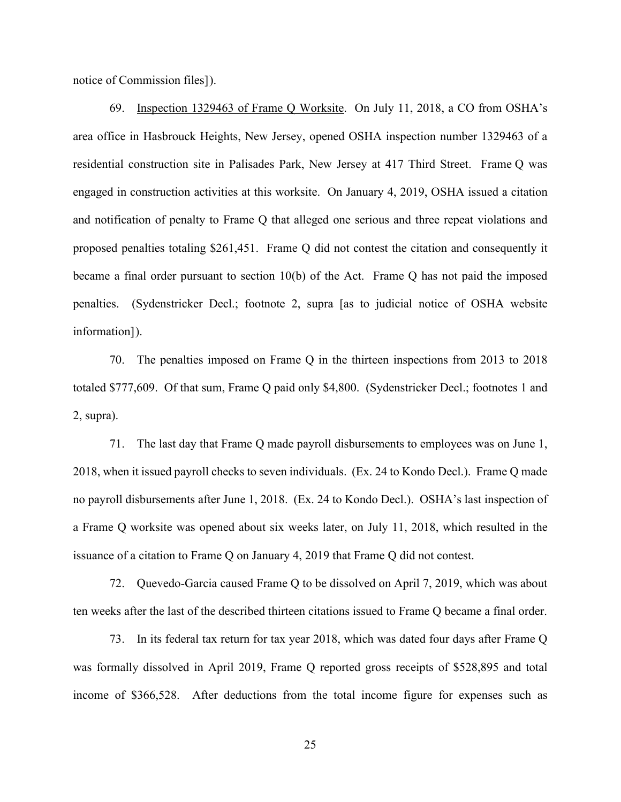notice of Commission files]).

69. Inspection 1329463 of Frame Q Worksite. On July 11, 2018, a CO from OSHA's area office in Hasbrouck Heights, New Jersey, opened OSHA inspection number 1329463 of a residential construction site in Palisades Park, New Jersey at 417 Third Street. Frame Q was engaged in construction activities at this worksite. On January 4, 2019, OSHA issued a citation and notification of penalty to Frame Q that alleged one serious and three repeat violations and proposed penalties totaling \$261,451. Frame Q did not contest the citation and consequently it became a final order pursuant to section 10(b) of the Act. Frame Q has not paid the imposed penalties. (Sydenstricker Decl.; footnote 2, supra [as to judicial notice of OSHA website information]).

70. The penalties imposed on Frame Q in the thirteen inspections from 2013 to 2018 totaled \$777,609. Of that sum, Frame Q paid only \$4,800. (Sydenstricker Decl.; footnotes 1 and 2, supra).

71. The last day that Frame Q made payroll disbursements to employees was on June 1, 2018, when it issued payroll checks to seven individuals. (Ex. 24 to Kondo Decl.). Frame Q made no payroll disbursements after June 1, 2018. (Ex. 24 to Kondo Decl.). OSHA's last inspection of a Frame Q worksite was opened about six weeks later, on July 11, 2018, which resulted in the issuance of a citation to Frame Q on January 4, 2019 that Frame Q did not contest.

72. Quevedo-Garcia caused Frame Q to be dissolved on April 7, 2019, which was about ten weeks after the last of the described thirteen citations issued to Frame Q became a final order.

73. In its federal tax return for tax year 2018, which was dated four days after Frame Q was formally dissolved in April 2019, Frame Q reported gross receipts of \$528,895 and total income of \$366,528. After deductions from the total income figure for expenses such as

25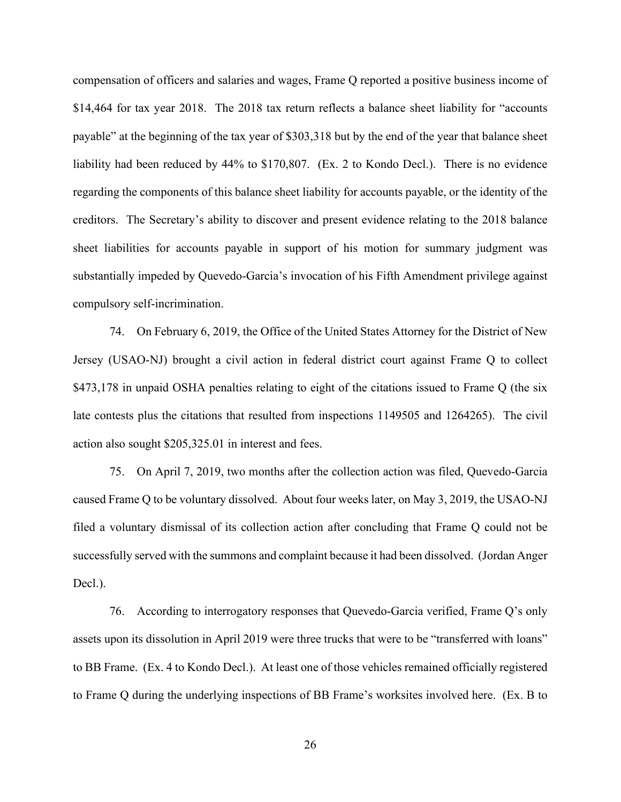compensation of officers and salaries and wages, Frame Q reported a positive business income of \$14,464 for tax year 2018. The 2018 tax return reflects a balance sheet liability for "accounts payable" at the beginning of the tax year of \$303,318 but by the end of the year that balance sheet liability had been reduced by 44% to \$170,807. (Ex. 2 to Kondo Decl.). There is no evidence regarding the components of this balance sheet liability for accounts payable, or the identity of the creditors. The Secretary's ability to discover and present evidence relating to the 2018 balance sheet liabilities for accounts payable in support of his motion for summary judgment was substantially impeded by Quevedo-Garcia's invocation of his Fifth Amendment privilege against compulsory self-incrimination.

74. On February 6, 2019, the Office of the United States Attorney for the District of New Jersey (USAO-NJ) brought a civil action in federal district court against Frame Q to collect \$473,178 in unpaid OSHA penalties relating to eight of the citations issued to Frame Q (the six late contests plus the citations that resulted from inspections 1149505 and 1264265). The civil action also sought \$205,325.01 in interest and fees.

75. On April 7, 2019, two months after the collection action was filed, Quevedo-Garcia caused Frame Q to be voluntary dissolved. About four weeks later, on May 3, 2019, the USAO-NJ filed a voluntary dismissal of its collection action after concluding that Frame Q could not be successfully served with the summons and complaint because it had been dissolved. (Jordan Anger Decl.).

76. According to interrogatory responses that Quevedo-Garcia verified, Frame Q's only assets upon its dissolution in April 2019 were three trucks that were to be "transferred with loans" to BB Frame. (Ex. 4 to Kondo Decl.). At least one of those vehicles remained officially registered to Frame Q during the underlying inspections of BB Frame's worksites involved here. (Ex. B to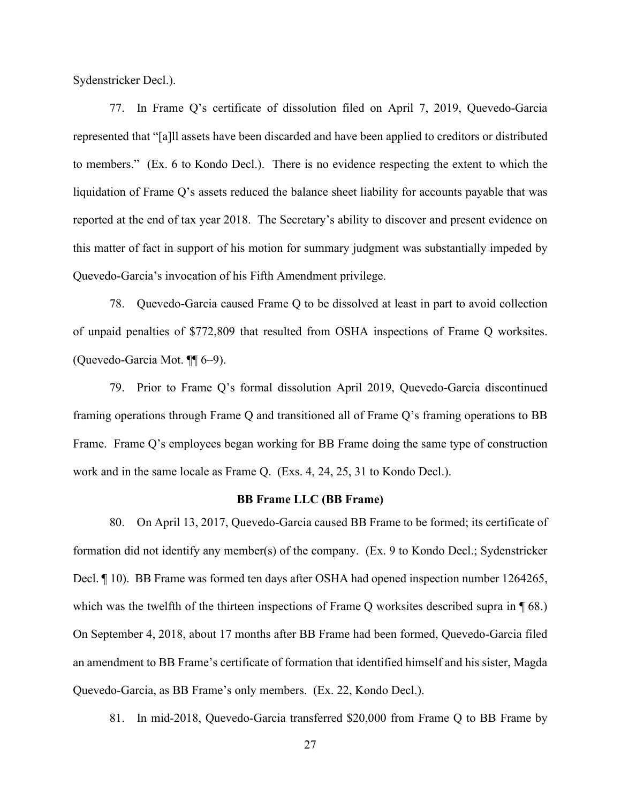Sydenstricker Decl.).

77. In Frame Q's certificate of dissolution filed on April 7, 2019, Quevedo-Garcia represented that "[a]ll assets have been discarded and have been applied to creditors or distributed to members." (Ex. 6 to Kondo Decl.). There is no evidence respecting the extent to which the liquidation of Frame Q's assets reduced the balance sheet liability for accounts payable that was reported at the end of tax year 2018. The Secretary's ability to discover and present evidence on this matter of fact in support of his motion for summary judgment was substantially impeded by Quevedo-Garcia's invocation of his Fifth Amendment privilege.

78. Quevedo-Garcia caused Frame Q to be dissolved at least in part to avoid collection of unpaid penalties of \$772,809 that resulted from OSHA inspections of Frame Q worksites. (Quevedo-Garcia Mot. ¶¶ 6–9).

79. Prior to Frame Q's formal dissolution April 2019, Quevedo-Garcia discontinued framing operations through Frame Q and transitioned all of Frame Q's framing operations to BB Frame. Frame Q's employees began working for BB Frame doing the same type of construction work and in the same locale as Frame Q. (Exs. 4, 24, 25, 31 to Kondo Decl.).

#### **BB Frame LLC (BB Frame)**

80. On April 13, 2017, Quevedo-Garcia caused BB Frame to be formed; its certificate of formation did not identify any member(s) of the company. (Ex. 9 to Kondo Decl.; Sydenstricker Decl. ¶ 10). BB Frame was formed ten days after OSHA had opened inspection number 1264265, which was the twelfth of the thirteen inspections of Frame Q worksites described supra in  $\P$  68.) On September 4, 2018, about 17 months after BB Frame had been formed, Quevedo-Garcia filed an amendment to BB Frame's certificate of formation that identified himself and his sister, Magda Quevedo-Garcia, as BB Frame's only members. (Ex. 22, Kondo Decl.).

81. In mid-2018, Quevedo-Garcia transferred \$20,000 from Frame Q to BB Frame by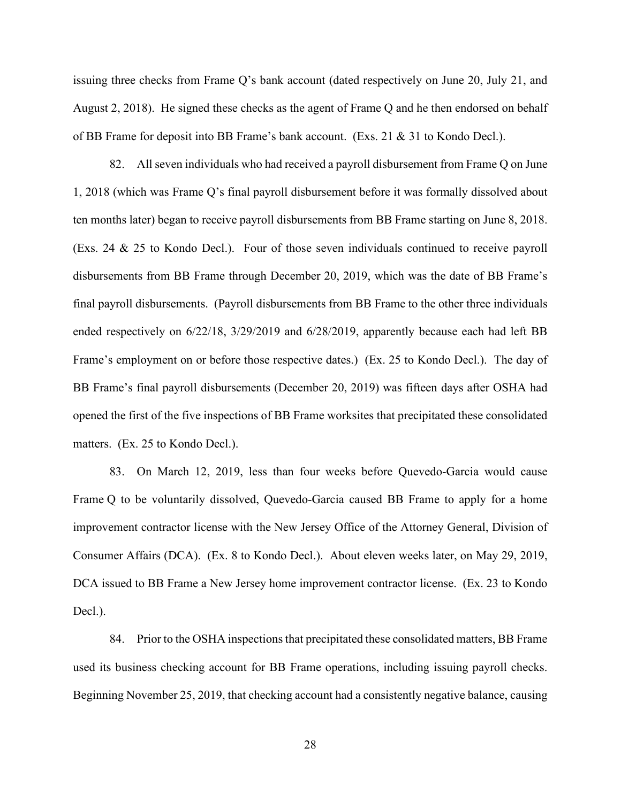issuing three checks from Frame Q's bank account (dated respectively on June 20, July 21, and August 2, 2018). He signed these checks as the agent of Frame Q and he then endorsed on behalf of BB Frame for deposit into BB Frame's bank account. (Exs. 21 & 31 to Kondo Decl.).

82. All seven individuals who had received a payroll disbursement from Frame Q on June 1, 2018 (which was Frame Q's final payroll disbursement before it was formally dissolved about ten months later) began to receive payroll disbursements from BB Frame starting on June 8, 2018. (Exs. 24 & 25 to Kondo Decl.). Four of those seven individuals continued to receive payroll disbursements from BB Frame through December 20, 2019, which was the date of BB Frame's final payroll disbursements. (Payroll disbursements from BB Frame to the other three individuals ended respectively on 6/22/18, 3/29/2019 and 6/28/2019, apparently because each had left BB Frame's employment on or before those respective dates.) (Ex. 25 to Kondo Decl.). The day of BB Frame's final payroll disbursements (December 20, 2019) was fifteen days after OSHA had opened the first of the five inspections of BB Frame worksites that precipitated these consolidated matters. (Ex. 25 to Kondo Decl.).

83. On March 12, 2019, less than four weeks before Quevedo-Garcia would cause Frame Q to be voluntarily dissolved, Quevedo-Garcia caused BB Frame to apply for a home improvement contractor license with the New Jersey Office of the Attorney General, Division of Consumer Affairs (DCA). (Ex. 8 to Kondo Decl.). About eleven weeks later, on May 29, 2019, DCA issued to BB Frame a New Jersey home improvement contractor license. (Ex. 23 to Kondo Decl.).

84. Prior to the OSHA inspections that precipitated these consolidated matters, BB Frame used its business checking account for BB Frame operations, including issuing payroll checks. Beginning November 25, 2019, that checking account had a consistently negative balance, causing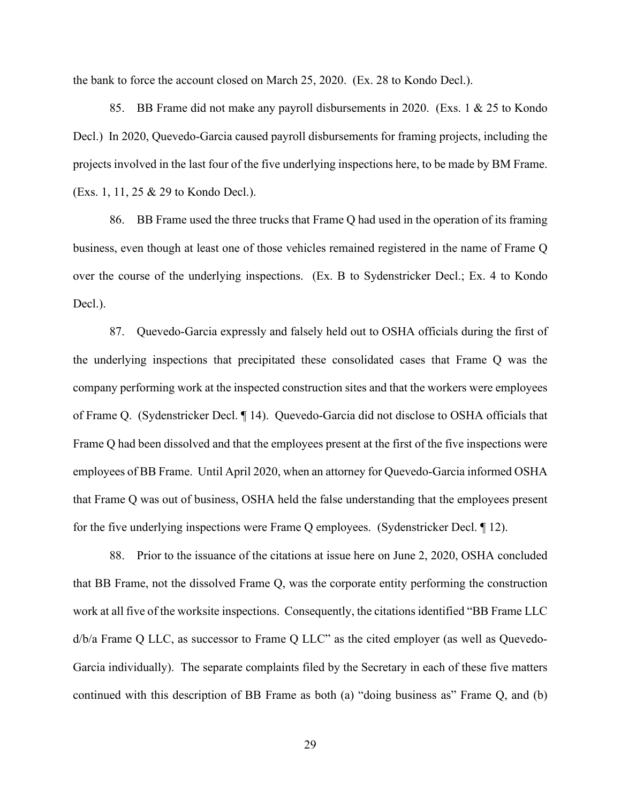the bank to force the account closed on March 25, 2020. (Ex. 28 to Kondo Decl.).

85. BB Frame did not make any payroll disbursements in 2020. (Exs. 1 & 25 to Kondo Decl.) In 2020, Quevedo-Garcia caused payroll disbursements for framing projects, including the projects involved in the last four of the five underlying inspections here, to be made by BM Frame. (Exs. 1, 11, 25 & 29 to Kondo Decl.).

86. BB Frame used the three trucks that Frame Q had used in the operation of its framing business, even though at least one of those vehicles remained registered in the name of Frame Q over the course of the underlying inspections. (Ex. B to Sydenstricker Decl.; Ex. 4 to Kondo Decl.).

87. Quevedo-Garcia expressly and falsely held out to OSHA officials during the first of the underlying inspections that precipitated these consolidated cases that Frame Q was the company performing work at the inspected construction sites and that the workers were employees of Frame Q. (Sydenstricker Decl. ¶ 14). Quevedo-Garcia did not disclose to OSHA officials that Frame Q had been dissolved and that the employees present at the first of the five inspections were employees of BB Frame. Until April 2020, when an attorney for Quevedo-Garcia informed OSHA that Frame Q was out of business, OSHA held the false understanding that the employees present for the five underlying inspections were Frame Q employees. (Sydenstricker Decl. ¶ 12).

88. Prior to the issuance of the citations at issue here on June 2, 2020, OSHA concluded that BB Frame, not the dissolved Frame Q, was the corporate entity performing the construction work at all five of the worksite inspections. Consequently, the citations identified "BB Frame LLC d/b/a Frame Q LLC, as successor to Frame Q LLC" as the cited employer (as well as Quevedo-Garcia individually). The separate complaints filed by the Secretary in each of these five matters continued with this description of BB Frame as both (a) "doing business as" Frame Q, and (b)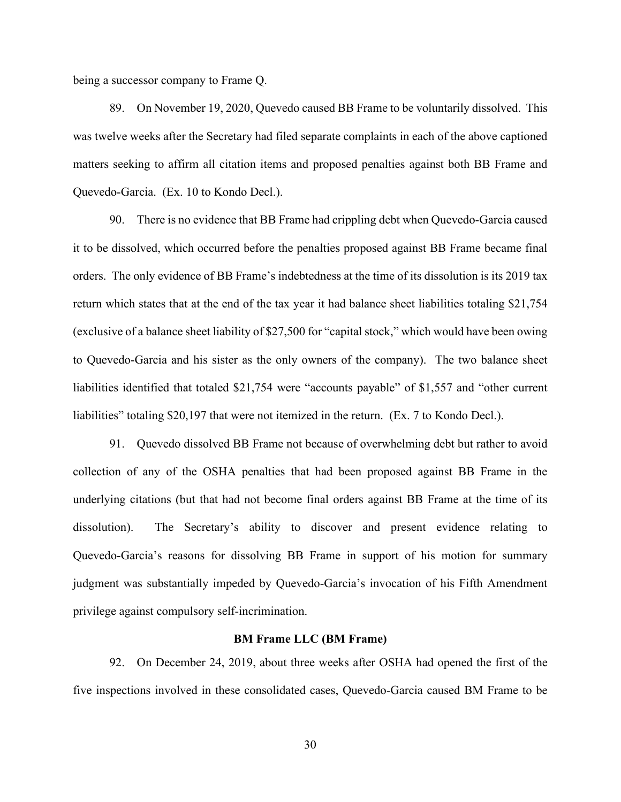being a successor company to Frame Q.

89. On November 19, 2020, Quevedo caused BB Frame to be voluntarily dissolved. This was twelve weeks after the Secretary had filed separate complaints in each of the above captioned matters seeking to affirm all citation items and proposed penalties against both BB Frame and Quevedo-Garcia. (Ex. 10 to Kondo Decl.).

90. There is no evidence that BB Frame had crippling debt when Quevedo-Garcia caused it to be dissolved, which occurred before the penalties proposed against BB Frame became final orders. The only evidence of BB Frame's indebtedness at the time of its dissolution is its 2019 tax return which states that at the end of the tax year it had balance sheet liabilities totaling \$21,754 (exclusive of a balance sheet liability of \$27,500 for "capital stock," which would have been owing to Quevedo-Garcia and his sister as the only owners of the company). The two balance sheet liabilities identified that totaled \$21,754 were "accounts payable" of \$1,557 and "other current liabilities" totaling \$20,197 that were not itemized in the return. (Ex. 7 to Kondo Decl.).

91. Quevedo dissolved BB Frame not because of overwhelming debt but rather to avoid collection of any of the OSHA penalties that had been proposed against BB Frame in the underlying citations (but that had not become final orders against BB Frame at the time of its dissolution). The Secretary's ability to discover and present evidence relating to Quevedo-Garcia's reasons for dissolving BB Frame in support of his motion for summary judgment was substantially impeded by Quevedo-Garcia's invocation of his Fifth Amendment privilege against compulsory self-incrimination.

#### **BM Frame LLC (BM Frame)**

92. On December 24, 2019, about three weeks after OSHA had opened the first of the five inspections involved in these consolidated cases, Quevedo-Garcia caused BM Frame to be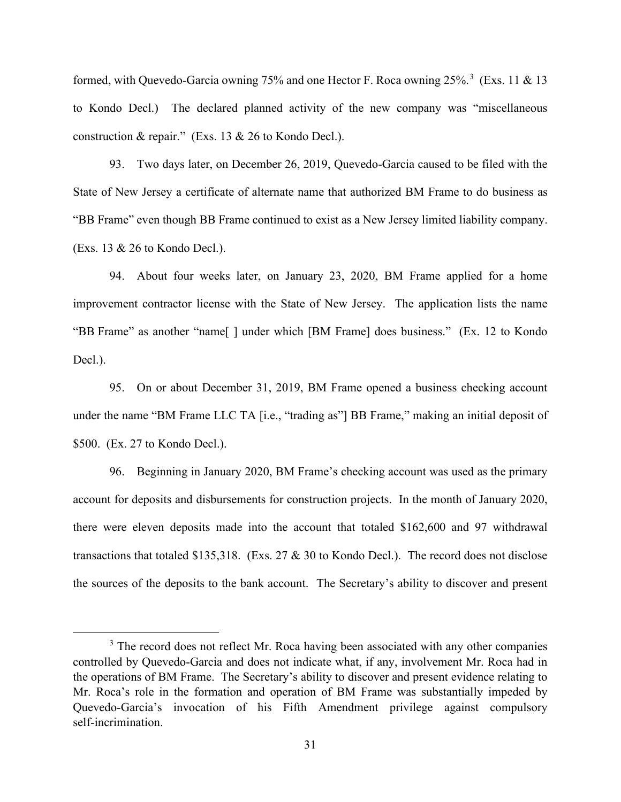formed, with Quevedo-Garcia owning 75% and one Hector F. Roca owning 25%.<sup>3</sup> (Exs. 11 & 13 to Kondo Decl.) The declared planned activity of the new company was "miscellaneous construction & repair." (Exs. 13 & 26 to Kondo Decl.).

93. Two days later, on December 26, 2019, Quevedo-Garcia caused to be filed with the State of New Jersey a certificate of alternate name that authorized BM Frame to do business as "BB Frame" even though BB Frame continued to exist as a New Jersey limited liability company. (Exs. 13 & 26 to Kondo Decl.).

94. About four weeks later, on January 23, 2020, BM Frame applied for a home improvement contractor license with the State of New Jersey. The application lists the name "BB Frame" as another "name[ ] under which [BM Frame] does business." (Ex. 12 to Kondo Decl.).

95. On or about December 31, 2019, BM Frame opened a business checking account under the name "BM Frame LLC TA [i.e., "trading as"] BB Frame," making an initial deposit of \$500. (Ex. 27 to Kondo Decl.).

96. Beginning in January 2020, BM Frame's checking account was used as the primary account for deposits and disbursements for construction projects. In the month of January 2020, there were eleven deposits made into the account that totaled \$162,600 and 97 withdrawal transactions that totaled \$135,318. (Exs. 27 & 30 to Kondo Decl.). The record does not disclose the sources of the deposits to the bank account. The Secretary's ability to discover and present

<sup>&</sup>lt;sup>3</sup> The record does not reflect Mr. Roca having been associated with any other companies controlled by Quevedo-Garcia and does not indicate what, if any, involvement Mr. Roca had in the operations of BM Frame. The Secretary's ability to discover and present evidence relating to Mr. Roca's role in the formation and operation of BM Frame was substantially impeded by Quevedo-Garcia's invocation of his Fifth Amendment privilege against compulsory self-incrimination.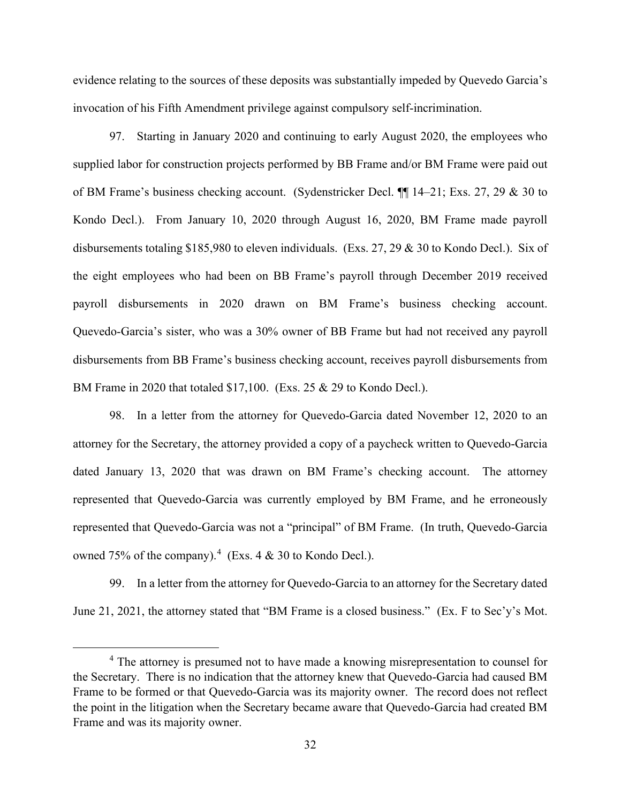evidence relating to the sources of these deposits was substantially impeded by Quevedo Garcia's invocation of his Fifth Amendment privilege against compulsory self-incrimination.

97. Starting in January 2020 and continuing to early August 2020, the employees who supplied labor for construction projects performed by BB Frame and/or BM Frame were paid out of BM Frame's business checking account. (Sydenstricker Decl. ¶¶ 14–21; Exs. 27, 29 & 30 to Kondo Decl.). From January 10, 2020 through August 16, 2020, BM Frame made payroll disbursements totaling \$185,980 to eleven individuals. (Exs. 27, 29 & 30 to Kondo Decl.). Six of the eight employees who had been on BB Frame's payroll through December 2019 received payroll disbursements in 2020 drawn on BM Frame's business checking account. Quevedo-Garcia's sister, who was a 30% owner of BB Frame but had not received any payroll disbursements from BB Frame's business checking account, receives payroll disbursements from BM Frame in 2020 that totaled \$17,100. (Exs. 25 & 29 to Kondo Decl.).

98. In a letter from the attorney for Quevedo-Garcia dated November 12, 2020 to an attorney for the Secretary, the attorney provided a copy of a paycheck written to Quevedo-Garcia dated January 13, 2020 that was drawn on BM Frame's checking account. The attorney represented that Quevedo-Garcia was currently employed by BM Frame, and he erroneously represented that Quevedo-Garcia was not a "principal" of BM Frame. (In truth, Quevedo-Garcia owned 75% of the company).<sup>4</sup> (Exs. 4  $\&$  30 to Kondo Decl.).

99. In a letter from the attorney for Quevedo-Garcia to an attorney for the Secretary dated June 21, 2021, the attorney stated that "BM Frame is a closed business." (Ex. F to Sec'y's Mot.

<sup>&</sup>lt;sup>4</sup> The attorney is presumed not to have made a knowing misrepresentation to counsel for the Secretary. There is no indication that the attorney knew that Quevedo-Garcia had caused BM Frame to be formed or that Quevedo-Garcia was its majority owner. The record does not reflect the point in the litigation when the Secretary became aware that Quevedo-Garcia had created BM Frame and was its majority owner.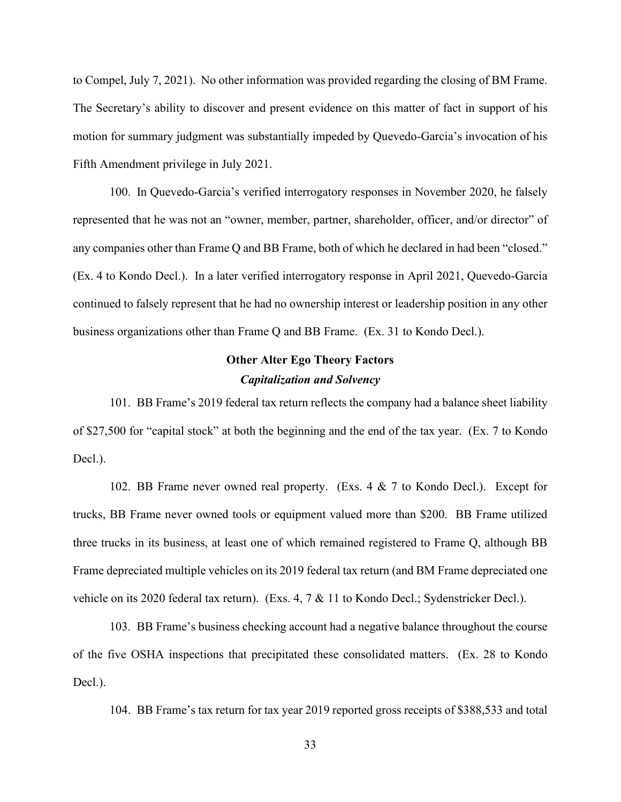to Compel, July 7, 2021). No other information was provided regarding the closing of BM Frame. The Secretary's ability to discover and present evidence on this matter of fact in support of his motion for summary judgment was substantially impeded by Quevedo-Garcia's invocation of his Fifth Amendment privilege in July 2021.

100. In Quevedo-Garcia's verified interrogatory responses in November 2020, he falsely represented that he was not an "owner, member, partner, shareholder, officer, and/or director" of any companies other than Frame Q and BB Frame, both of which he declared in had been "closed." (Ex. 4 to Kondo Decl.). In a later verified interrogatory response in April 2021, Quevedo-Garcia continued to falsely represent that he had no ownership interest or leadership position in any other business organizations other than Frame Q and BB Frame. (Ex. 31 to Kondo Decl.).

# **Other Alter Ego Theory Factors** *Capitalization and Solvency*

101. BB Frame's 2019 federal tax return reflects the company had a balance sheet liability of \$27,500 for "capital stock" at both the beginning and the end of the tax year. (Ex. 7 to Kondo Decl.).

102. BB Frame never owned real property. (Exs. 4 & 7 to Kondo Decl.). Except for trucks, BB Frame never owned tools or equipment valued more than \$200. BB Frame utilized three trucks in its business, at least one of which remained registered to Frame Q, although BB Frame depreciated multiple vehicles on its 2019 federal tax return (and BM Frame depreciated one vehicle on its 2020 federal tax return). (Exs. 4, 7 & 11 to Kondo Decl.; Sydenstricker Decl.).

103. BB Frame's business checking account had a negative balance throughout the course of the five OSHA inspections that precipitated these consolidated matters. (Ex. 28 to Kondo Decl.).

104. BB Frame's tax return for tax year 2019 reported gross receipts of \$388,533 and total

33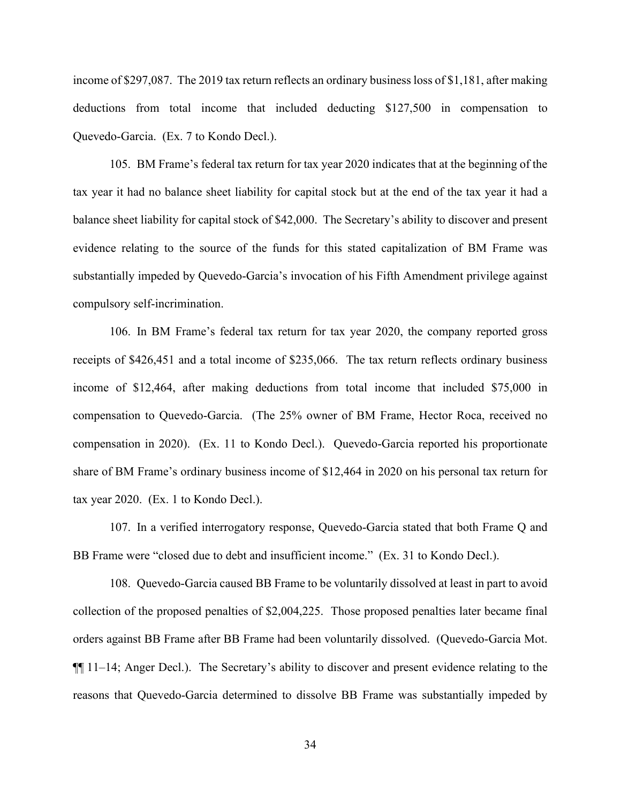income of \$297,087. The 2019 tax return reflects an ordinary business loss of \$1,181, after making deductions from total income that included deducting \$127,500 in compensation to Quevedo-Garcia. (Ex. 7 to Kondo Decl.).

105. BM Frame's federal tax return for tax year 2020 indicates that at the beginning of the tax year it had no balance sheet liability for capital stock but at the end of the tax year it had a balance sheet liability for capital stock of \$42,000. The Secretary's ability to discover and present evidence relating to the source of the funds for this stated capitalization of BM Frame was substantially impeded by Quevedo-Garcia's invocation of his Fifth Amendment privilege against compulsory self-incrimination.

106. In BM Frame's federal tax return for tax year 2020, the company reported gross receipts of \$426,451 and a total income of \$235,066. The tax return reflects ordinary business income of \$12,464, after making deductions from total income that included \$75,000 in compensation to Quevedo-Garcia. (The 25% owner of BM Frame, Hector Roca, received no compensation in 2020). (Ex. 11 to Kondo Decl.). Quevedo-Garcia reported his proportionate share of BM Frame's ordinary business income of \$12,464 in 2020 on his personal tax return for tax year 2020. (Ex. 1 to Kondo Decl.).

107. In a verified interrogatory response, Quevedo-Garcia stated that both Frame Q and BB Frame were "closed due to debt and insufficient income." (Ex. 31 to Kondo Decl.).

108. Quevedo-Garcia caused BB Frame to be voluntarily dissolved at least in part to avoid collection of the proposed penalties of \$2,004,225. Those proposed penalties later became final orders against BB Frame after BB Frame had been voluntarily dissolved. (Quevedo-Garcia Mot. ¶¶ 11–14; Anger Decl.). The Secretary's ability to discover and present evidence relating to the reasons that Quevedo-Garcia determined to dissolve BB Frame was substantially impeded by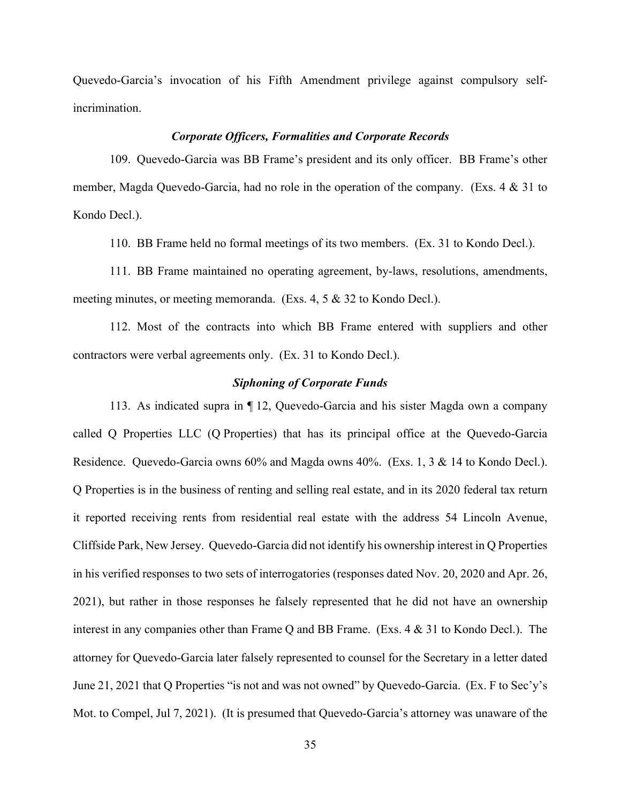Quevedo-Garcia's invocation of his Fifth Amendment privilege against compulsory selfincrimination.

### *Corporate Officers, Formalities and Corporate Records*

109. Quevedo-Garcia was BB Frame's president and its only officer. BB Frame's other member, Magda Quevedo-Garcia, had no role in the operation of the company. (Exs. 4 & 31 to Kondo Decl.).

110. BB Frame held no formal meetings of its two members. (Ex. 31 to Kondo Decl.).

111. BB Frame maintained no operating agreement, by-laws, resolutions, amendments, meeting minutes, or meeting memoranda. (Exs. 4, 5 & 32 to Kondo Decl.).

112. Most of the contracts into which BB Frame entered with suppliers and other contractors were verbal agreements only. (Ex. 31 to Kondo Decl.).

### *Siphoning of Corporate Funds*

113. As indicated supra in ¶ 12, Quevedo-Garcia and his sister Magda own a company called Q Properties LLC (Q Properties) that has its principal office at the Quevedo-Garcia Residence. Quevedo-Garcia owns 60% and Magda owns 40%. (Exs. 1, 3 & 14 to Kondo Decl.). Q Properties is in the business of renting and selling real estate, and in its 2020 federal tax return it reported receiving rents from residential real estate with the address 54 Lincoln Avenue, Cliffside Park, New Jersey. Quevedo-Garcia did not identify his ownership interest in Q Properties in his verified responses to two sets of interrogatories (responses dated Nov. 20, 2020 and Apr. 26, 2021), but rather in those responses he falsely represented that he did not have an ownership interest in any companies other than Frame Q and BB Frame. (Exs. 4 & 31 to Kondo Decl.). The attorney for Quevedo-Garcia later falsely represented to counsel for the Secretary in a letter dated June 21, 2021 that Q Properties "is not and was not owned" by Quevedo-Garcia. (Ex. F to Sec'y's Mot. to Compel, Jul 7, 2021). (It is presumed that Quevedo-Garcia's attorney was unaware of the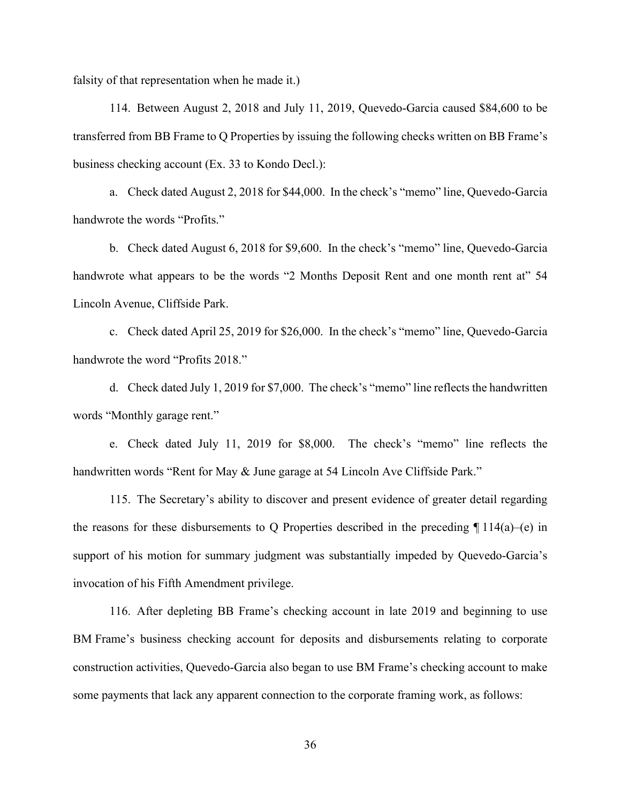falsity of that representation when he made it.)

114. Between August 2, 2018 and July 11, 2019, Quevedo-Garcia caused \$84,600 to be transferred from BB Frame to Q Properties by issuing the following checks written on BB Frame's business checking account (Ex. 33 to Kondo Decl.):

a. Check dated August 2, 2018 for \$44,000. In the check's "memo" line, Quevedo-Garcia handwrote the words "Profits."

b. Check dated August 6, 2018 for \$9,600. In the check's "memo" line, Quevedo-Garcia handwrote what appears to be the words "2 Months Deposit Rent and one month rent at" 54 Lincoln Avenue, Cliffside Park.

c. Check dated April 25, 2019 for \$26,000. In the check's "memo" line, Quevedo-Garcia handwrote the word "Profits 2018."

d. Check dated July 1, 2019 for \$7,000. The check's "memo" line reflects the handwritten words "Monthly garage rent."

e. Check dated July 11, 2019 for \$8,000. The check's "memo" line reflects the handwritten words "Rent for May & June garage at 54 Lincoln Ave Cliffside Park."

115. The Secretary's ability to discover and present evidence of greater detail regarding the reasons for these disbursements to Q Properties described in the preceding  $\P$  114(a)–(e) in support of his motion for summary judgment was substantially impeded by Quevedo-Garcia's invocation of his Fifth Amendment privilege.

116. After depleting BB Frame's checking account in late 2019 and beginning to use BM Frame's business checking account for deposits and disbursements relating to corporate construction activities, Quevedo-Garcia also began to use BM Frame's checking account to make some payments that lack any apparent connection to the corporate framing work, as follows:

36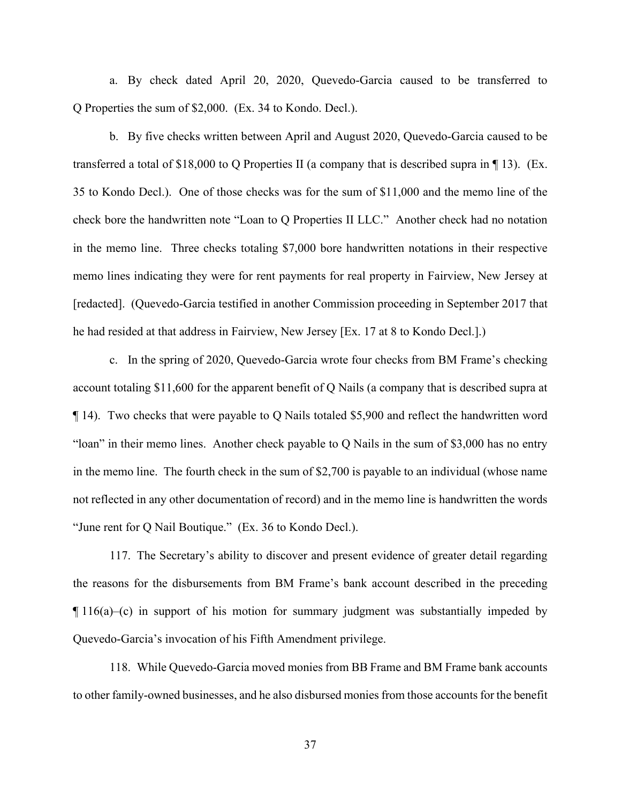a. By check dated April 20, 2020, Quevedo-Garcia caused to be transferred to Q Properties the sum of \$2,000. (Ex. 34 to Kondo. Decl.).

b. By five checks written between April and August 2020, Quevedo-Garcia caused to be transferred a total of \$18,000 to Q Properties II (a company that is described supra in ¶ 13). (Ex. 35 to Kondo Decl.). One of those checks was for the sum of \$11,000 and the memo line of the check bore the handwritten note "Loan to Q Properties II LLC." Another check had no notation in the memo line. Three checks totaling \$7,000 bore handwritten notations in their respective memo lines indicating they were for rent payments for real property in Fairview, New Jersey at [redacted]. (Quevedo-Garcia testified in another Commission proceeding in September 2017 that he had resided at that address in Fairview, New Jersey [Ex. 17 at 8 to Kondo Decl.].)

c. In the spring of 2020, Quevedo-Garcia wrote four checks from BM Frame's checking account totaling \$11,600 for the apparent benefit of Q Nails (a company that is described supra at ¶ 14). Two checks that were payable to Q Nails totaled \$5,900 and reflect the handwritten word "loan" in their memo lines. Another check payable to Q Nails in the sum of \$3,000 has no entry in the memo line. The fourth check in the sum of \$2,700 is payable to an individual (whose name not reflected in any other documentation of record) and in the memo line is handwritten the words "June rent for Q Nail Boutique." (Ex. 36 to Kondo Decl.).

117. The Secretary's ability to discover and present evidence of greater detail regarding the reasons for the disbursements from BM Frame's bank account described in the preceding  $\P$  116(a)–(c) in support of his motion for summary judgment was substantially impeded by Quevedo-Garcia's invocation of his Fifth Amendment privilege.

118. While Quevedo-Garcia moved monies from BB Frame and BM Frame bank accounts to other family-owned businesses, and he also disbursed monies from those accounts for the benefit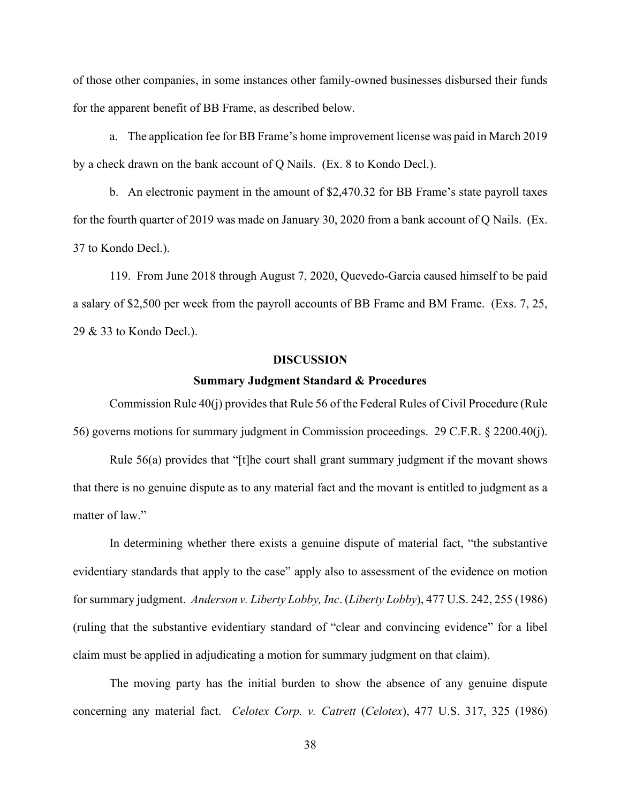of those other companies, in some instances other family-owned businesses disbursed their funds for the apparent benefit of BB Frame, as described below.

a. The application fee for BB Frame's home improvement license was paid in March 2019 by a check drawn on the bank account of Q Nails. (Ex. 8 to Kondo Decl.).

b. An electronic payment in the amount of \$2,470.32 for BB Frame's state payroll taxes for the fourth quarter of 2019 was made on January 30, 2020 from a bank account of Q Nails. (Ex. 37 to Kondo Decl.).

119. From June 2018 through August 7, 2020, Quevedo-Garcia caused himself to be paid a salary of \$2,500 per week from the payroll accounts of BB Frame and BM Frame. (Exs. 7, 25, 29 & 33 to Kondo Decl.).

### **DISCUSSION**

#### **Summary Judgment Standard & Procedures**

Commission Rule 40(j) provides that Rule 56 of the Federal Rules of Civil Procedure (Rule 56) governs motions for summary judgment in Commission proceedings. 29 C.F.R. § 2200.40(j).

Rule 56(a) provides that "[t]he court shall grant summary judgment if the movant shows that there is no genuine dispute as to any material fact and the movant is entitled to judgment as a matter of law."

In determining whether there exists a genuine dispute of material fact, "the substantive evidentiary standards that apply to the case" apply also to assessment of the evidence on motion for summary judgment. *Anderson v. Liberty Lobby, Inc*. (*Liberty Lobby*), 477 U.S. 242, 255 (1986) (ruling that the substantive evidentiary standard of "clear and convincing evidence" for a libel claim must be applied in adjudicating a motion for summary judgment on that claim).

The moving party has the initial burden to show the absence of any genuine dispute concerning any material fact. *Celotex Corp. v. Catrett* (*Celotex*), 477 U.S. 317, 325 (1986)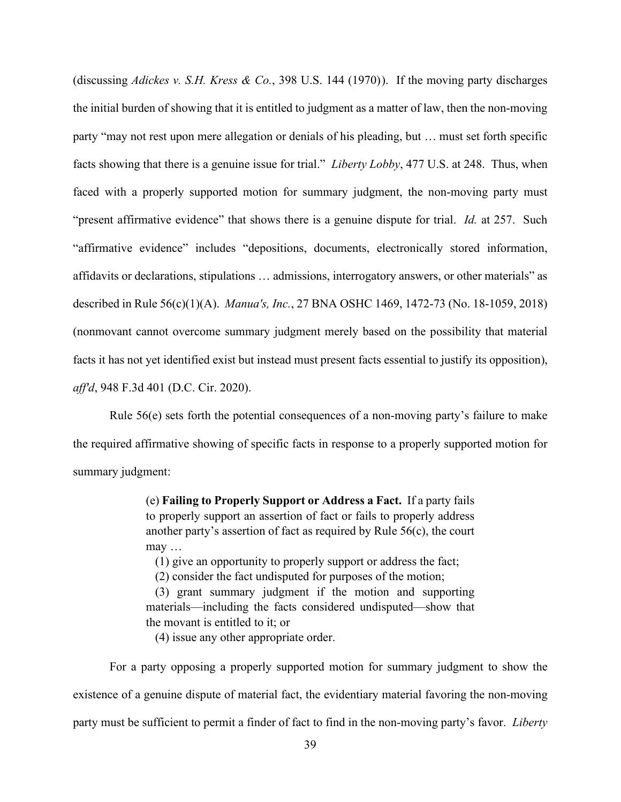(discussing *Adickes v. S.H. Kress & Co.*, 398 U.S. 144 (1970)). If the moving party discharges the initial burden of showing that it is entitled to judgment as a matter of law, then the non-moving party "may not rest upon mere allegation or denials of his pleading, but … must set forth specific facts showing that there is a genuine issue for trial." *Liberty Lobby*, 477 U.S. at 248. Thus, when faced with a properly supported motion for summary judgment, the non-moving party must "present affirmative evidence" that shows there is a genuine dispute for trial. *Id.* at 257. Such "affirmative evidence" includes "depositions, documents, electronically stored information, affidavits or declarations, stipulations … admissions, interrogatory answers, or other materials" as described in Rule 56(c)(1)(A). *Manua's, Inc.*, 27 BNA OSHC 1469, 1472-73 (No. 18-1059, 2018) (nonmovant cannot overcome summary judgment merely based on the possibility that material facts it has not yet identified exist but instead must present facts essential to justify its opposition), *aff'd*, 948 F.3d 401 (D.C. Cir. 2020).

Rule 56(e) sets forth the potential consequences of a non-moving party's failure to make the required affirmative showing of specific facts in response to a properly supported motion for summary judgment:

> (e) **Failing to Properly Support or Address a Fact.** If a party fails to properly support an assertion of fact or fails to properly address another party's assertion of fact as required by Rule 56(c), the court may …

(1) give an opportunity to properly support or address the fact;

(2) consider the fact undisputed for purposes of the motion;

(3) grant summary judgment if the motion and supporting materials—including the facts considered undisputed—show that the movant is entitled to it; or

(4) issue any other appropriate order.

For a party opposing a properly supported motion for summary judgment to show the existence of a genuine dispute of material fact, the evidentiary material favoring the non-moving party must be sufficient to permit a finder of fact to find in the non-moving party's favor. *Liberty*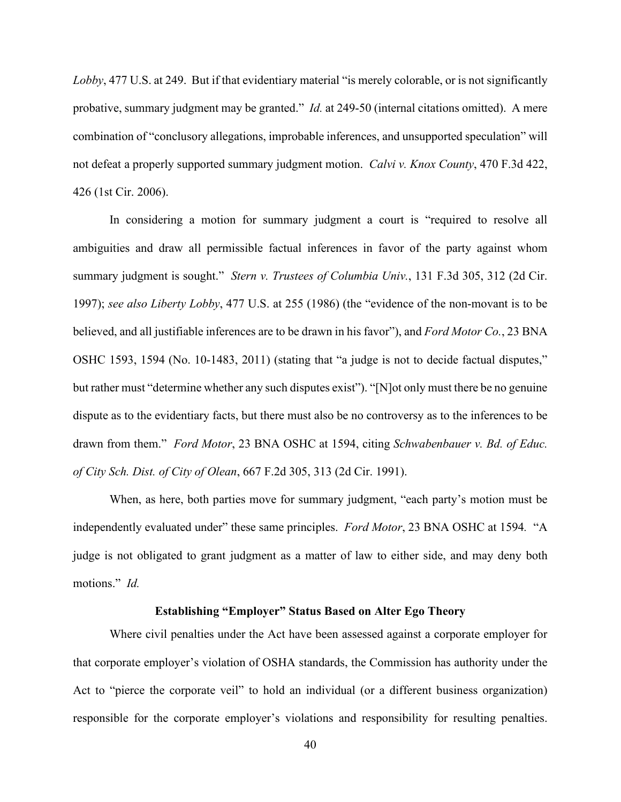*Lobby*, 477 U.S. at 249. But if that evidentiary material "is merely colorable, or is not significantly probative, summary judgment may be granted." *Id.* at 249-50 (internal citations omitted). A mere combination of "conclusory allegations, improbable inferences, and unsupported speculation" will not defeat a properly supported summary judgment motion. *Calvi v. Knox County*, 470 F.3d 422, 426 (1st Cir. 2006).

In considering a motion for summary judgment a court is "required to resolve all ambiguities and draw all permissible factual inferences in favor of the party against whom summary judgment is sought." *Stern v. Trustees of Columbia Univ.*, 131 F.3d 305, 312 (2d Cir. 1997); *see also Liberty Lobby*, 477 U.S. at 255 (1986) (the "evidence of the non-movant is to be believed, and all justifiable inferences are to be drawn in his favor"), and *Ford Motor Co.*, 23 BNA OSHC 1593, 1594 (No. 10-1483, 2011) (stating that "a judge is not to decide factual disputes," but rather must "determine whether any such disputes exist"). "[N]ot only must there be no genuine dispute as to the evidentiary facts, but there must also be no controversy as to the inferences to be drawn from them." *Ford Motor*, 23 BNA OSHC at 1594, citing *Schwabenbauer v. Bd. of Educ. of City Sch. Dist. of City of Olean*, 667 F.2d 305, 313 (2d Cir. 1991).

When, as here, both parties move for summary judgment, "each party's motion must be independently evaluated under" these same principles. *Ford Motor*, 23 BNA OSHC at 1594*.* "A judge is not obligated to grant judgment as a matter of law to either side, and may deny both motions." *Id.*

#### **Establishing "Employer" Status Based on Alter Ego Theory**

Where civil penalties under the Act have been assessed against a corporate employer for that corporate employer's violation of OSHA standards, the Commission has authority under the Act to "pierce the corporate veil" to hold an individual (or a different business organization) responsible for the corporate employer's violations and responsibility for resulting penalties.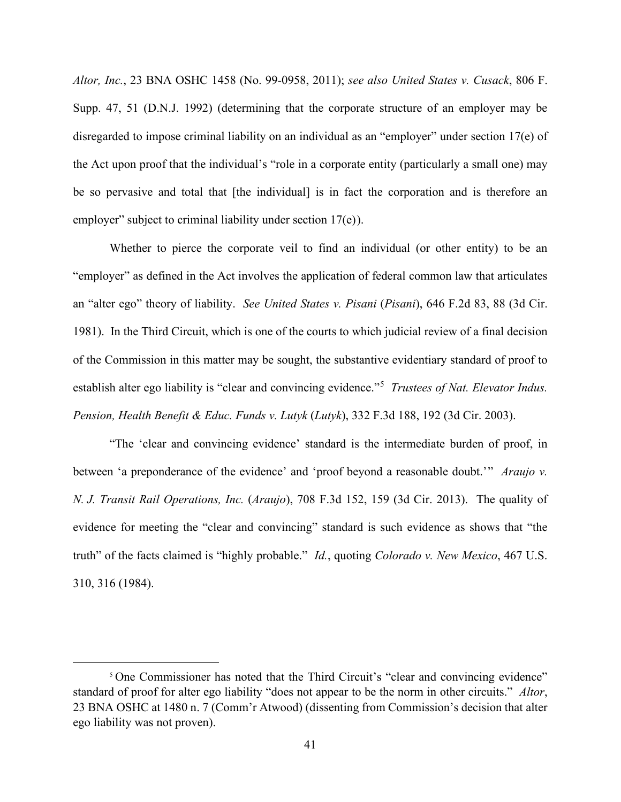*Altor, Inc.*, 23 BNA OSHC 1458 (No. 99-0958, 2011); *see also United States v. Cusack*, 806 F. Supp. 47, 51 (D.N.J. 1992) (determining that the corporate structure of an employer may be disregarded to impose criminal liability on an individual as an "employer" under section 17(e) of the Act upon proof that the individual's "role in a corporate entity (particularly a small one) may be so pervasive and total that [the individual] is in fact the corporation and is therefore an employer" subject to criminal liability under section 17(e)).

Whether to pierce the corporate veil to find an individual (or other entity) to be an "employer" as defined in the Act involves the application of federal common law that articulates an "alter ego" theory of liability. *See United States v. Pisani* (*Pisani*), 646 F.2d 83, 88 (3d Cir. 1981). In the Third Circuit, which is one of the courts to which judicial review of a final decision of the Commission in this matter may be sought, the substantive evidentiary standard of proof to establish alter ego liability is "clear and convincing evidence."<sup>5</sup> *Trustees of Nat. Elevator Indus. Pension, Health Benefit & Educ. Funds v. Lutyk* (*Lutyk*), 332 F.3d 188, 192 (3d Cir. 2003).

"The 'clear and convincing evidence' standard is the intermediate burden of proof, in between 'a preponderance of the evidence' and 'proof beyond a reasonable doubt.'" *Araujo v. N. J. Transit Rail Operations, Inc.* (*Araujo*), 708 F.3d 152, 159 (3d Cir. 2013). The quality of evidence for meeting the "clear and convincing" standard is such evidence as shows that "the truth" of the facts claimed is "highly probable." *Id.*, quoting *Colorado v. New Mexico*, 467 U.S. 310, 316 (1984).

<sup>&</sup>lt;sup>5</sup> One Commissioner has noted that the Third Circuit's "clear and convincing evidence" standard of proof for alter ego liability "does not appear to be the norm in other circuits." *Altor*, 23 BNA OSHC at 1480 n. 7 (Comm'r Atwood) (dissenting from Commission's decision that alter ego liability was not proven).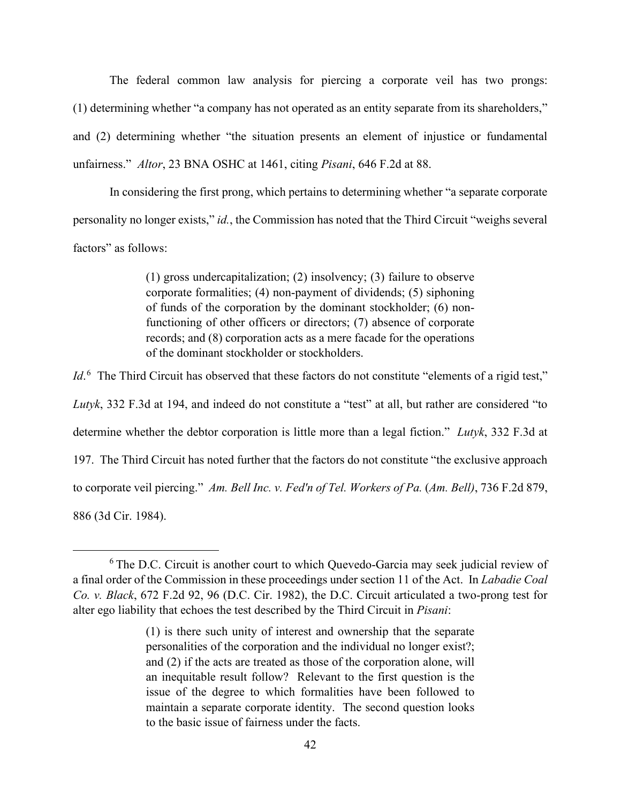The federal common law analysis for piercing a corporate veil has two prongs: (1) determining whether "a company has not operated as an entity separate from its shareholders," and (2) determining whether "the situation presents an element of injustice or fundamental unfairness." *Altor*, 23 BNA OSHC at 1461, citing *Pisani*, 646 F.2d at 88.

In considering the first prong, which pertains to determining whether "a separate corporate personality no longer exists," *id.*, the Commission has noted that the Third Circuit "weighs several factors" as follows:

> (1) gross undercapitalization; (2) insolvency; (3) failure to observe corporate formalities; (4) non-payment of dividends; (5) siphoning of funds of the corporation by the dominant stockholder; (6) nonfunctioning of other officers or directors; (7) absence of corporate records; and (8) corporation acts as a mere facade for the operations of the dominant stockholder or stockholders.

*Id*.<sup>6</sup> The Third Circuit has observed that these factors do not constitute "elements of a rigid test," *Lutyk*, 332 F.3d at 194, and indeed do not constitute a "test" at all, but rather are considered "to determine whether the debtor corporation is little more than a legal fiction." *Lutyk*, 332 F.3d at 197. The Third Circuit has noted further that the factors do not constitute "the exclusive approach to corporate veil piercing." *Am. Bell Inc. v. Fed'n of Tel. Workers of Pa.* (*Am. Bell)*, 736 F.2d 879, 886 (3d Cir. 1984).

<sup>&</sup>lt;sup>6</sup> The D.C. Circuit is another court to which Quevedo-Garcia may seek judicial review of a final order of the Commission in these proceedings under section 11 of the Act. In *Labadie Coal Co. v. Black*, 672 F.2d 92, 96 (D.C. Cir. 1982), the D.C. Circuit articulated a two-prong test for alter ego liability that echoes the test described by the Third Circuit in *Pisani*:

<sup>(1)</sup> is there such unity of interest and ownership that the separate personalities of the corporation and the individual no longer exist?; and (2) if the acts are treated as those of the corporation alone, will an inequitable result follow? Relevant to the first question is the issue of the degree to which formalities have been followed to maintain a separate corporate identity. The second question looks to the basic issue of fairness under the facts.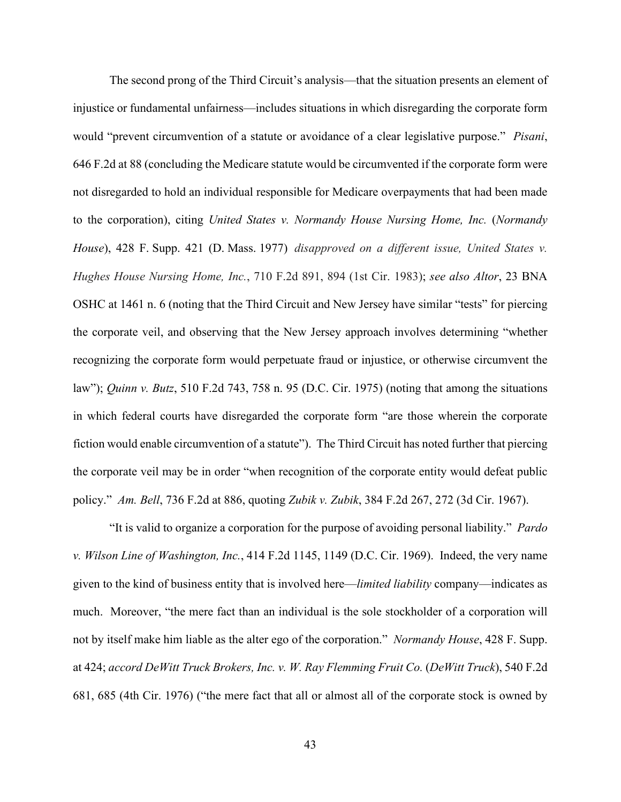The second prong of the Third Circuit's analysis—that the situation presents an element of injustice or fundamental unfairness—includes situations in which disregarding the corporate form would "prevent circumvention of a statute or avoidance of a clear legislative purpose." *Pisani*, 646 F.2d at 88 (concluding the Medicare statute would be circumvented if the corporate form were not disregarded to hold an individual responsible for Medicare overpayments that had been made to the corporation), citing *United States v. Normandy House Nursing Home, Inc.* (*Normandy House*), 428 F. Supp. 421 (D. Mass. 1977) *disapproved on a different issue, United States v. Hughes House Nursing Home, Inc.*, 710 F.2d 891, 894 (1st Cir. 1983); *see also Altor*, 23 BNA OSHC at 1461 n. 6 (noting that the Third Circuit and New Jersey have similar "tests" for piercing the corporate veil, and observing that the New Jersey approach involves determining "whether recognizing the corporate form would perpetuate fraud or injustice, or otherwise circumvent the law"); *Quinn v. Butz*, 510 F.2d 743, 758 n. 95 (D.C. Cir. 1975) (noting that among the situations in which federal courts have disregarded the corporate form "are those wherein the corporate fiction would enable circumvention of a statute"). The Third Circuit has noted further that piercing the corporate veil may be in order "when recognition of the corporate entity would defeat public policy." *Am. Bell*, 736 F.2d at 886, quoting *Zubik v. Zubik*, 384 F.2d 267, 272 (3d Cir. 1967).

"It is valid to organize a corporation for the purpose of avoiding personal liability." *Pardo v. Wilson Line of Washington, Inc.*, 414 F.2d 1145, 1149 (D.C. Cir. 1969). Indeed, the very name given to the kind of business entity that is involved here––*limited liability* company––indicates as much. Moreover, "the mere fact than an individual is the sole stockholder of a corporation will not by itself make him liable as the alter ego of the corporation." *Normandy House*, 428 F. Supp. at 424; *accord DeWitt Truck Brokers, Inc. v. W. Ray Flemming Fruit Co.* (*DeWitt Truck*), 540 F.2d 681, 685 (4th Cir. 1976) ("the mere fact that all or almost all of the corporate stock is owned by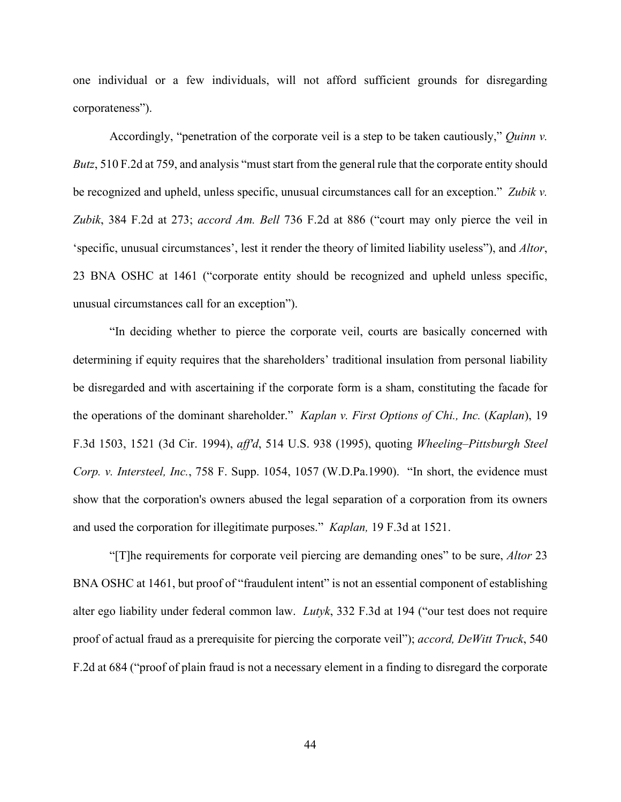one individual or a few individuals, will not afford sufficient grounds for disregarding corporateness").

Accordingly, "penetration of the corporate veil is a step to be taken cautiously," *Quinn v. Butz*, 510 F.2d at 759, and analysis "must start from the general rule that the corporate entity should be recognized and upheld, unless specific, unusual circumstances call for an exception." *Zubik v. Zubik*, 384 F.2d at 273; *accord Am. Bell* 736 F.2d at 886 ("court may only pierce the veil in 'specific, unusual circumstances', lest it render the theory of limited liability useless"), and *Altor*, 23 BNA OSHC at 1461 ("corporate entity should be recognized and upheld unless specific, unusual circumstances call for an exception").

"In deciding whether to pierce the corporate veil, courts are basically concerned with determining if equity requires that the shareholders' traditional insulation from personal liability be disregarded and with ascertaining if the corporate form is a sham, constituting the facade for the operations of the dominant shareholder." *Kaplan v. First Options of Chi., Inc.* (*Kaplan*), 19 F.3d 1503, 1521 (3d Cir. 1994), *aff'd*, 514 U.S. 938 (1995), quoting *Wheeling–Pittsburgh Steel Corp. v. Intersteel, Inc.*, 758 F. Supp. 1054, 1057 (W.D.Pa.1990). "In short, the evidence must show that the corporation's owners abused the legal separation of a corporation from its owners and used the corporation for illegitimate purposes." *Kaplan,* 19 F.3d at 1521.

"[T]he requirements for corporate veil piercing are demanding ones" to be sure, *Altor* 23 BNA OSHC at 1461, but proof of "fraudulent intent" is not an essential component of establishing alter ego liability under federal common law. *Lutyk*, 332 F.3d at 194 ("our test does not require proof of actual fraud as a prerequisite for piercing the corporate veil"); *accord, DeWitt Truck*, 540 F.2d at 684 ("proof of plain fraud is not a necessary element in a finding to disregard the corporate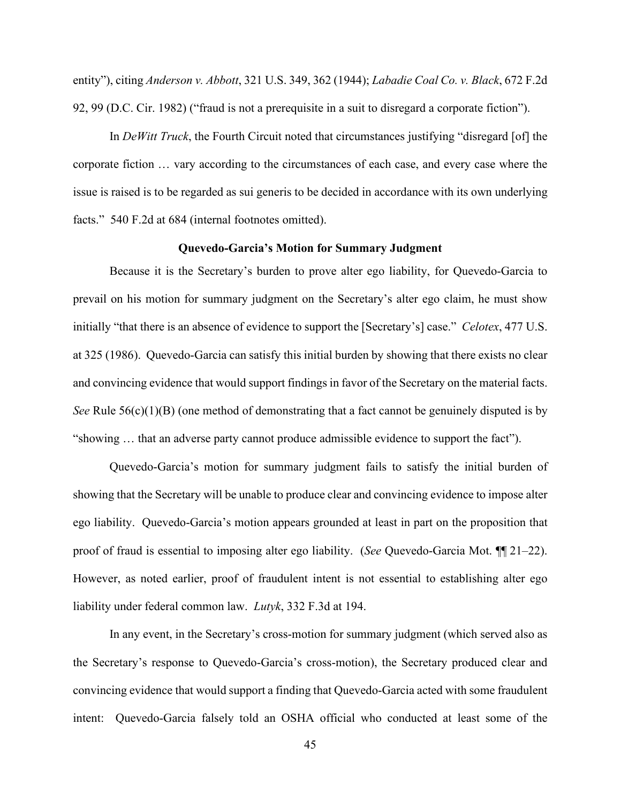entity"), citing *Anderson v. Abbott*, 321 U.S. 349, 362 (1944); *Labadie Coal Co. v. Black*, 672 F.2d 92, 99 (D.C. Cir. 1982) ("fraud is not a prerequisite in a suit to disregard a corporate fiction").

In *DeWitt Truck*, the Fourth Circuit noted that circumstances justifying "disregard [of] the corporate fiction … vary according to the circumstances of each case, and every case where the issue is raised is to be regarded as sui generis to be decided in accordance with its own underlying facts." 540 F.2d at 684 (internal footnotes omitted).

### **Quevedo-Garcia's Motion for Summary Judgment**

Because it is the Secretary's burden to prove alter ego liability, for Quevedo-Garcia to prevail on his motion for summary judgment on the Secretary's alter ego claim, he must show initially "that there is an absence of evidence to support the [Secretary's] case." *Celotex*, 477 U.S. at 325 (1986). Quevedo-Garcia can satisfy this initial burden by showing that there exists no clear and convincing evidence that would support findings in favor of the Secretary on the material facts. *See* Rule  $56(c)(1)(B)$  (one method of demonstrating that a fact cannot be genuinely disputed is by "showing … that an adverse party cannot produce admissible evidence to support the fact").

Quevedo-Garcia's motion for summary judgment fails to satisfy the initial burden of showing that the Secretary will be unable to produce clear and convincing evidence to impose alter ego liability. Quevedo-Garcia's motion appears grounded at least in part on the proposition that proof of fraud is essential to imposing alter ego liability. (*See* Quevedo-Garcia Mot. ¶¶ 21–22). However, as noted earlier, proof of fraudulent intent is not essential to establishing alter ego liability under federal common law. *Lutyk*, 332 F.3d at 194.

In any event, in the Secretary's cross-motion for summary judgment (which served also as the Secretary's response to Quevedo-Garcia's cross-motion), the Secretary produced clear and convincing evidence that would support a finding that Quevedo-Garcia acted with some fraudulent intent: Quevedo-Garcia falsely told an OSHA official who conducted at least some of the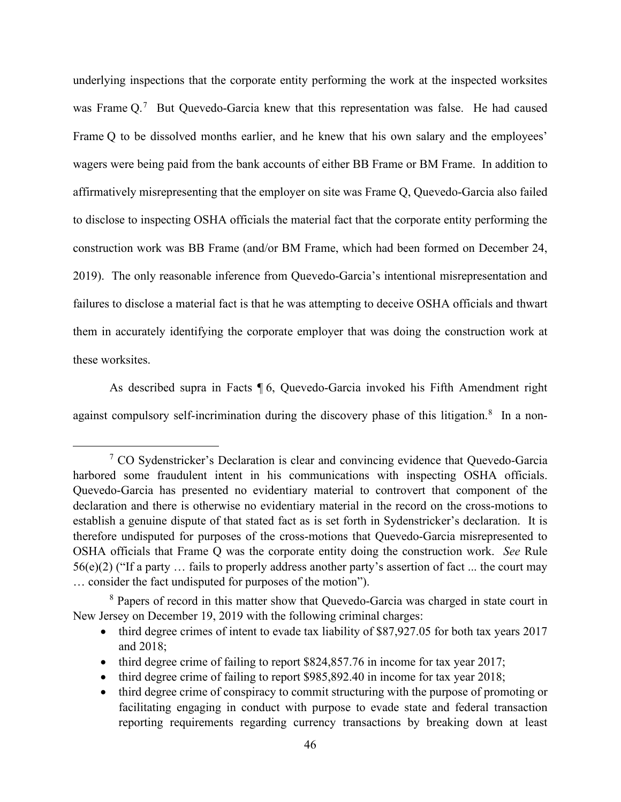underlying inspections that the corporate entity performing the work at the inspected worksites was Frame  $Q^7$  But Quevedo-Garcia knew that this representation was false. He had caused Frame Q to be dissolved months earlier, and he knew that his own salary and the employees' wagers were being paid from the bank accounts of either BB Frame or BM Frame. In addition to affirmatively misrepresenting that the employer on site was Frame Q, Quevedo-Garcia also failed to disclose to inspecting OSHA officials the material fact that the corporate entity performing the construction work was BB Frame (and/or BM Frame, which had been formed on December 24, 2019). The only reasonable inference from Quevedo-Garcia's intentional misrepresentation and failures to disclose a material fact is that he was attempting to deceive OSHA officials and thwart them in accurately identifying the corporate employer that was doing the construction work at these worksites.

As described supra in Facts ¶ 6, Quevedo-Garcia invoked his Fifth Amendment right against compulsory self-incrimination during the discovery phase of this litigation.<sup>8</sup> In a non-

<sup>&</sup>lt;sup>7</sup> CO Sydenstricker's Declaration is clear and convincing evidence that Quevedo-Garcia harbored some fraudulent intent in his communications with inspecting OSHA officials. Quevedo-Garcia has presented no evidentiary material to controvert that component of the declaration and there is otherwise no evidentiary material in the record on the cross-motions to establish a genuine dispute of that stated fact as is set forth in Sydenstricker's declaration. It is therefore undisputed for purposes of the cross-motions that Quevedo-Garcia misrepresented to OSHA officials that Frame Q was the corporate entity doing the construction work. *See* Rule 56(e)(2) ("If a party … fails to properly address another party's assertion of fact ... the court may … consider the fact undisputed for purposes of the motion").

<sup>&</sup>lt;sup>8</sup> Papers of record in this matter show that Quevedo-Garcia was charged in state court in New Jersey on December 19, 2019 with the following criminal charges:

<sup>•</sup> third degree crimes of intent to evade tax liability of \$87,927.05 for both tax years 2017 and 2018;

<sup>•</sup> third degree crime of failing to report \$824,857.76 in income for tax year 2017;

<sup>•</sup> third degree crime of failing to report \$985,892.40 in income for tax year 2018;

<sup>•</sup> third degree crime of conspiracy to commit structuring with the purpose of promoting or facilitating engaging in conduct with purpose to evade state and federal transaction reporting requirements regarding currency transactions by breaking down at least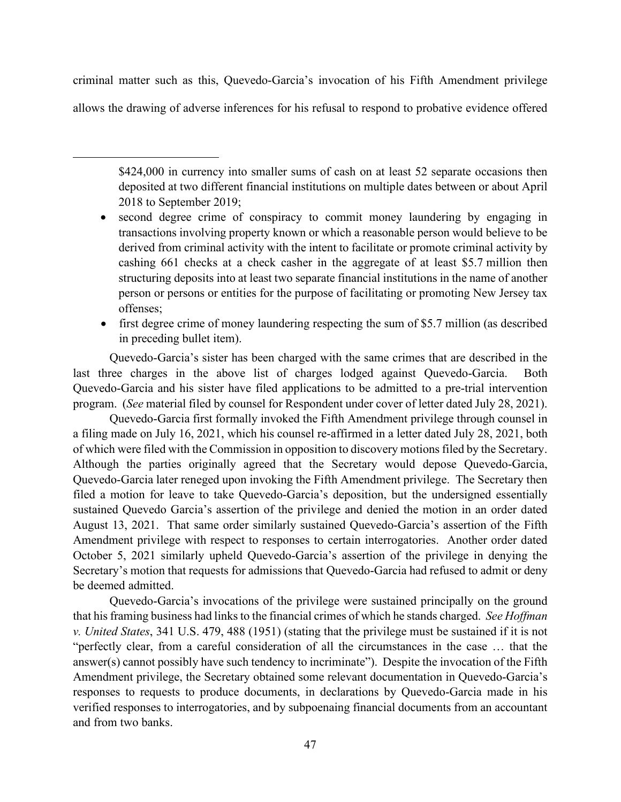criminal matter such as this, Quevedo-Garcia's invocation of his Fifth Amendment privilege allows the drawing of adverse inferences for his refusal to respond to probative evidence offered

\$424,000 in currency into smaller sums of cash on at least 52 separate occasions then deposited at two different financial institutions on multiple dates between or about April 2018 to September 2019;

- second degree crime of conspiracy to commit money laundering by engaging in transactions involving property known or which a reasonable person would believe to be derived from criminal activity with the intent to facilitate or promote criminal activity by cashing 661 checks at a check casher in the aggregate of at least \$5.7 million then structuring deposits into at least two separate financial institutions in the name of another person or persons or entities for the purpose of facilitating or promoting New Jersey tax offenses;
- first degree crime of money laundering respecting the sum of \$5.7 million (as described in preceding bullet item).

Quevedo-Garcia's sister has been charged with the same crimes that are described in the last three charges in the above list of charges lodged against Quevedo-Garcia. Both Quevedo-Garcia and his sister have filed applications to be admitted to a pre-trial intervention program. (*See* material filed by counsel for Respondent under cover of letter dated July 28, 2021).

Quevedo-Garcia first formally invoked the Fifth Amendment privilege through counsel in a filing made on July 16, 2021, which his counsel re-affirmed in a letter dated July 28, 2021, both of which were filed with the Commission in opposition to discovery motionsfiled by the Secretary. Although the parties originally agreed that the Secretary would depose Quevedo-Garcia, Quevedo-Garcia later reneged upon invoking the Fifth Amendment privilege. The Secretary then filed a motion for leave to take Quevedo-Garcia's deposition, but the undersigned essentially sustained Quevedo Garcia's assertion of the privilege and denied the motion in an order dated August 13, 2021. That same order similarly sustained Quevedo-Garcia's assertion of the Fifth Amendment privilege with respect to responses to certain interrogatories. Another order dated October 5, 2021 similarly upheld Quevedo-Garcia's assertion of the privilege in denying the Secretary's motion that requests for admissions that Quevedo-Garcia had refused to admit or deny be deemed admitted.

Quevedo-Garcia's invocations of the privilege were sustained principally on the ground that his framing business had links to the financial crimes of which he stands charged. *See Hoffman v. United States*, 341 U.S. 479, 488 (1951) (stating that the privilege must be sustained if it is not "perfectly clear, from a careful consideration of all the circumstances in the case … that the answer(s) cannot possibly have such tendency to incriminate"). Despite the invocation of the Fifth Amendment privilege, the Secretary obtained some relevant documentation in Quevedo-Garcia's responses to requests to produce documents, in declarations by Quevedo-Garcia made in his verified responses to interrogatories, and by subpoenaing financial documents from an accountant and from two banks.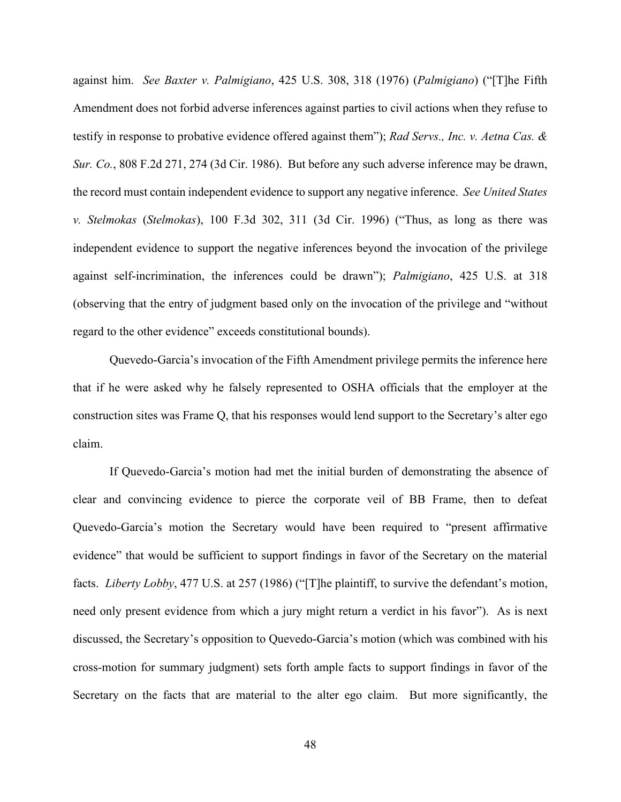against him. *See Baxter v. Palmigiano*, 425 U.S. 308, 318 (1976) (*Palmigiano*) ("[T]he Fifth Amendment does not forbid adverse inferences against parties to civil actions when they refuse to testify in response to probative evidence offered against them"); *Rad Servs., Inc. v. Aetna Cas. & Sur. Co.*, 808 F.2d 271, 274 (3d Cir. 1986). But before any such adverse inference may be drawn, the record must contain independent evidence to support any negative inference. *See United States v. Stelmokas* (*Stelmokas*), 100 F.3d 302, 311 (3d Cir. 1996) ("Thus, as long as there was independent evidence to support the negative inferences beyond the invocation of the privilege against self-incrimination, the inferences could be drawn"); *Palmigiano*, 425 U.S. at 318 (observing that the entry of judgment based only on the invocation of the privilege and "without regard to the other evidence" exceeds constitutional bounds).

Quevedo-Garcia's invocation of the Fifth Amendment privilege permits the inference here that if he were asked why he falsely represented to OSHA officials that the employer at the construction sites was Frame Q, that his responses would lend support to the Secretary's alter ego claim.

If Quevedo-Garcia's motion had met the initial burden of demonstrating the absence of clear and convincing evidence to pierce the corporate veil of BB Frame, then to defeat Quevedo-Garcia's motion the Secretary would have been required to "present affirmative evidence" that would be sufficient to support findings in favor of the Secretary on the material facts. *Liberty Lobby*, 477 U.S. at 257 (1986) ("[T]he plaintiff, to survive the defendant's motion, need only present evidence from which a jury might return a verdict in his favor"). As is next discussed, the Secretary's opposition to Quevedo-Garcia's motion (which was combined with his cross-motion for summary judgment) sets forth ample facts to support findings in favor of the Secretary on the facts that are material to the alter ego claim. But more significantly, the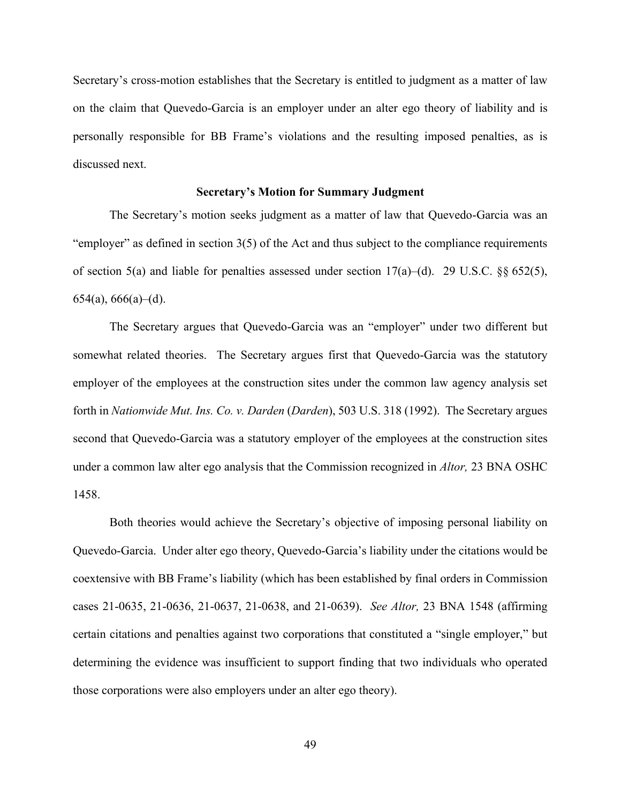Secretary's cross-motion establishes that the Secretary is entitled to judgment as a matter of law on the claim that Quevedo-Garcia is an employer under an alter ego theory of liability and is personally responsible for BB Frame's violations and the resulting imposed penalties, as is discussed next.

### **Secretary's Motion for Summary Judgment**

The Secretary's motion seeks judgment as a matter of law that Quevedo-Garcia was an "employer" as defined in section 3(5) of the Act and thus subject to the compliance requirements of section 5(a) and liable for penalties assessed under section  $17(a)$ –(d). 29 U.S.C. §§ 652(5),  $654(a)$ ,  $666(a)$ –(d).

The Secretary argues that Quevedo-Garcia was an "employer" under two different but somewhat related theories. The Secretary argues first that Quevedo-Garcia was the statutory employer of the employees at the construction sites under the common law agency analysis set forth in *Nationwide Mut. Ins. Co. v. Darden* (*Darden*), 503 U.S. 318 (1992). The Secretary argues second that Quevedo-Garcia was a statutory employer of the employees at the construction sites under a common law alter ego analysis that the Commission recognized in *Altor,* 23 BNA OSHC 1458.

Both theories would achieve the Secretary's objective of imposing personal liability on Quevedo-Garcia. Under alter ego theory, Quevedo-Garcia's liability under the citations would be coextensive with BB Frame's liability (which has been established by final orders in Commission cases 21-0635, 21-0636, 21-0637, 21-0638, and 21-0639). *See Altor,* 23 BNA 1548 (affirming certain citations and penalties against two corporations that constituted a "single employer," but determining the evidence was insufficient to support finding that two individuals who operated those corporations were also employers under an alter ego theory).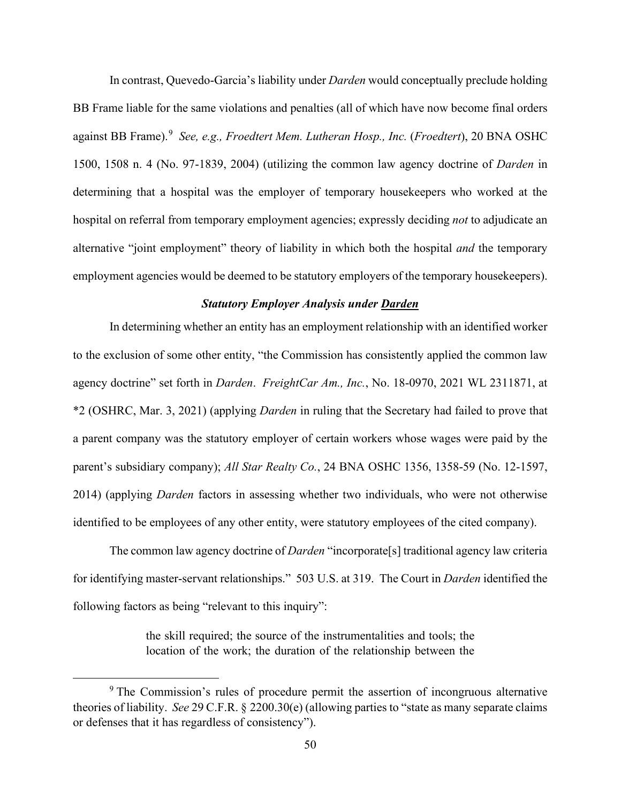In contrast, Quevedo-Garcia's liability under *Darden* would conceptually preclude holding BB Frame liable for the same violations and penalties (all of which have now become final orders against BB Frame).<sup>9</sup> See, e.g., Froedtert Mem. Lutheran Hosp., Inc. (Froedtert), 20 BNA OSHC 1500, 1508 n. 4 (No. 97-1839, 2004) (utilizing the common law agency doctrine of *Darden* in determining that a hospital was the employer of temporary housekeepers who worked at the hospital on referral from temporary employment agencies; expressly deciding *not* to adjudicate an alternative "joint employment" theory of liability in which both the hospital *and* the temporary employment agencies would be deemed to be statutory employers of the temporary housekeepers).

### *Statutory Employer Analysis under Darden*

In determining whether an entity has an employment relationship with an identified worker to the exclusion of some other entity, "the Commission has consistently applied the common law agency doctrine" set forth in *Darden*. *FreightCar Am., Inc.*, No. 18-0970, 2021 WL 2311871, at \*2 (OSHRC, Mar. 3, 2021) (applying *Darden* in ruling that the Secretary had failed to prove that a parent company was the statutory employer of certain workers whose wages were paid by the parent's subsidiary company); *All Star Realty Co.*, 24 BNA OSHC 1356, 1358-59 (No. 12-1597, 2014) (applying *Darden* factors in assessing whether two individuals, who were not otherwise identified to be employees of any other entity, were statutory employees of the cited company).

The common law agency doctrine of *Darden* "incorporate[s] traditional agency law criteria for identifying master-servant relationships." 503 U.S. at 319. The Court in *Darden* identified the following factors as being "relevant to this inquiry":

> the skill required; the source of the instrumentalities and tools; the location of the work; the duration of the relationship between the

<sup>&</sup>lt;sup>9</sup> The Commission's rules of procedure permit the assertion of incongruous alternative theories of liability. *See* 29 C.F.R. § 2200.30(e) (allowing parties to "state as many separate claims or defenses that it has regardless of consistency").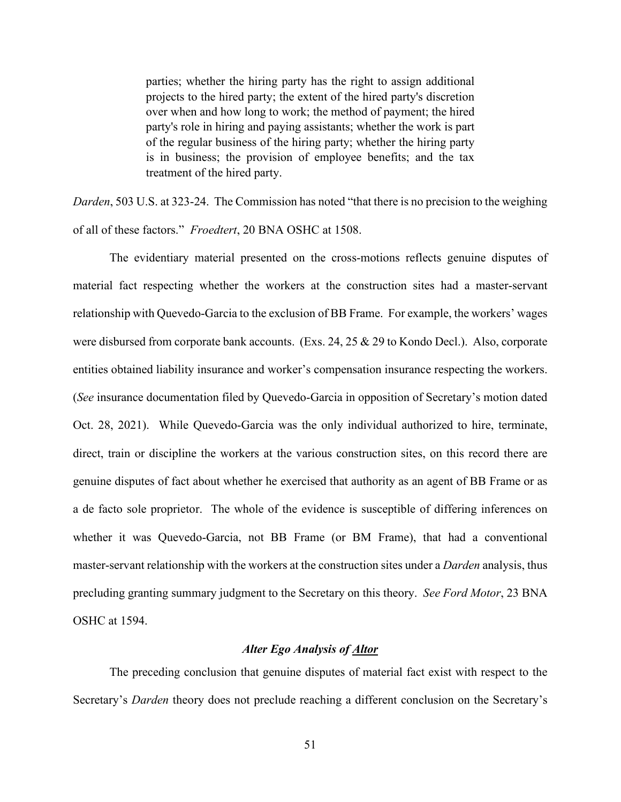parties; whether the hiring party has the right to assign additional projects to the hired party; the extent of the hired party's discretion over when and how long to work; the method of payment; the hired party's role in hiring and paying assistants; whether the work is part of the regular business of the hiring party; whether the hiring party is in business; the provision of employee benefits; and the tax treatment of the hired party.

*Darden*, 503 U.S. at 323-24. The Commission has noted "that there is no precision to the weighing of all of these factors." *Froedtert*, 20 BNA OSHC at 1508.

The evidentiary material presented on the cross-motions reflects genuine disputes of material fact respecting whether the workers at the construction sites had a master-servant relationship with Quevedo-Garcia to the exclusion of BB Frame. For example, the workers' wages were disbursed from corporate bank accounts. (Exs. 24, 25 & 29 to Kondo Decl.). Also, corporate entities obtained liability insurance and worker's compensation insurance respecting the workers. (*See* insurance documentation filed by Quevedo-Garcia in opposition of Secretary's motion dated Oct. 28, 2021). While Quevedo-Garcia was the only individual authorized to hire, terminate, direct, train or discipline the workers at the various construction sites, on this record there are genuine disputes of fact about whether he exercised that authority as an agent of BB Frame or as a de facto sole proprietor. The whole of the evidence is susceptible of differing inferences on whether it was Quevedo-Garcia, not BB Frame (or BM Frame), that had a conventional master-servant relationship with the workers at the construction sites under a *Darden* analysis, thus precluding granting summary judgment to the Secretary on this theory. *See Ford Motor*, 23 BNA OSHC at 1594.

### *Alter Ego Analysis of Altor*

The preceding conclusion that genuine disputes of material fact exist with respect to the Secretary's *Darden* theory does not preclude reaching a different conclusion on the Secretary's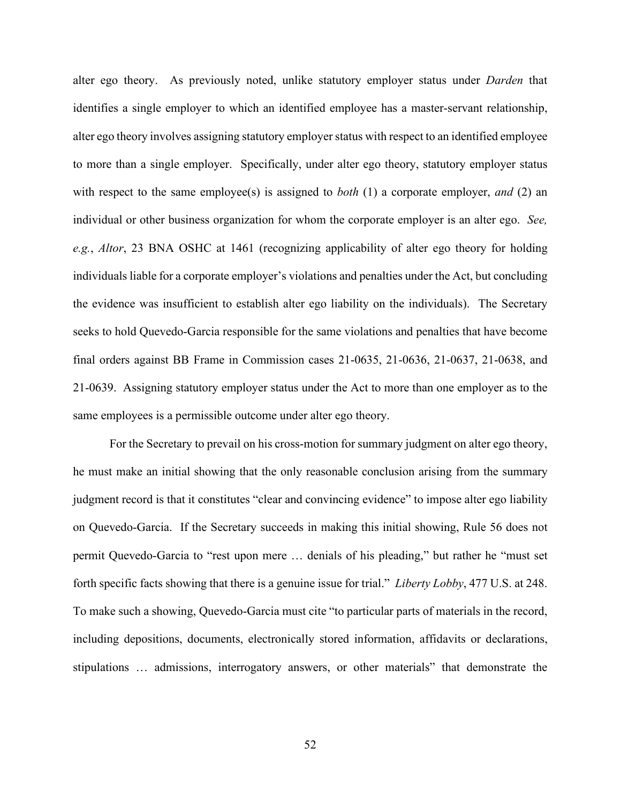alter ego theory. As previously noted, unlike statutory employer status under *Darden* that identifies a single employer to which an identified employee has a master-servant relationship, alter ego theory involves assigning statutory employer status with respect to an identified employee to more than a single employer. Specifically, under alter ego theory, statutory employer status with respect to the same employee(s) is assigned to *both* (1) a corporate employer, *and* (2) an individual or other business organization for whom the corporate employer is an alter ego. *See, e.g.*, *Altor*, 23 BNA OSHC at 1461 (recognizing applicability of alter ego theory for holding individuals liable for a corporate employer's violations and penalties under the Act, but concluding the evidence was insufficient to establish alter ego liability on the individuals). The Secretary seeks to hold Quevedo-Garcia responsible for the same violations and penalties that have become final orders against BB Frame in Commission cases 21-0635, 21-0636, 21-0637, 21-0638, and 21-0639. Assigning statutory employer status under the Act to more than one employer as to the same employees is a permissible outcome under alter ego theory.

For the Secretary to prevail on his cross-motion for summary judgment on alter ego theory, he must make an initial showing that the only reasonable conclusion arising from the summary judgment record is that it constitutes "clear and convincing evidence" to impose alter ego liability on Quevedo-Garcia. If the Secretary succeeds in making this initial showing, Rule 56 does not permit Quevedo-Garcia to "rest upon mere … denials of his pleading," but rather he "must set forth specific facts showing that there is a genuine issue for trial." *Liberty Lobby*, 477 U.S. at 248. To make such a showing, Quevedo-Garcia must cite "to particular parts of materials in the record, including depositions, documents, electronically stored information, affidavits or declarations, stipulations … admissions, interrogatory answers, or other materials" that demonstrate the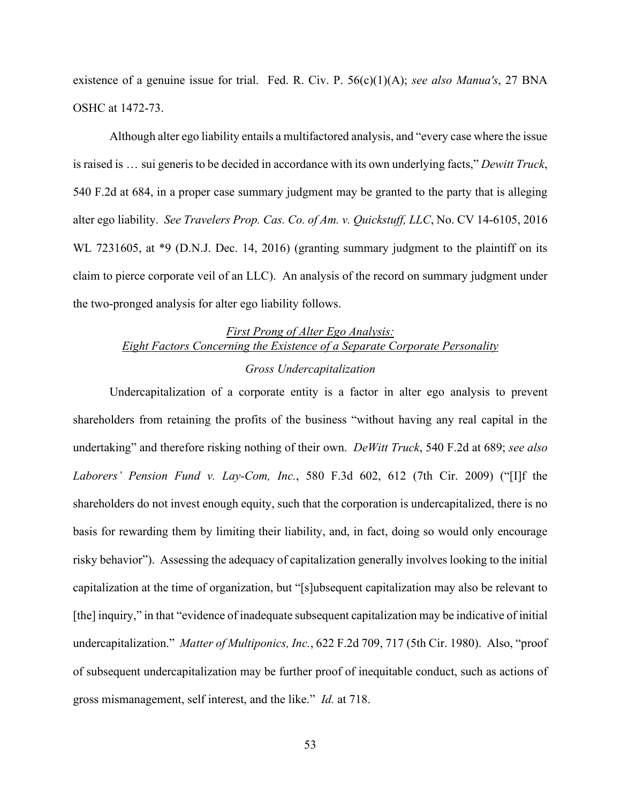existence of a genuine issue for trial. Fed. R. Civ. P. 56(c)(1)(A); *see also Manua's*, 27 BNA OSHC at 1472-73.

Although alter ego liability entails a multifactored analysis, and "every case where the issue is raised is … sui generis to be decided in accordance with its own underlying facts," *Dewitt Truck*, 540 F.2d at 684, in a proper case summary judgment may be granted to the party that is alleging alter ego liability. *See Travelers Prop. Cas. Co. of Am. v. Quickstuff, LLC*, No. CV 14-6105, 2016 WL 7231605, at \*9 (D.N.J. Dec. 14, 2016) (granting summary judgment to the plaintiff on its claim to pierce corporate veil of an LLC). An analysis of the record on summary judgment under the two-pronged analysis for alter ego liability follows.

# *First Prong of Alter Ego Analysis: Eight Factors Concerning the Existence of a Separate Corporate Personality*

### *Gross Undercapitalization*

Undercapitalization of a corporate entity is a factor in alter ego analysis to prevent shareholders from retaining the profits of the business "without having any real capital in the undertaking" and therefore risking nothing of their own. *DeWitt Truck*, 540 F.2d at 689; *see also Laborers' Pension Fund v. Lay-Com, Inc.*, 580 F.3d 602, 612 (7th Cir. 2009) ("[I]f the shareholders do not invest enough equity, such that the corporation is undercapitalized, there is no basis for rewarding them by limiting their liability, and, in fact, doing so would only encourage risky behavior"). Assessing the adequacy of capitalization generally involves looking to the initial capitalization at the time of organization, but "[s]ubsequent capitalization may also be relevant to [the] inquiry," in that "evidence of inadequate subsequent capitalization may be indicative of initial undercapitalization." *Matter of Multiponics, Inc.*, 622 F.2d 709, 717 (5th Cir. 1980). Also, "proof of subsequent undercapitalization may be further proof of inequitable conduct, such as actions of gross mismanagement, self interest, and the like." *Id.* at 718.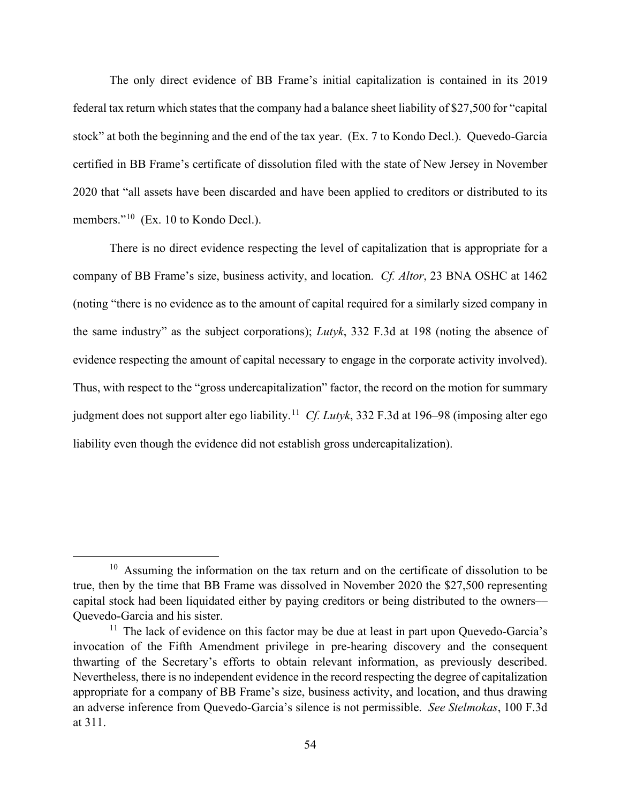The only direct evidence of BB Frame's initial capitalization is contained in its 2019 federal tax return which states that the company had a balance sheet liability of \$27,500 for "capital stock" at both the beginning and the end of the tax year. (Ex. 7 to Kondo Decl.). Quevedo-Garcia certified in BB Frame's certificate of dissolution filed with the state of New Jersey in November 2020 that "all assets have been discarded and have been applied to creditors or distributed to its members."<sup>10</sup> (Ex. 10 to Kondo Decl.).

There is no direct evidence respecting the level of capitalization that is appropriate for a company of BB Frame's size, business activity, and location. *Cf. Altor*, 23 BNA OSHC at 1462 (noting "there is no evidence as to the amount of capital required for a similarly sized company in the same industry" as the subject corporations); *Lutyk*, 332 F.3d at 198 (noting the absence of evidence respecting the amount of capital necessary to engage in the corporate activity involved). Thus, with respect to the "gross undercapitalization" factor, the record on the motion for summary judgment does not support alter ego liability. 11 *Cf. Lutyk*, 332 F.3d at 196–98 (imposing alter ego liability even though the evidence did not establish gross undercapitalization).

 $10$  Assuming the information on the tax return and on the certificate of dissolution to be true, then by the time that BB Frame was dissolved in November 2020 the \$27,500 representing capital stock had been liquidated either by paying creditors or being distributed to the owners–– Quevedo-Garcia and his sister.

 $11$  The lack of evidence on this factor may be due at least in part upon Quevedo-Garcia's invocation of the Fifth Amendment privilege in pre-hearing discovery and the consequent thwarting of the Secretary's efforts to obtain relevant information, as previously described. Nevertheless, there is no independent evidence in the record respecting the degree of capitalization appropriate for a company of BB Frame's size, business activity, and location, and thus drawing an adverse inference from Quevedo-Garcia's silence is not permissible. *See Stelmokas*, 100 F.3d at 311.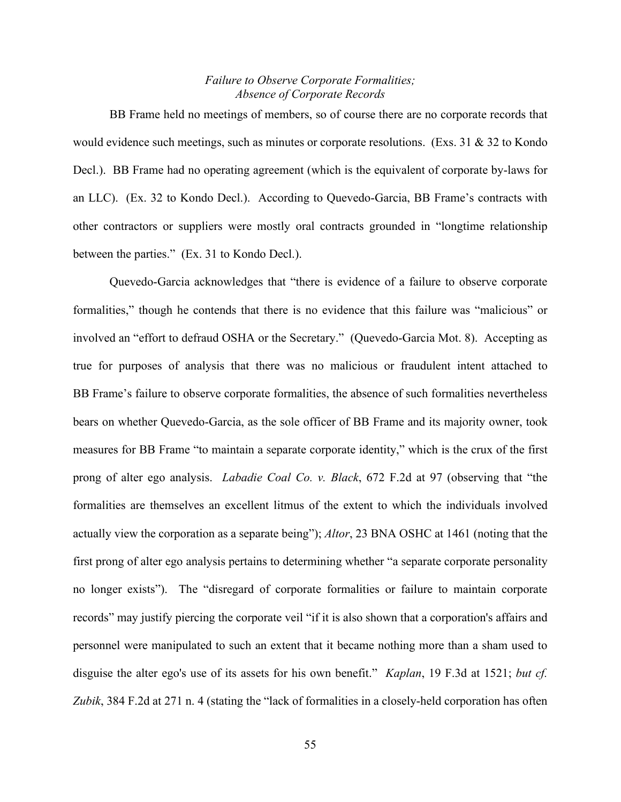### *Failure to Observe Corporate Formalities; Absence of Corporate Records*

BB Frame held no meetings of members, so of course there are no corporate records that would evidence such meetings, such as minutes or corporate resolutions. (Exs.  $31 \& 32$  to Kondo Decl.). BB Frame had no operating agreement (which is the equivalent of corporate by-laws for an LLC). (Ex. 32 to Kondo Decl.). According to Quevedo-Garcia, BB Frame's contracts with other contractors or suppliers were mostly oral contracts grounded in "longtime relationship between the parties." (Ex. 31 to Kondo Decl.).

Quevedo-Garcia acknowledges that "there is evidence of a failure to observe corporate formalities," though he contends that there is no evidence that this failure was "malicious" or involved an "effort to defraud OSHA or the Secretary." (Quevedo-Garcia Mot. 8). Accepting as true for purposes of analysis that there was no malicious or fraudulent intent attached to BB Frame's failure to observe corporate formalities, the absence of such formalities nevertheless bears on whether Quevedo-Garcia, as the sole officer of BB Frame and its majority owner, took measures for BB Frame "to maintain a separate corporate identity," which is the crux of the first prong of alter ego analysis. *Labadie Coal Co. v. Black*, 672 F.2d at 97 (observing that "the formalities are themselves an excellent litmus of the extent to which the individuals involved actually view the corporation as a separate being"); *Altor*, 23 BNA OSHC at 1461 (noting that the first prong of alter ego analysis pertains to determining whether "a separate corporate personality no longer exists"). The "disregard of corporate formalities or failure to maintain corporate records" may justify piercing the corporate veil "if it is also shown that a corporation's affairs and personnel were manipulated to such an extent that it became nothing more than a sham used to disguise the alter ego's use of its assets for his own benefit." *Kaplan*, 19 F.3d at 1521; *but cf. Zubik*, 384 F.2d at 271 n. 4 (stating the "lack of formalities in a closely-held corporation has often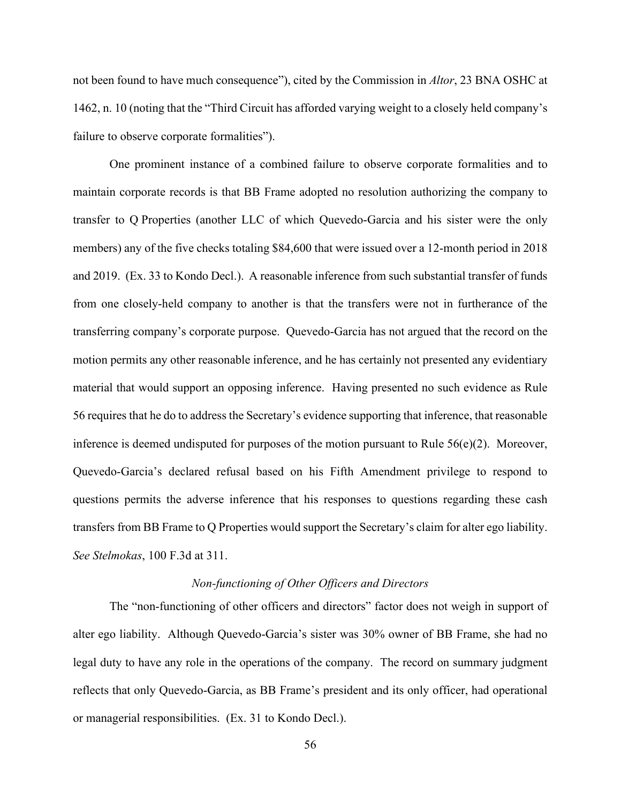not been found to have much consequence"), cited by the Commission in *Altor*, 23 BNA OSHC at 1462, n. 10 (noting that the "Third Circuit has afforded varying weight to a closely held company's failure to observe corporate formalities").

One prominent instance of a combined failure to observe corporate formalities and to maintain corporate records is that BB Frame adopted no resolution authorizing the company to transfer to Q Properties (another LLC of which Quevedo-Garcia and his sister were the only members) any of the five checks totaling \$84,600 that were issued over a 12-month period in 2018 and 2019. (Ex. 33 to Kondo Decl.). A reasonable inference from such substantial transfer of funds from one closely-held company to another is that the transfers were not in furtherance of the transferring company's corporate purpose. Quevedo-Garcia has not argued that the record on the motion permits any other reasonable inference, and he has certainly not presented any evidentiary material that would support an opposing inference. Having presented no such evidence as Rule 56 requires that he do to address the Secretary's evidence supporting that inference, that reasonable inference is deemed undisputed for purposes of the motion pursuant to Rule  $56(e)(2)$ . Moreover, Quevedo-Garcia's declared refusal based on his Fifth Amendment privilege to respond to questions permits the adverse inference that his responses to questions regarding these cash transfers from BB Frame to Q Properties would support the Secretary's claim for alter ego liability. *See Stelmokas*, 100 F.3d at 311.

### *Non-functioning of Other Officers and Directors*

The "non-functioning of other officers and directors" factor does not weigh in support of alter ego liability. Although Quevedo-Garcia's sister was 30% owner of BB Frame, she had no legal duty to have any role in the operations of the company. The record on summary judgment reflects that only Quevedo-Garcia, as BB Frame's president and its only officer, had operational or managerial responsibilities. (Ex. 31 to Kondo Decl.).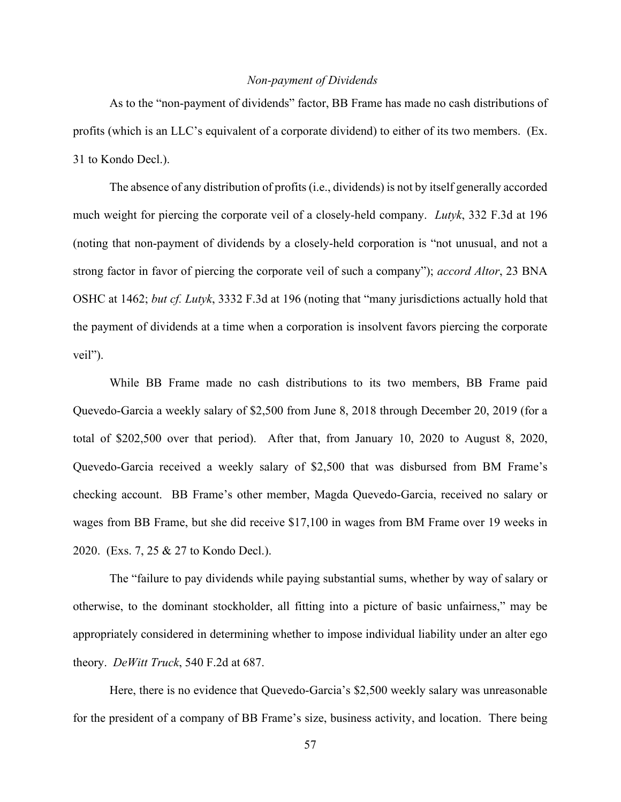### *Non-payment of Dividends*

As to the "non-payment of dividends" factor, BB Frame has made no cash distributions of profits (which is an LLC's equivalent of a corporate dividend) to either of its two members. (Ex. 31 to Kondo Decl.).

The absence of any distribution of profits (i.e., dividends) is not by itself generally accorded much weight for piercing the corporate veil of a closely-held company. *Lutyk*, 332 F.3d at 196 (noting that non-payment of dividends by a closely-held corporation is "not unusual, and not a strong factor in favor of piercing the corporate veil of such a company"); *accord Altor*, 23 BNA OSHC at 1462; *but cf. Lutyk*, 3332 F.3d at 196 (noting that "many jurisdictions actually hold that the payment of dividends at a time when a corporation is insolvent favors piercing the corporate veil").

While BB Frame made no cash distributions to its two members, BB Frame paid Quevedo-Garcia a weekly salary of \$2,500 from June 8, 2018 through December 20, 2019 (for a total of \$202,500 over that period). After that, from January 10, 2020 to August 8, 2020, Quevedo-Garcia received a weekly salary of \$2,500 that was disbursed from BM Frame's checking account. BB Frame's other member, Magda Quevedo-Garcia, received no salary or wages from BB Frame, but she did receive \$17,100 in wages from BM Frame over 19 weeks in 2020. (Exs. 7, 25 & 27 to Kondo Decl.).

The "failure to pay dividends while paying substantial sums, whether by way of salary or otherwise, to the dominant stockholder, all fitting into a picture of basic unfairness," may be appropriately considered in determining whether to impose individual liability under an alter ego theory. *DeWitt Truck*, 540 F.2d at 687.

Here, there is no evidence that Quevedo-Garcia's \$2,500 weekly salary was unreasonable for the president of a company of BB Frame's size, business activity, and location. There being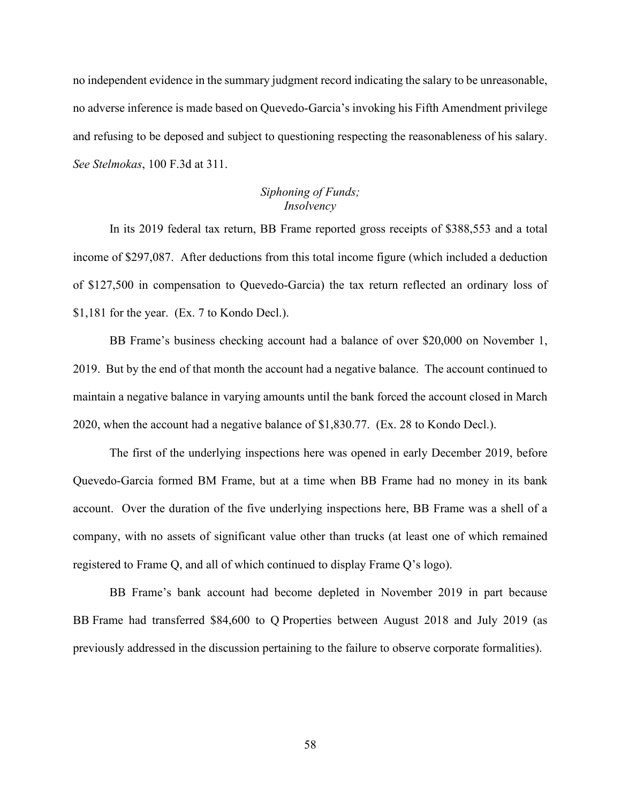no independent evidence in the summary judgment record indicating the salary to be unreasonable, no adverse inference is made based on Quevedo-Garcia's invoking his Fifth Amendment privilege and refusing to be deposed and subject to questioning respecting the reasonableness of his salary. *See Stelmokas*, 100 F.3d at 311.

## *Siphoning of Funds; Insolvency*

In its 2019 federal tax return, BB Frame reported gross receipts of \$388,553 and a total income of \$297,087. After deductions from this total income figure (which included a deduction of \$127,500 in compensation to Quevedo-Garcia) the tax return reflected an ordinary loss of \$1,181 for the year. (Ex. 7 to Kondo Decl.).

BB Frame's business checking account had a balance of over \$20,000 on November 1, 2019. But by the end of that month the account had a negative balance. The account continued to maintain a negative balance in varying amounts until the bank forced the account closed in March 2020, when the account had a negative balance of \$1,830.77. (Ex. 28 to Kondo Decl.).

The first of the underlying inspections here was opened in early December 2019, before Quevedo-Garcia formed BM Frame, but at a time when BB Frame had no money in its bank account. Over the duration of the five underlying inspections here, BB Frame was a shell of a company, with no assets of significant value other than trucks (at least one of which remained registered to Frame Q, and all of which continued to display Frame Q's logo).

BB Frame's bank account had become depleted in November 2019 in part because BB Frame had transferred \$84,600 to Q Properties between August 2018 and July 2019 (as previously addressed in the discussion pertaining to the failure to observe corporate formalities).

58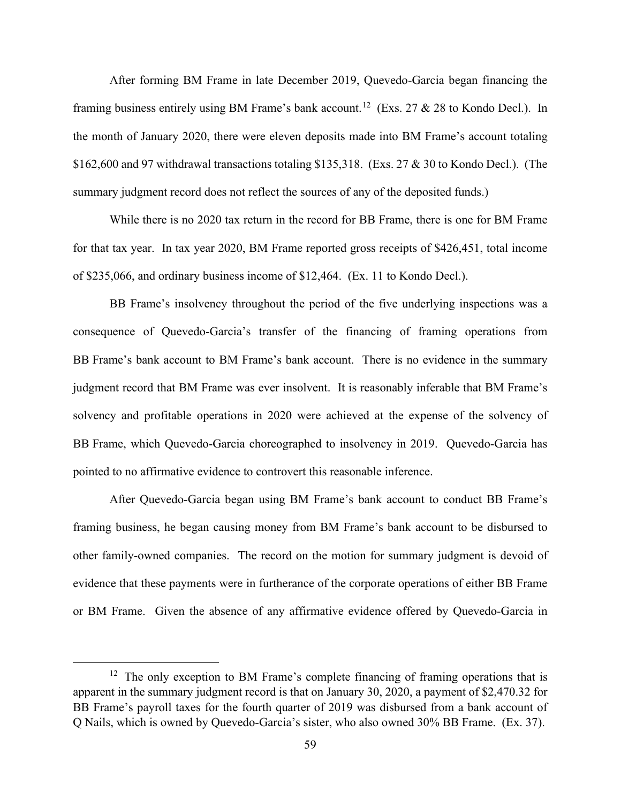After forming BM Frame in late December 2019, Quevedo-Garcia began financing the framing business entirely using BM Frame's bank account.<sup>12</sup> (Exs. 27 & 28 to Kondo Decl.). In the month of January 2020, there were eleven deposits made into BM Frame's account totaling \$162,600 and 97 withdrawal transactions totaling \$135,318. (Exs. 27 & 30 to Kondo Decl.). (The summary judgment record does not reflect the sources of any of the deposited funds.)

While there is no 2020 tax return in the record for BB Frame, there is one for BM Frame for that tax year. In tax year 2020, BM Frame reported gross receipts of \$426,451, total income of \$235,066, and ordinary business income of \$12,464. (Ex. 11 to Kondo Decl.).

BB Frame's insolvency throughout the period of the five underlying inspections was a consequence of Quevedo-Garcia's transfer of the financing of framing operations from BB Frame's bank account to BM Frame's bank account. There is no evidence in the summary judgment record that BM Frame was ever insolvent. It is reasonably inferable that BM Frame's solvency and profitable operations in 2020 were achieved at the expense of the solvency of BB Frame, which Quevedo-Garcia choreographed to insolvency in 2019. Quevedo-Garcia has pointed to no affirmative evidence to controvert this reasonable inference.

After Quevedo-Garcia began using BM Frame's bank account to conduct BB Frame's framing business, he began causing money from BM Frame's bank account to be disbursed to other family-owned companies. The record on the motion for summary judgment is devoid of evidence that these payments were in furtherance of the corporate operations of either BB Frame or BM Frame. Given the absence of any affirmative evidence offered by Quevedo-Garcia in

 $12$  The only exception to BM Frame's complete financing of framing operations that is apparent in the summary judgment record is that on January 30, 2020, a payment of \$2,470.32 for BB Frame's payroll taxes for the fourth quarter of 2019 was disbursed from a bank account of Q Nails, which is owned by Quevedo-Garcia's sister, who also owned 30% BB Frame. (Ex. 37).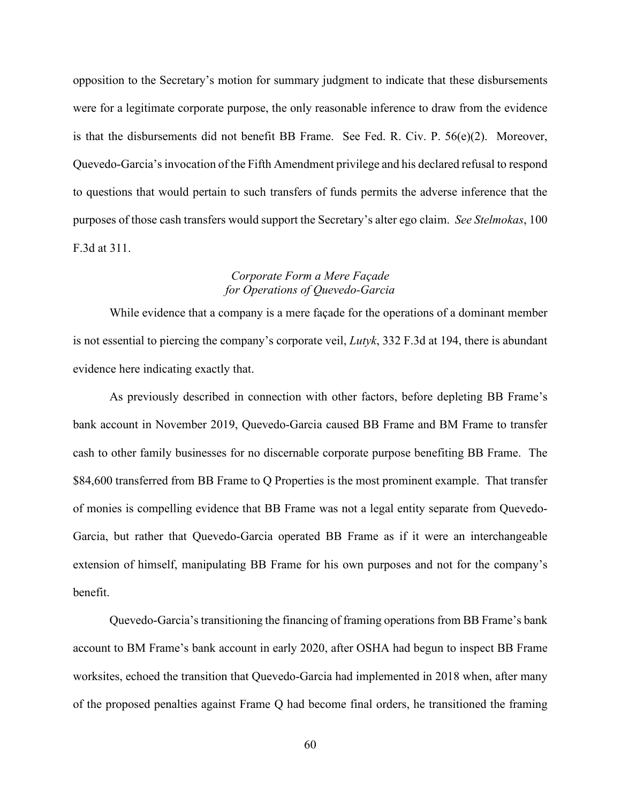opposition to the Secretary's motion for summary judgment to indicate that these disbursements were for a legitimate corporate purpose, the only reasonable inference to draw from the evidence is that the disbursements did not benefit BB Frame. See Fed. R. Civ. P. 56(e)(2). Moreover, Quevedo-Garcia's invocation of the Fifth Amendment privilege and his declared refusal to respond to questions that would pertain to such transfers of funds permits the adverse inference that the purposes of those cash transfers would support the Secretary's alter ego claim. *See Stelmokas*, 100 F.3d at 311.

### *Corporate Form a Mere Façade for Operations of Quevedo-Garcia*

While evidence that a company is a mere façade for the operations of a dominant member is not essential to piercing the company's corporate veil, *Lutyk*, 332 F.3d at 194, there is abundant evidence here indicating exactly that.

As previously described in connection with other factors, before depleting BB Frame's bank account in November 2019, Quevedo-Garcia caused BB Frame and BM Frame to transfer cash to other family businesses for no discernable corporate purpose benefiting BB Frame. The \$84,600 transferred from BB Frame to Q Properties is the most prominent example. That transfer of monies is compelling evidence that BB Frame was not a legal entity separate from Quevedo-Garcia, but rather that Quevedo-Garcia operated BB Frame as if it were an interchangeable extension of himself, manipulating BB Frame for his own purposes and not for the company's benefit.

Quevedo-Garcia's transitioning the financing of framing operations from BB Frame's bank account to BM Frame's bank account in early 2020, after OSHA had begun to inspect BB Frame worksites, echoed the transition that Quevedo-Garcia had implemented in 2018 when, after many of the proposed penalties against Frame Q had become final orders, he transitioned the framing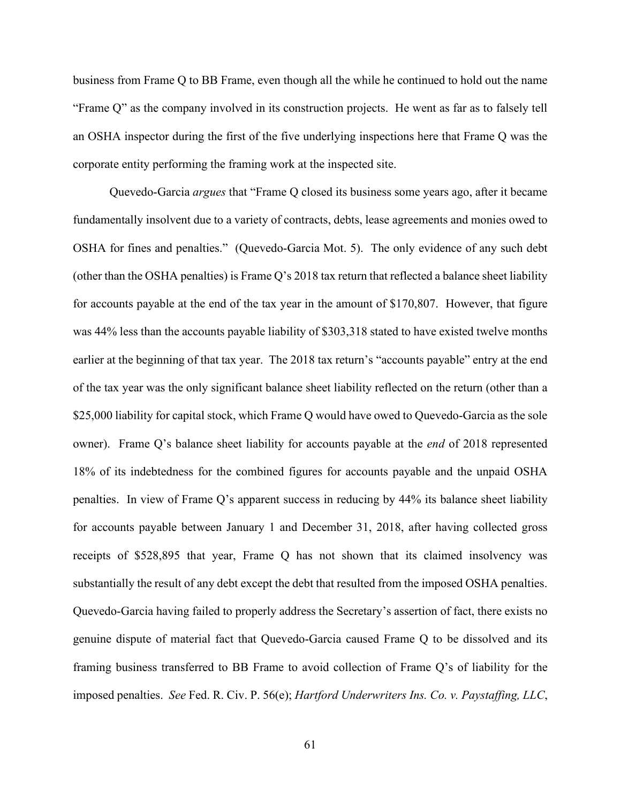business from Frame Q to BB Frame, even though all the while he continued to hold out the name "Frame Q" as the company involved in its construction projects. He went as far as to falsely tell an OSHA inspector during the first of the five underlying inspections here that Frame Q was the corporate entity performing the framing work at the inspected site.

Quevedo-Garcia *argues* that "Frame Q closed its business some years ago, after it became fundamentally insolvent due to a variety of contracts, debts, lease agreements and monies owed to OSHA for fines and penalties." (Quevedo-Garcia Mot. 5). The only evidence of any such debt (other than the OSHA penalties) is Frame Q's 2018 tax return that reflected a balance sheet liability for accounts payable at the end of the tax year in the amount of \$170,807. However, that figure was 44% less than the accounts payable liability of \$303,318 stated to have existed twelve months earlier at the beginning of that tax year. The 2018 tax return's "accounts payable" entry at the end of the tax year was the only significant balance sheet liability reflected on the return (other than a \$25,000 liability for capital stock, which Frame Q would have owed to Quevedo-Garcia as the sole owner). Frame Q's balance sheet liability for accounts payable at the *end* of 2018 represented 18% of its indebtedness for the combined figures for accounts payable and the unpaid OSHA penalties. In view of Frame Q's apparent success in reducing by 44% its balance sheet liability for accounts payable between January 1 and December 31, 2018, after having collected gross receipts of \$528,895 that year, Frame Q has not shown that its claimed insolvency was substantially the result of any debt except the debt that resulted from the imposed OSHA penalties. Quevedo-Garcia having failed to properly address the Secretary's assertion of fact, there exists no genuine dispute of material fact that Quevedo-Garcia caused Frame Q to be dissolved and its framing business transferred to BB Frame to avoid collection of Frame Q's of liability for the imposed penalties. *See* Fed. R. Civ. P. 56(e); *Hartford Underwriters Ins. Co. v. Paystaffing, LLC*,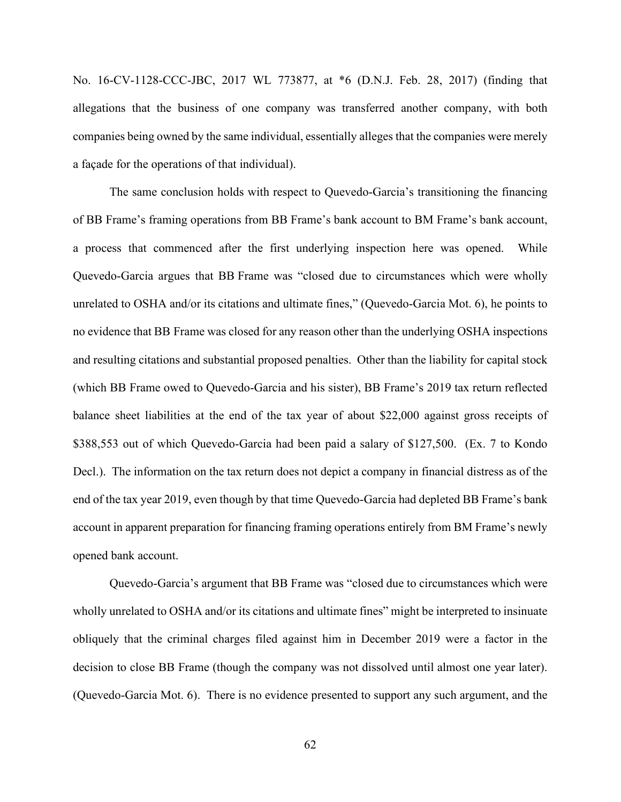No. 16-CV-1128-CCC-JBC, 2017 WL 773877, at \*6 (D.N.J. Feb. 28, 2017) (finding that allegations that the business of one company was transferred another company, with both companies being owned by the same individual, essentially alleges that the companies were merely a façade for the operations of that individual).

The same conclusion holds with respect to Quevedo-Garcia's transitioning the financing of BB Frame's framing operations from BB Frame's bank account to BM Frame's bank account, a process that commenced after the first underlying inspection here was opened. While Quevedo-Garcia argues that BB Frame was "closed due to circumstances which were wholly unrelated to OSHA and/or its citations and ultimate fines," (Quevedo-Garcia Mot. 6), he points to no evidence that BB Frame was closed for any reason other than the underlying OSHA inspections and resulting citations and substantial proposed penalties. Other than the liability for capital stock (which BB Frame owed to Quevedo-Garcia and his sister), BB Frame's 2019 tax return reflected balance sheet liabilities at the end of the tax year of about \$22,000 against gross receipts of \$388,553 out of which Quevedo-Garcia had been paid a salary of \$127,500. (Ex. 7 to Kondo Decl.). The information on the tax return does not depict a company in financial distress as of the end of the tax year 2019, even though by that time Quevedo-Garcia had depleted BB Frame's bank account in apparent preparation for financing framing operations entirely from BM Frame's newly opened bank account.

Quevedo-Garcia's argument that BB Frame was "closed due to circumstances which were wholly unrelated to OSHA and/or its citations and ultimate fines" might be interpreted to insinuate obliquely that the criminal charges filed against him in December 2019 were a factor in the decision to close BB Frame (though the company was not dissolved until almost one year later). (Quevedo-Garcia Mot. 6). There is no evidence presented to support any such argument, and the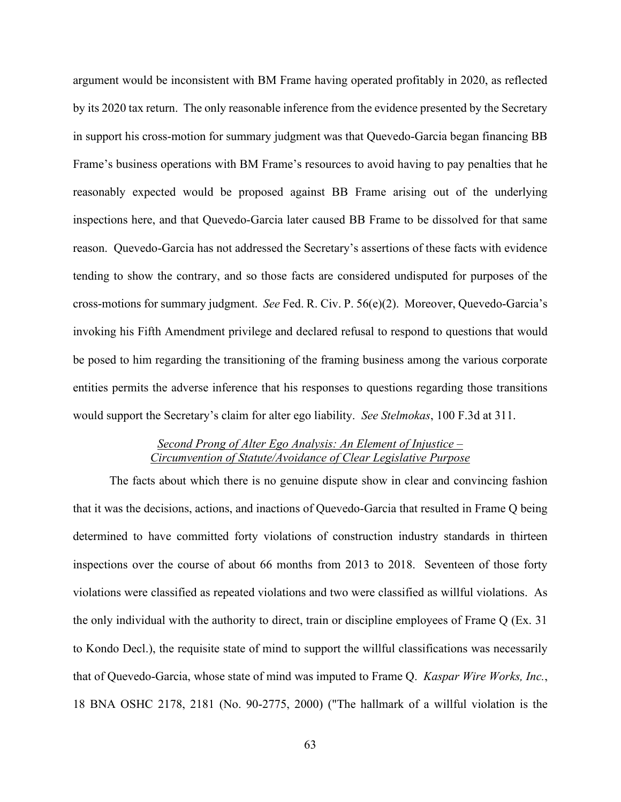argument would be inconsistent with BM Frame having operated profitably in 2020, as reflected by its 2020 tax return. The only reasonable inference from the evidence presented by the Secretary in support his cross-motion for summary judgment was that Quevedo-Garcia began financing BB Frame's business operations with BM Frame's resources to avoid having to pay penalties that he reasonably expected would be proposed against BB Frame arising out of the underlying inspections here, and that Quevedo-Garcia later caused BB Frame to be dissolved for that same reason. Quevedo-Garcia has not addressed the Secretary's assertions of these facts with evidence tending to show the contrary, and so those facts are considered undisputed for purposes of the cross-motions for summary judgment. *See* Fed. R. Civ. P. 56(e)(2). Moreover, Quevedo-Garcia's invoking his Fifth Amendment privilege and declared refusal to respond to questions that would be posed to him regarding the transitioning of the framing business among the various corporate entities permits the adverse inference that his responses to questions regarding those transitions would support the Secretary's claim for alter ego liability. *See Stelmokas*, 100 F.3d at 311.

## *Second Prong of Alter Ego Analysis: An Element of Injustice – Circumvention of Statute/Avoidance of Clear Legislative Purpose*

The facts about which there is no genuine dispute show in clear and convincing fashion that it was the decisions, actions, and inactions of Quevedo-Garcia that resulted in Frame Q being determined to have committed forty violations of construction industry standards in thirteen inspections over the course of about 66 months from 2013 to 2018. Seventeen of those forty violations were classified as repeated violations and two were classified as willful violations. As the only individual with the authority to direct, train or discipline employees of Frame Q (Ex. 31 to Kondo Decl.), the requisite state of mind to support the willful classifications was necessarily that of Quevedo-Garcia, whose state of mind was imputed to Frame Q. *Kaspar Wire Works, Inc.*, 18 BNA OSHC 2178, 2181 (No. 90-2775, 2000) ("The hallmark of a willful violation is the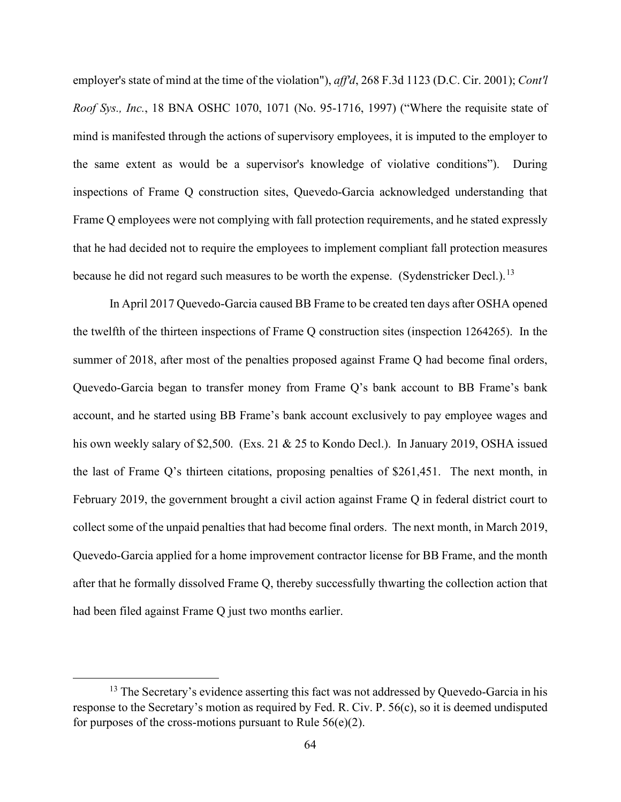employer's state of mind at the time of the violation"), *aff'd*, 268 F.3d 1123 (D.C. Cir. 2001); *Cont'l Roof Sys., Inc.*, 18 BNA OSHC 1070, 1071 (No. 95-1716, 1997) ("Where the requisite state of mind is manifested through the actions of supervisory employees, it is imputed to the employer to the same extent as would be a supervisor's knowledge of violative conditions"). During inspections of Frame Q construction sites, Quevedo-Garcia acknowledged understanding that Frame Q employees were not complying with fall protection requirements, and he stated expressly that he had decided not to require the employees to implement compliant fall protection measures because he did not regard such measures to be worth the expense. (Sydenstricker Decl.).<sup>13</sup>

In April 2017 Quevedo-Garcia caused BB Frame to be created ten days after OSHA opened the twelfth of the thirteen inspections of Frame Q construction sites (inspection 1264265). In the summer of 2018, after most of the penalties proposed against Frame Q had become final orders, Quevedo-Garcia began to transfer money from Frame Q's bank account to BB Frame's bank account, and he started using BB Frame's bank account exclusively to pay employee wages and his own weekly salary of \$2,500. (Exs. 21 & 25 to Kondo Decl.). In January 2019, OSHA issued the last of Frame Q's thirteen citations, proposing penalties of \$261,451. The next month, in February 2019, the government brought a civil action against Frame Q in federal district court to collect some of the unpaid penalties that had become final orders. The next month, in March 2019, Quevedo-Garcia applied for a home improvement contractor license for BB Frame, and the month after that he formally dissolved Frame Q, thereby successfully thwarting the collection action that had been filed against Frame Q just two months earlier.

<sup>&</sup>lt;sup>13</sup> The Secretary's evidence asserting this fact was not addressed by Quevedo-Garcia in his response to the Secretary's motion as required by Fed. R. Civ. P. 56(c), so it is deemed undisputed for purposes of the cross-motions pursuant to Rule  $56(e)(2)$ .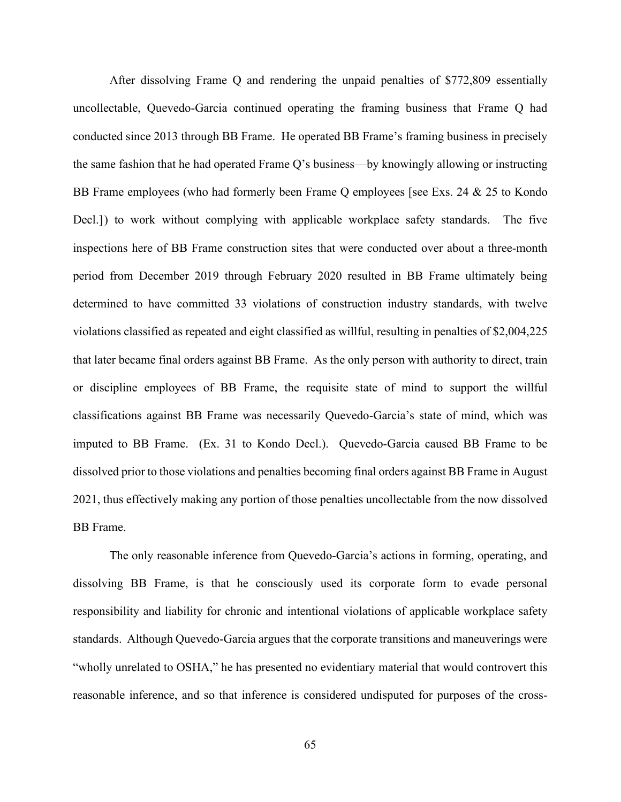After dissolving Frame Q and rendering the unpaid penalties of \$772,809 essentially uncollectable, Quevedo-Garcia continued operating the framing business that Frame Q had conducted since 2013 through BB Frame. He operated BB Frame's framing business in precisely the same fashion that he had operated Frame Q's business––by knowingly allowing or instructing BB Frame employees (who had formerly been Frame Q employees [see Exs. 24 & 25 to Kondo Decl.]) to work without complying with applicable workplace safety standards. The five inspections here of BB Frame construction sites that were conducted over about a three-month period from December 2019 through February 2020 resulted in BB Frame ultimately being determined to have committed 33 violations of construction industry standards, with twelve violations classified as repeated and eight classified as willful, resulting in penalties of \$2,004,225 that later became final orders against BB Frame. As the only person with authority to direct, train or discipline employees of BB Frame, the requisite state of mind to support the willful classifications against BB Frame was necessarily Quevedo-Garcia's state of mind, which was imputed to BB Frame. (Ex. 31 to Kondo Decl.). Quevedo-Garcia caused BB Frame to be dissolved prior to those violations and penalties becoming final orders against BB Frame in August 2021, thus effectively making any portion of those penalties uncollectable from the now dissolved BB Frame.

The only reasonable inference from Quevedo-Garcia's actions in forming, operating, and dissolving BB Frame, is that he consciously used its corporate form to evade personal responsibility and liability for chronic and intentional violations of applicable workplace safety standards. Although Quevedo-Garcia argues that the corporate transitions and maneuverings were "wholly unrelated to OSHA," he has presented no evidentiary material that would controvert this reasonable inference, and so that inference is considered undisputed for purposes of the cross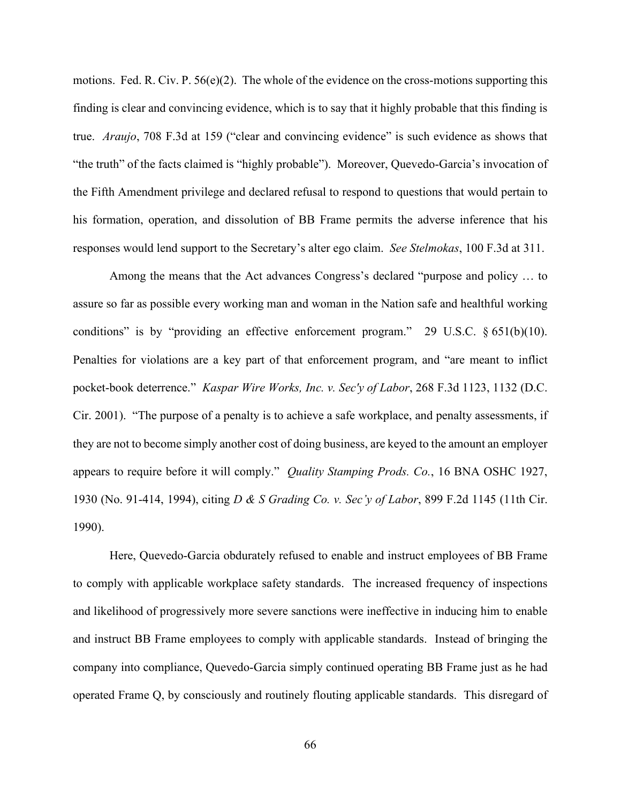motions. Fed. R. Civ. P. 56(e)(2). The whole of the evidence on the cross-motions supporting this finding is clear and convincing evidence, which is to say that it highly probable that this finding is true. *Araujo*, 708 F.3d at 159 ("clear and convincing evidence" is such evidence as shows that "the truth" of the facts claimed is "highly probable"). Moreover, Quevedo-Garcia's invocation of the Fifth Amendment privilege and declared refusal to respond to questions that would pertain to his formation, operation, and dissolution of BB Frame permits the adverse inference that his responses would lend support to the Secretary's alter ego claim. *See Stelmokas*, 100 F.3d at 311.

Among the means that the Act advances Congress's declared "purpose and policy … to assure so far as possible every working man and woman in the Nation safe and healthful working conditions" is by "providing an effective enforcement program." 29 U.S.C.  $\S 651(b)(10)$ . Penalties for violations are a key part of that enforcement program, and "are meant to inflict pocket-book deterrence." *Kaspar Wire Works, Inc. v. Sec'y of Labor*, 268 F.3d 1123, 1132 (D.C. Cir. 2001). "The purpose of a penalty is to achieve a safe workplace, and penalty assessments, if they are not to become simply another cost of doing business, are keyed to the amount an employer appears to require before it will comply." *Quality Stamping Prods. Co.*, 16 BNA OSHC 1927, 1930 (No. 91-414, 1994), citing *D & S Grading Co. v. Sec'y of Labor*, 899 F.2d 1145 (11th Cir. 1990).

Here, Quevedo-Garcia obdurately refused to enable and instruct employees of BB Frame to comply with applicable workplace safety standards. The increased frequency of inspections and likelihood of progressively more severe sanctions were ineffective in inducing him to enable and instruct BB Frame employees to comply with applicable standards. Instead of bringing the company into compliance, Quevedo-Garcia simply continued operating BB Frame just as he had operated Frame Q, by consciously and routinely flouting applicable standards. This disregard of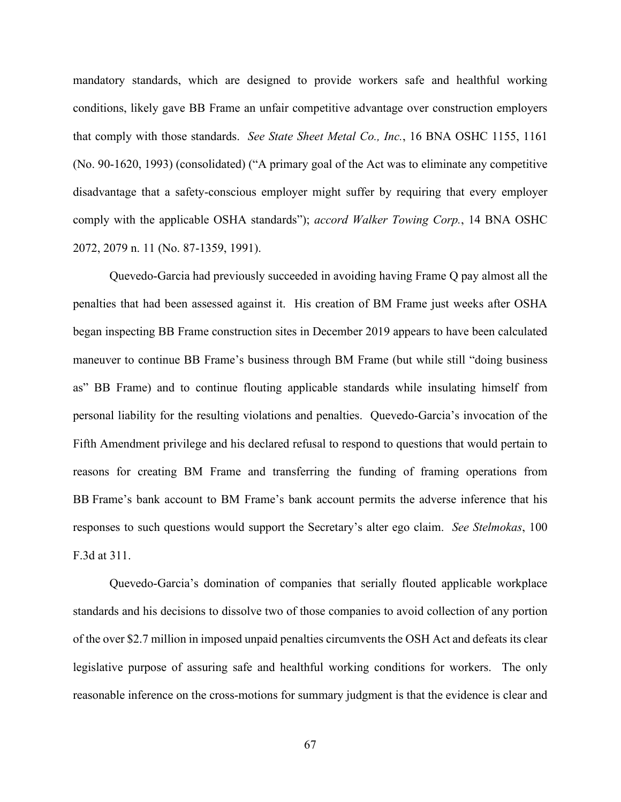mandatory standards, which are designed to provide workers safe and healthful working conditions, likely gave BB Frame an unfair competitive advantage over construction employers that comply with those standards. *See State Sheet Metal Co., Inc.*, 16 BNA OSHC 1155, 1161 (No. 90-1620, 1993) (consolidated) ("A primary goal of the Act was to eliminate any competitive disadvantage that a safety-conscious employer might suffer by requiring that every employer comply with the applicable OSHA standards"); *accord Walker Towing Corp.*, 14 BNA OSHC 2072, 2079 n. 11 (No. 87-1359, 1991).

Quevedo-Garcia had previously succeeded in avoiding having Frame Q pay almost all the penalties that had been assessed against it. His creation of BM Frame just weeks after OSHA began inspecting BB Frame construction sites in December 2019 appears to have been calculated maneuver to continue BB Frame's business through BM Frame (but while still "doing business as" BB Frame) and to continue flouting applicable standards while insulating himself from personal liability for the resulting violations and penalties. Quevedo-Garcia's invocation of the Fifth Amendment privilege and his declared refusal to respond to questions that would pertain to reasons for creating BM Frame and transferring the funding of framing operations from BB Frame's bank account to BM Frame's bank account permits the adverse inference that his responses to such questions would support the Secretary's alter ego claim. *See Stelmokas*, 100 F.3d at 311.

Quevedo-Garcia's domination of companies that serially flouted applicable workplace standards and his decisions to dissolve two of those companies to avoid collection of any portion of the over \$2.7 million in imposed unpaid penalties circumvents the OSH Act and defeats its clear legislative purpose of assuring safe and healthful working conditions for workers. The only reasonable inference on the cross-motions for summary judgment is that the evidence is clear and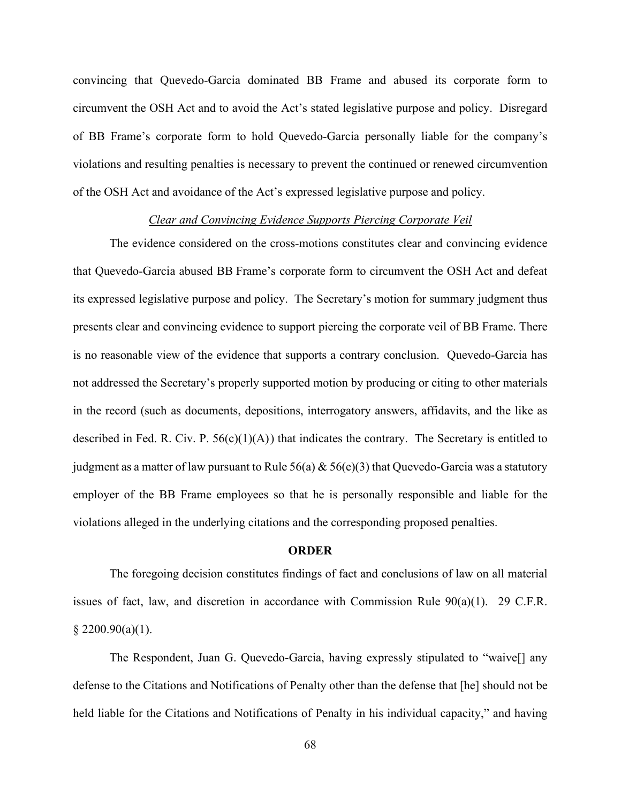convincing that Quevedo-Garcia dominated BB Frame and abused its corporate form to circumvent the OSH Act and to avoid the Act's stated legislative purpose and policy. Disregard of BB Frame's corporate form to hold Quevedo-Garcia personally liable for the company's violations and resulting penalties is necessary to prevent the continued or renewed circumvention of the OSH Act and avoidance of the Act's expressed legislative purpose and policy.

### *Clear and Convincing Evidence Supports Piercing Corporate Veil*

The evidence considered on the cross-motions constitutes clear and convincing evidence that Quevedo-Garcia abused BB Frame's corporate form to circumvent the OSH Act and defeat its expressed legislative purpose and policy. The Secretary's motion for summary judgment thus presents clear and convincing evidence to support piercing the corporate veil of BB Frame. There is no reasonable view of the evidence that supports a contrary conclusion. Quevedo-Garcia has not addressed the Secretary's properly supported motion by producing or citing to other materials in the record (such as documents, depositions, interrogatory answers, affidavits, and the like as described in Fed. R. Civ. P.  $56(c)(1)(A)$  that indicates the contrary. The Secretary is entitled to judgment as a matter of law pursuant to Rule 56(a)  $\&$  56(e)(3) that Quevedo-Garcia was a statutory employer of the BB Frame employees so that he is personally responsible and liable for the violations alleged in the underlying citations and the corresponding proposed penalties.

#### **ORDER**

The foregoing decision constitutes findings of fact and conclusions of law on all material issues of fact, law, and discretion in accordance with Commission Rule 90(a)(1). 29 C.F.R.  $§$  2200.90(a)(1).

The Respondent, Juan G. Quevedo-Garcia, having expressly stipulated to "waive[] any defense to the Citations and Notifications of Penalty other than the defense that [he] should not be held liable for the Citations and Notifications of Penalty in his individual capacity," and having